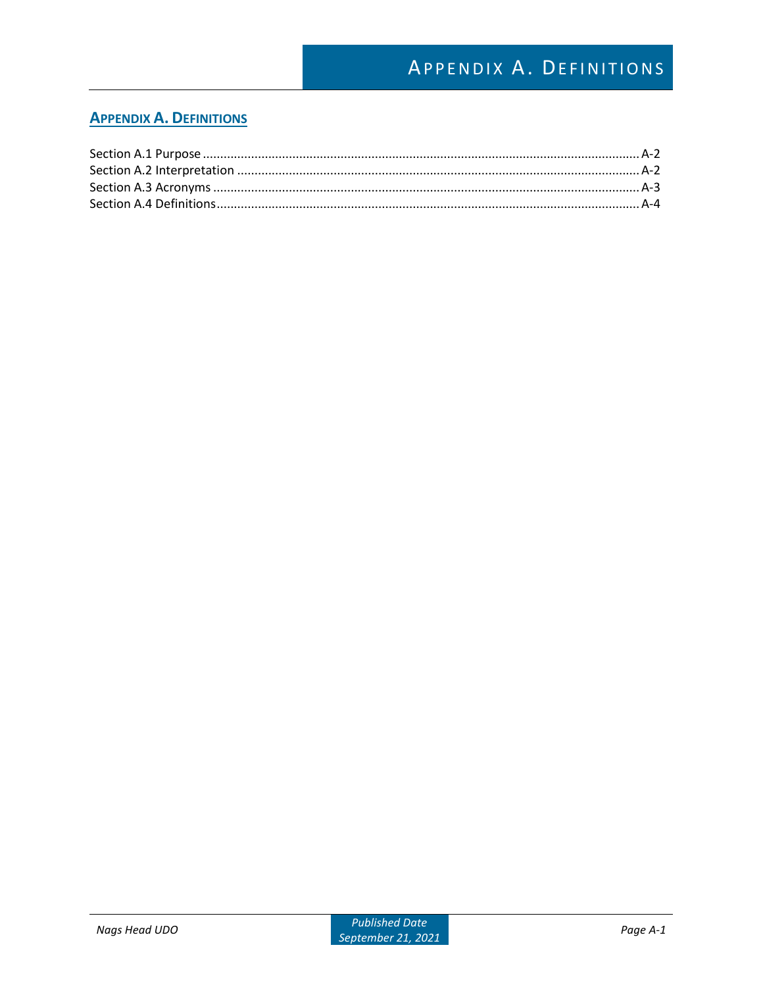# APPENDIX A. DEFINITIONS

### **APPENDIX A. DEFINITIONS**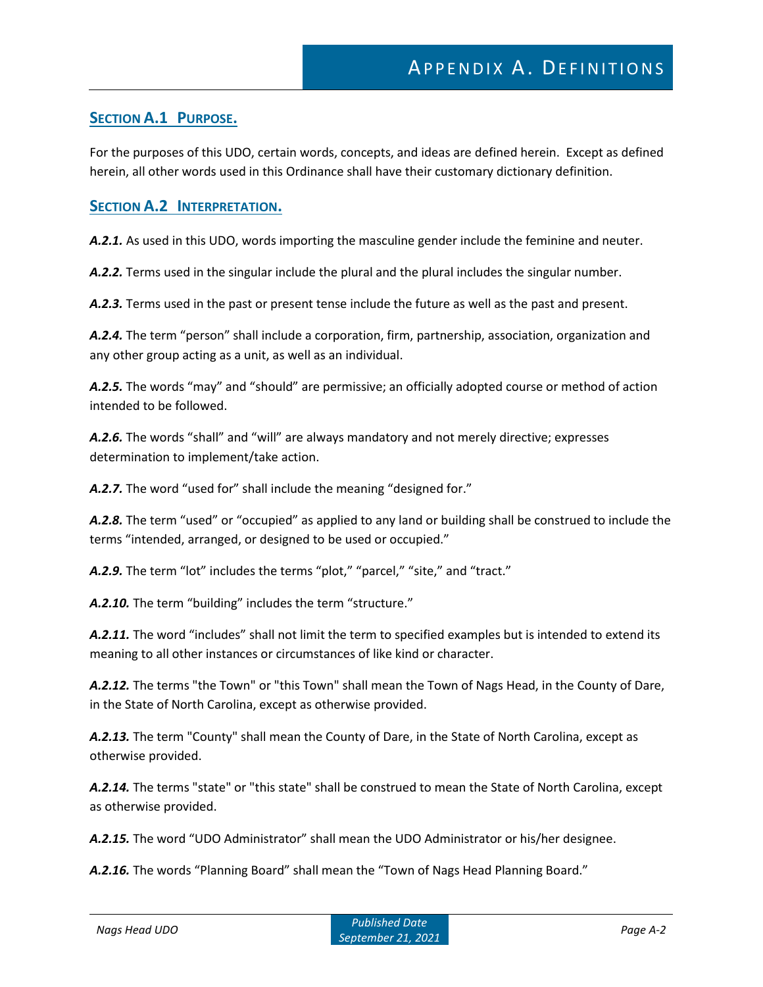### **SECTION A.1 PURPOSE.**

For the purposes of this UDO, certain words, concepts, and ideas are defined herein. Except as defined herein, all other words used in this Ordinance shall have their customary dictionary definition.

#### **SECTION A.2 INTERPRETATION.**

A.2.1. As used in this UDO, words importing the masculine gender include the feminine and neuter.

*A.2.2.* Terms used in the singular include the plural and the plural includes the singular number.

*A.2.3.* Terms used in the past or present tense include the future as well as the past and present.

*A.2.4.* The term "person" shall include a corporation, firm, partnership, association, organization and any other group acting as a unit, as well as an individual.

*A.2.5.* The words "may" and "should" are permissive; an officially adopted course or method of action intended to be followed.

*A.2.6.* The words "shall" and "will" are always mandatory and not merely directive; expresses determination to implement/take action.

A.2.7. The word "used for" shall include the meaning "designed for."

*A.2.8.* The term "used" or "occupied" as applied to any land or building shall be construed to include the terms "intended, arranged, or designed to be used or occupied."

A.2.9. The term "lot" includes the terms "plot," "parcel," "site," and "tract."

*A.2.10.* The term "building" includes the term "structure."

*A.2.11.* The word "includes" shall not limit the term to specified examples but is intended to extend its meaning to all other instances or circumstances of like kind or character.

*A.2.12.* The terms "the Town" or "this Town" shall mean the Town of Nags Head, in the County of Dare, in the State of North Carolina, except as otherwise provided.

*A.2.13.* The term "County" shall mean the County of Dare, in the State of North Carolina, except as otherwise provided.

*A.2.14.* The terms "state" or "this state" shall be construed to mean the State of North Carolina, except as otherwise provided.

*A.2.15.* The word "UDO Administrator" shall mean the UDO Administrator or his/her designee.

*A.2.16.* The words "Planning Board" shall mean the "Town of Nags Head Planning Board."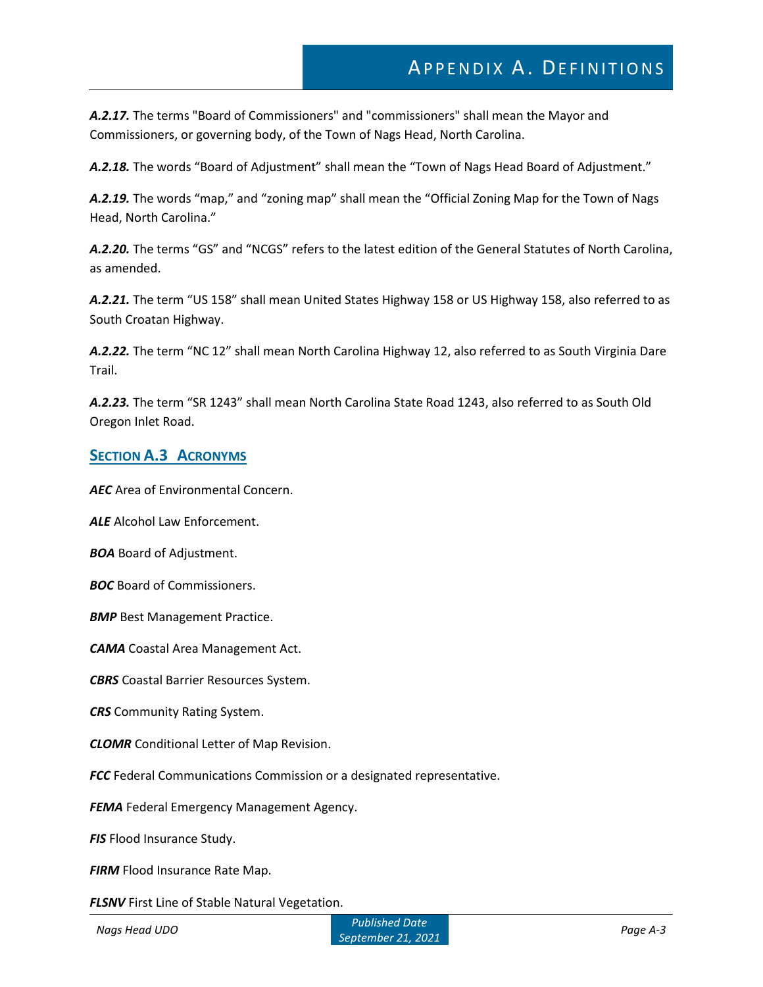*A.2.17.* The terms "Board of Commissioners" and "commissioners" shall mean the Mayor and Commissioners, or governing body, of the Town of Nags Head, North Carolina.

*A.2.18.* The words "Board of Adjustment" shall mean the "Town of Nags Head Board of Adjustment."

*A.2.19.* The words "map," and "zoning map" shall mean the "Official Zoning Map for the Town of Nags Head, North Carolina."

*A.2.20.* The terms "GS" and "NCGS" refers to the latest edition of the General Statutes of North Carolina, as amended.

*A.2.21.* The term "US 158" shall mean United States Highway 158 or US Highway 158, also referred to as South Croatan Highway.

*A.2.22.* The term "NC 12" shall mean North Carolina Highway 12, also referred to as South Virginia Dare Trail.

*A.2.23.* The term "SR 1243" shall mean North Carolina State Road 1243, also referred to as South Old Oregon Inlet Road.

#### **SECTION A.3 ACRONYMS**

*AEC* Area of Environmental Concern.

*ALE* Alcohol Law Enforcement.

*BOA* Board of Adjustment.

*BOC* Board of Commissioners.

**BMP** Best Management Practice.

*CAMA* Coastal Area Management Act.

*CBRS* Coastal Barrier Resources System.

*CRS* Community Rating System.

*CLOMR* Conditional Letter of Map Revision.

**FCC** Federal Communications Commission or a designated representative.

**FEMA** Federal Emergency Management Agency.

*FIS* Flood Insurance Study.

**FIRM** Flood Insurance Rate Map.

**FLSNV** First Line of Stable Natural Vegetation.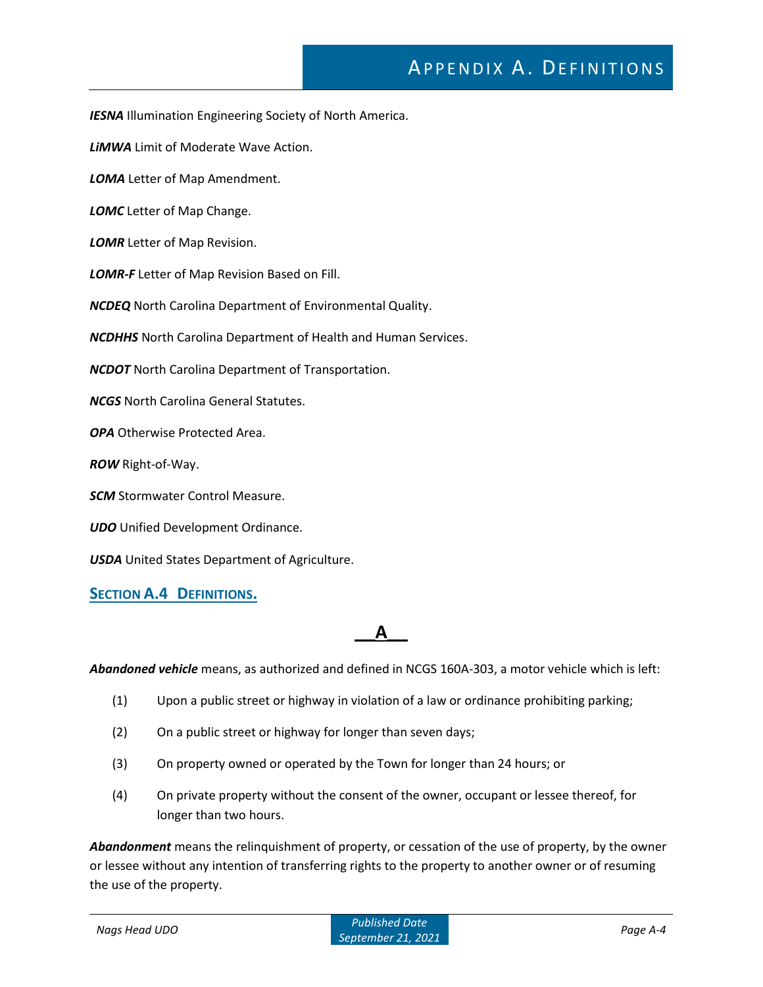# APPENDIX A. DEFINITIONS

*IESNA* Illumination Engineering Society of North America.

*LiMWA* Limit of Moderate Wave Action.

*LOMA* Letter of Map Amendment.

*LOMC* Letter of Map Change.

*LOMR* Letter of Map Revision.

*LOMR-F* Letter of Map Revision Based on Fill.

*NCDEQ* North Carolina Department of Environmental Quality.

*NCDHHS* North Carolina Department of Health and Human Services.

*NCDOT* North Carolina Department of Transportation.

*NCGS* North Carolina General Statutes.

*OPA* Otherwise Protected Area.

*ROW* Right-of-Way.

*SCM* Stormwater Control Measure.

*UDO* Unified Development Ordinance.

*USDA* United States Department of Agriculture.

#### **SECTION A.4 DEFINITIONS.**

### **\_\_\_A\_\_\_**

*Abandoned vehicle* means, as authorized and defined in NCGS 160A-303, a motor vehicle which is left:

- (1) Upon a public street or highway in violation of a law or ordinance prohibiting parking;
- (2) On a public street or highway for longer than seven days;
- (3) On property owned or operated by the Town for longer than 24 hours; or
- (4) On private property without the consent of the owner, occupant or lessee thereof, for longer than two hours.

*Abandonment* means the relinquishment of property, or cessation of the use of property, by the owner or lessee without any intention of transferring rights to the property to another owner or of resuming the use of the property.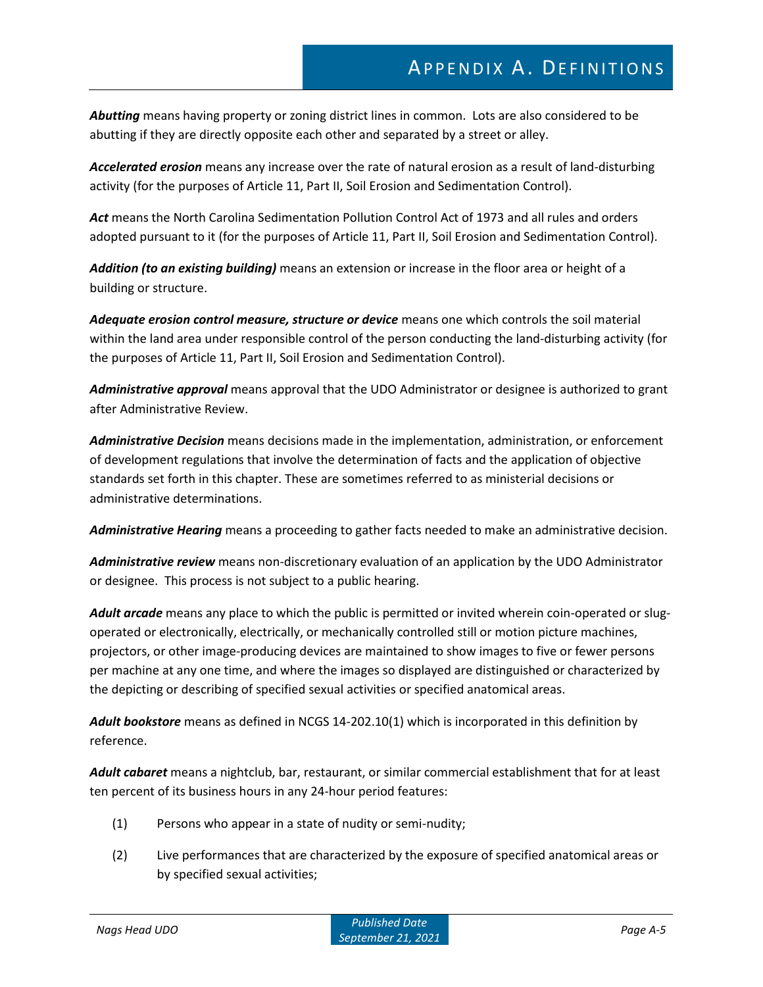*Abutting* means having property or zoning district lines in common. Lots are also considered to be abutting if they are directly opposite each other and separated by a street or alley.

*Accelerated erosion* means any increase over the rate of natural erosion as a result of land-disturbing activity (for the purposes of Article 11, Part II, Soil Erosion and Sedimentation Control).

*Act* means the North Carolina Sedimentation Pollution Control Act of 1973 and all rules and orders adopted pursuant to it (for the purposes of Article 11, Part II, Soil Erosion and Sedimentation Control).

*Addition (to an existing building)* means an extension or increase in the floor area or height of a building or structure.

*Adequate erosion control measure, structure or device* means one which controls the soil material within the land area under responsible control of the person conducting the land-disturbing activity (for the purposes of Article 11, Part II, Soil Erosion and Sedimentation Control).

*Administrative approval* means approval that the UDO Administrator or designee is authorized to grant after Administrative Review.

*Administrative Decision* means decisions made in the implementation, administration, or enforcement of development regulations that involve the determination of facts and the application of objective standards set forth in this chapter. These are sometimes referred to as ministerial decisions or administrative determinations.

*Administrative Hearing* means a proceeding to gather facts needed to make an administrative decision.

*Administrative review* means non-discretionary evaluation of an application by the UDO Administrator or designee. This process is not subject to a public hearing.

*Adult arcade* means any place to which the public is permitted or invited wherein coin-operated or slugoperated or electronically, electrically, or mechanically controlled still or motion picture machines, projectors, or other image-producing devices are maintained to show images to five or fewer persons per machine at any one time, and where the images so displayed are distinguished or characterized by the depicting or describing of specified sexual activities or specified anatomical areas.

*Adult bookstore* means as defined in NCGS 14-202.10(1) which is incorporated in this definition by reference.

*Adult cabaret* means a nightclub, bar, restaurant, or similar commercial establishment that for at least ten percent of its business hours in any 24-hour period features:

- (1) Persons who appear in a state of nudity or semi-nudity;
- (2) Live performances that are characterized by the exposure of specified anatomical areas or by specified sexual activities;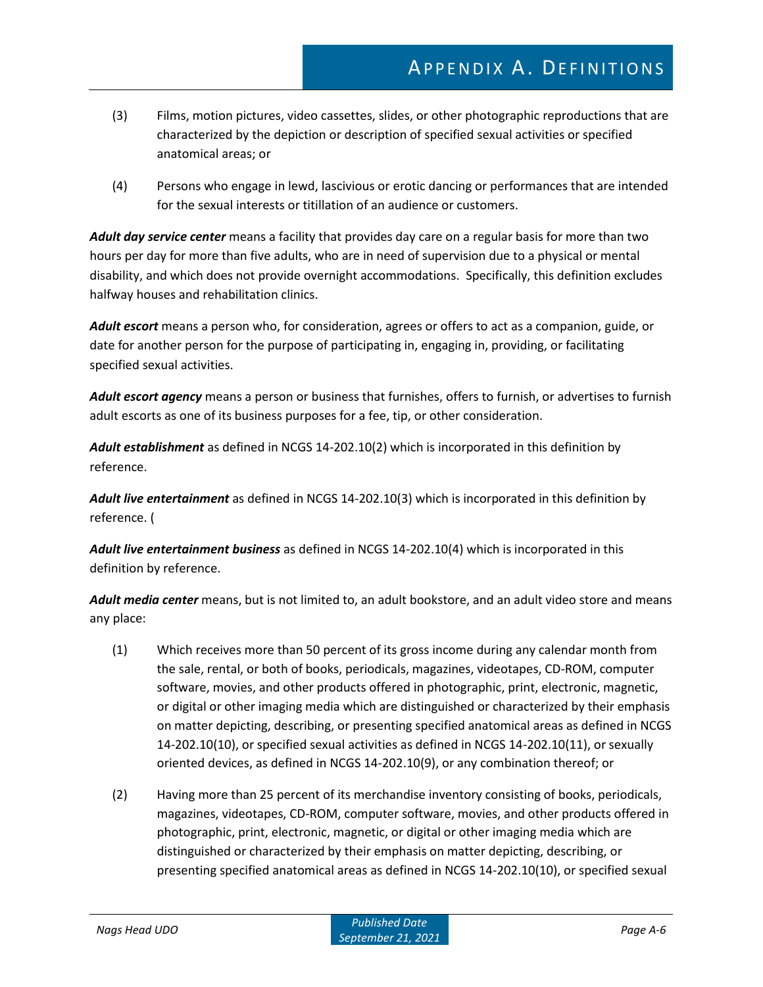- (3) Films, motion pictures, video cassettes, slides, or other photographic reproductions that are characterized by the depiction or description of specified sexual activities or specified anatomical areas; or
- (4) Persons who engage in lewd, lascivious or erotic dancing or performances that are intended for the sexual interests or titillation of an audience or customers.

*Adult day service center* means a facility that provides day care on a regular basis for more than two hours per day for more than five adults, who are in need of supervision due to a physical or mental disability, and which does not provide overnight accommodations. Specifically, this definition excludes halfway houses and rehabilitation clinics.

*Adult escort* means a person who, for consideration, agrees or offers to act as a companion, guide, or date for another person for the purpose of participating in, engaging in, providing, or facilitating specified sexual activities.

*Adult escort agency* means a person or business that furnishes, offers to furnish, or advertises to furnish adult escorts as one of its business purposes for a fee, tip, or other consideration.

*Adult establishment* as defined in NCGS 14-202.10(2) which is incorporated in this definition by reference.

*Adult live entertainment* as defined in NCGS 14-202.10(3) which is incorporated in this definition by reference. (

*Adult live entertainment business* as defined in NCGS 14-202.10(4) which is incorporated in this definition by reference.

*Adult media center* means, but is not limited to, an adult bookstore, and an adult video store and means any place:

- (1) Which receives more than 50 percent of its gross income during any calendar month from the sale, rental, or both of books, periodicals, magazines, videotapes, CD-ROM, computer software, movies, and other products offered in photographic, print, electronic, magnetic, or digital or other imaging media which are distinguished or characterized by their emphasis on matter depicting, describing, or presenting specified anatomical areas as defined in NCGS 14-202.10(10), or specified sexual activities as defined in NCGS 14-202.10(11), or sexually oriented devices, as defined in NCGS 14-202.10(9), or any combination thereof; or
- (2) Having more than 25 percent of its merchandise inventory consisting of books, periodicals, magazines, videotapes, CD-ROM, computer software, movies, and other products offered in photographic, print, electronic, magnetic, or digital or other imaging media which are distinguished or characterized by their emphasis on matter depicting, describing, or presenting specified anatomical areas as defined in NCGS 14-202.10(10), or specified sexual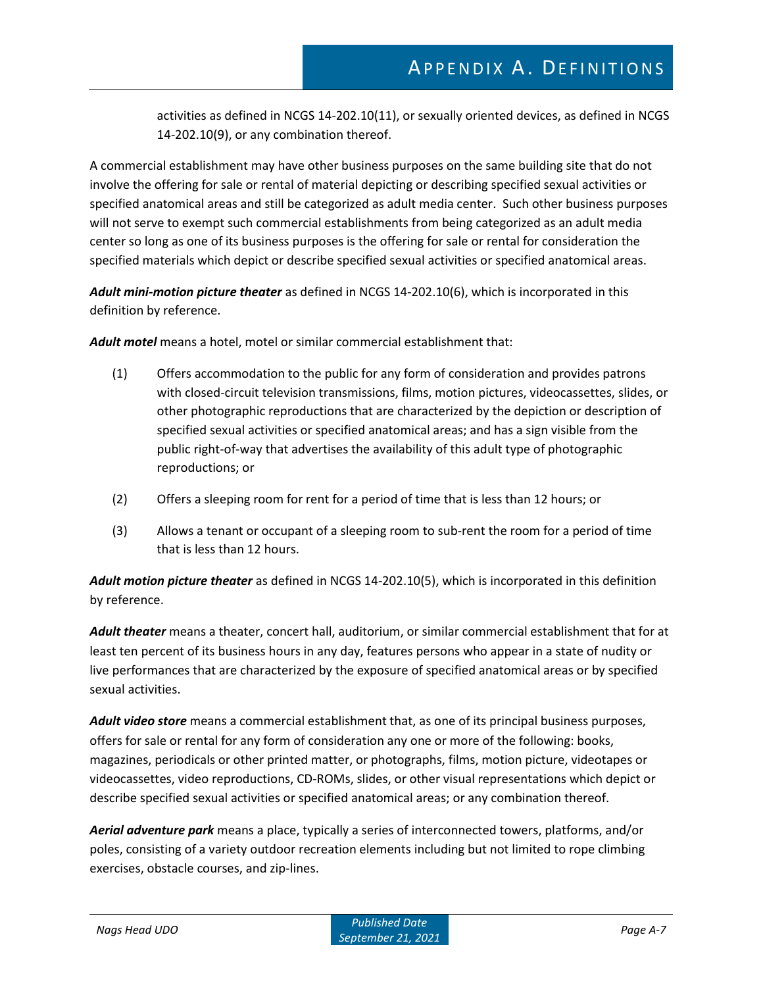activities as defined in NCGS 14-202.10(11), or sexually oriented devices, as defined in NCGS 14-202.10(9), or any combination thereof.

A commercial establishment may have other business purposes on the same building site that do not involve the offering for sale or rental of material depicting or describing specified sexual activities or specified anatomical areas and still be categorized as adult media center. Such other business purposes will not serve to exempt such commercial establishments from being categorized as an adult media center so long as one of its business purposes is the offering for sale or rental for consideration the specified materials which depict or describe specified sexual activities or specified anatomical areas.

*Adult mini-motion picture theater* as defined in NCGS 14-202.10(6), which is incorporated in this definition by reference.

*Adult motel* means a hotel, motel or similar commercial establishment that:

- (1) Offers accommodation to the public for any form of consideration and provides patrons with closed-circuit television transmissions, films, motion pictures, videocassettes, slides, or other photographic reproductions that are characterized by the depiction or description of specified sexual activities or specified anatomical areas; and has a sign visible from the public right-of-way that advertises the availability of this adult type of photographic reproductions; or
- (2) Offers a sleeping room for rent for a period of time that is less than 12 hours; or
- (3) Allows a tenant or occupant of a sleeping room to sub-rent the room for a period of time that is less than 12 hours.

*Adult motion picture theater* as defined in NCGS 14-202.10(5), which is incorporated in this definition by reference.

*Adult theater* means a theater, concert hall, auditorium, or similar commercial establishment that for at least ten percent of its business hours in any day, features persons who appear in a state of nudity or live performances that are characterized by the exposure of specified anatomical areas or by specified sexual activities.

*Adult video store* means a commercial establishment that, as one of its principal business purposes, offers for sale or rental for any form of consideration any one or more of the following: books, magazines, periodicals or other printed matter, or photographs, films, motion picture, videotapes or videocassettes, video reproductions, CD-ROMs, slides, or other visual representations which depict or describe specified sexual activities or specified anatomical areas; or any combination thereof.

*Aerial adventure park* means a place, typically a series of interconnected towers, platforms, and/or poles, consisting of a variety outdoor recreation elements including but not limited to rope climbing exercises, obstacle courses, and zip-lines.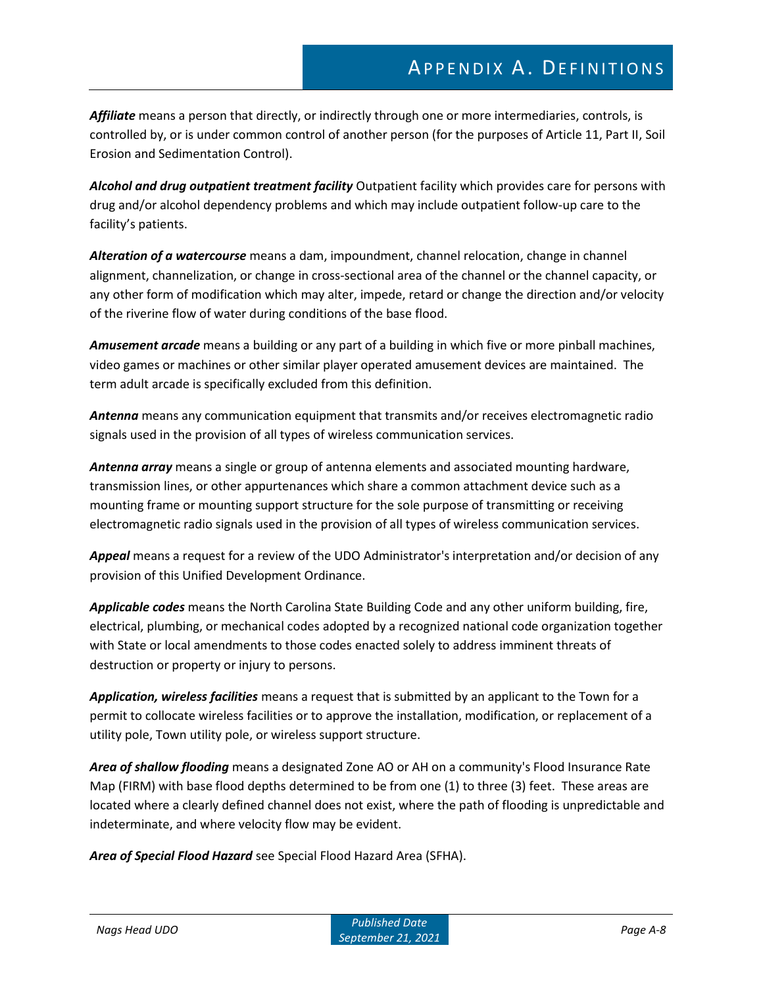*Affiliate* means a person that directly, or indirectly through one or more intermediaries, controls, is controlled by, or is under common control of another person (for the purposes of Article 11, Part II, Soil Erosion and Sedimentation Control).

*Alcohol and drug outpatient treatment facility* Outpatient facility which provides care for persons with drug and/or alcohol dependency problems and which may include outpatient follow-up care to the facility's patients.

*Alteration of a watercourse* means a dam, impoundment, channel relocation, change in channel alignment, channelization, or change in cross-sectional area of the channel or the channel capacity, or any other form of modification which may alter, impede, retard or change the direction and/or velocity of the riverine flow of water during conditions of the base flood.

*Amusement arcade* means a building or any part of a building in which five or more pinball machines, video games or machines or other similar player operated amusement devices are maintained. The term adult arcade is specifically excluded from this definition.

*Antenna* means any communication equipment that transmits and/or receives electromagnetic radio signals used in the provision of all types of wireless communication services.

*Antenna array* means a single or group of antenna elements and associated mounting hardware, transmission lines, or other appurtenances which share a common attachment device such as a mounting frame or mounting support structure for the sole purpose of transmitting or receiving electromagnetic radio signals used in the provision of all types of wireless communication services.

*Appeal* means a request for a review of the UDO Administrator's interpretation and/or decision of any provision of this Unified Development Ordinance.

*Applicable codes* means the North Carolina State Building Code and any other uniform building, fire, electrical, plumbing, or mechanical codes adopted by a recognized national code organization together with State or local amendments to those codes enacted solely to address imminent threats of destruction or property or injury to persons.

*Application, wireless facilities* means a request that is submitted by an applicant to the Town for a permit to collocate wireless facilities or to approve the installation, modification, or replacement of a utility pole, Town utility pole, or wireless support structure.

*Area of shallow flooding* means a designated Zone AO or AH on a community's Flood Insurance Rate Map (FIRM) with base flood depths determined to be from one (1) to three (3) feet. These areas are located where a clearly defined channel does not exist, where the path of flooding is unpredictable and indeterminate, and where velocity flow may be evident.

*Area of Special Flood Hazard* see Special Flood Hazard Area (SFHA).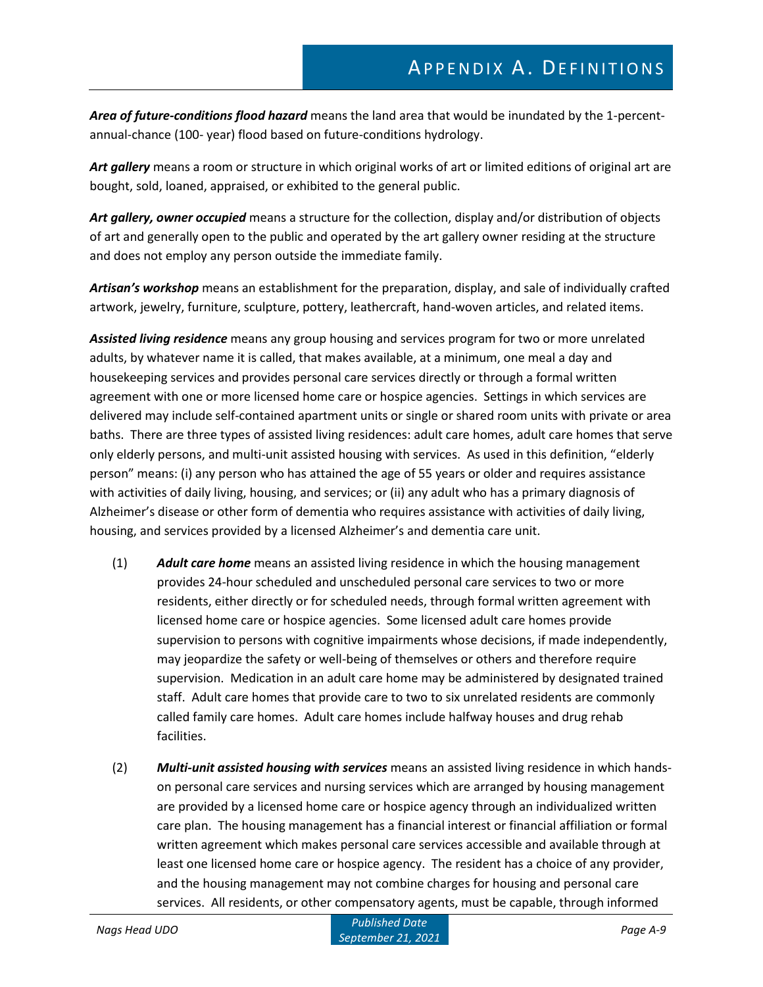*Area of future-conditions flood hazard* means the land area that would be inundated by the 1-percentannual-chance (100- year) flood based on future-conditions hydrology.

*Art gallery* means a room or structure in which original works of art or limited editions of original art are bought, sold, loaned, appraised, or exhibited to the general public.

*Art gallery, owner occupied* means a structure for the collection, display and/or distribution of objects of art and generally open to the public and operated by the art gallery owner residing at the structure and does not employ any person outside the immediate family.

*Artisan's workshop* means an establishment for the preparation, display, and sale of individually crafted artwork, jewelry, furniture, sculpture, pottery, leathercraft, hand-woven articles, and related items.

*Assisted living residence* means any group housing and services program for two or more unrelated adults, by whatever name it is called, that makes available, at a minimum, one meal a day and housekeeping services and provides personal care services directly or through a formal written agreement with one or more licensed home care or hospice agencies. Settings in which services are delivered may include self-contained apartment units or single or shared room units with private or area baths. There are three types of assisted living residences: adult care homes, adult care homes that serve only elderly persons, and multi-unit assisted housing with services. As used in this definition, "elderly person" means: (i) any person who has attained the age of 55 years or older and requires assistance with activities of daily living, housing, and services; or (ii) any adult who has a primary diagnosis of Alzheimer's disease or other form of dementia who requires assistance with activities of daily living, housing, and services provided by a licensed Alzheimer's and dementia care unit.

- (1) *Adult care home* means an assisted living residence in which the housing management provides 24-hour scheduled and unscheduled personal care services to two or more residents, either directly or for scheduled needs, through formal written agreement with licensed home care or hospice agencies. Some licensed adult care homes provide supervision to persons with cognitive impairments whose decisions, if made independently, may jeopardize the safety or well-being of themselves or others and therefore require supervision. Medication in an adult care home may be administered by designated trained staff. Adult care homes that provide care to two to six unrelated residents are commonly called family care homes. Adult care homes include halfway houses and drug rehab facilities.
- (2) *Multi-unit assisted housing with services* means an assisted living residence in which handson personal care services and nursing services which are arranged by housing management are provided by a licensed home care or hospice agency through an individualized written care plan. The housing management has a financial interest or financial affiliation or formal written agreement which makes personal care services accessible and available through at least one licensed home care or hospice agency. The resident has a choice of any provider, and the housing management may not combine charges for housing and personal care services. All residents, or other compensatory agents, must be capable, through informed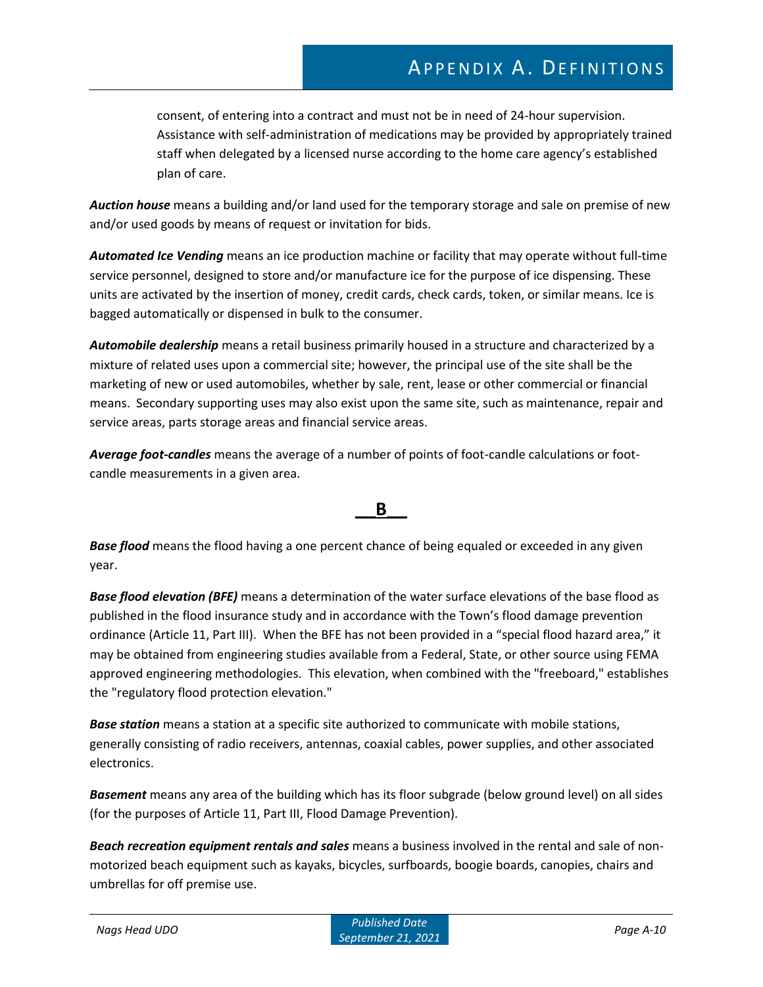consent, of entering into a contract and must not be in need of 24-hour supervision. Assistance with self-administration of medications may be provided by appropriately trained staff when delegated by a licensed nurse according to the home care agency's established plan of care.

*Auction house* means a building and/or land used for the temporary storage and sale on premise of new and/or used goods by means of request or invitation for bids.

*Automated Ice Vending* means an ice production machine or facility that may operate without full-time service personnel, designed to store and/or manufacture ice for the purpose of ice dispensing. These units are activated by the insertion of money, credit cards, check cards, token, or similar means. Ice is bagged automatically or dispensed in bulk to the consumer.

*Automobile dealership* means a retail business primarily housed in a structure and characterized by a mixture of related uses upon a commercial site; however, the principal use of the site shall be the marketing of new or used automobiles, whether by sale, rent, lease or other commercial or financial means. Secondary supporting uses may also exist upon the same site, such as maintenance, repair and service areas, parts storage areas and financial service areas.

*Average foot-candles* means the average of a number of points of foot-candle calculations or footcandle measurements in a given area.

### **\_\_\_B\_\_\_**

*Base flood* means the flood having a one percent chance of being equaled or exceeded in any given year.

*Base flood elevation (BFE)* means a determination of the water surface elevations of the base flood as published in the flood insurance study and in accordance with the Town's flood damage prevention ordinance (Article 11, Part III). When the BFE has not been provided in a "special flood hazard area," it may be obtained from engineering studies available from a Federal, State, or other source using FEMA approved engineering methodologies. This elevation, when combined with the "freeboard," establishes the "regulatory flood protection elevation."

*Base station* means a station at a specific site authorized to communicate with mobile stations, generally consisting of radio receivers, antennas, coaxial cables, power supplies, and other associated electronics.

*Basement* means any area of the building which has its floor subgrade (below ground level) on all sides (for the purposes of Article 11, Part III, Flood Damage Prevention).

*Beach recreation equipment rentals and sales* means a business involved in the rental and sale of nonmotorized beach equipment such as kayaks, bicycles, surfboards, boogie boards, canopies, chairs and umbrellas for off premise use.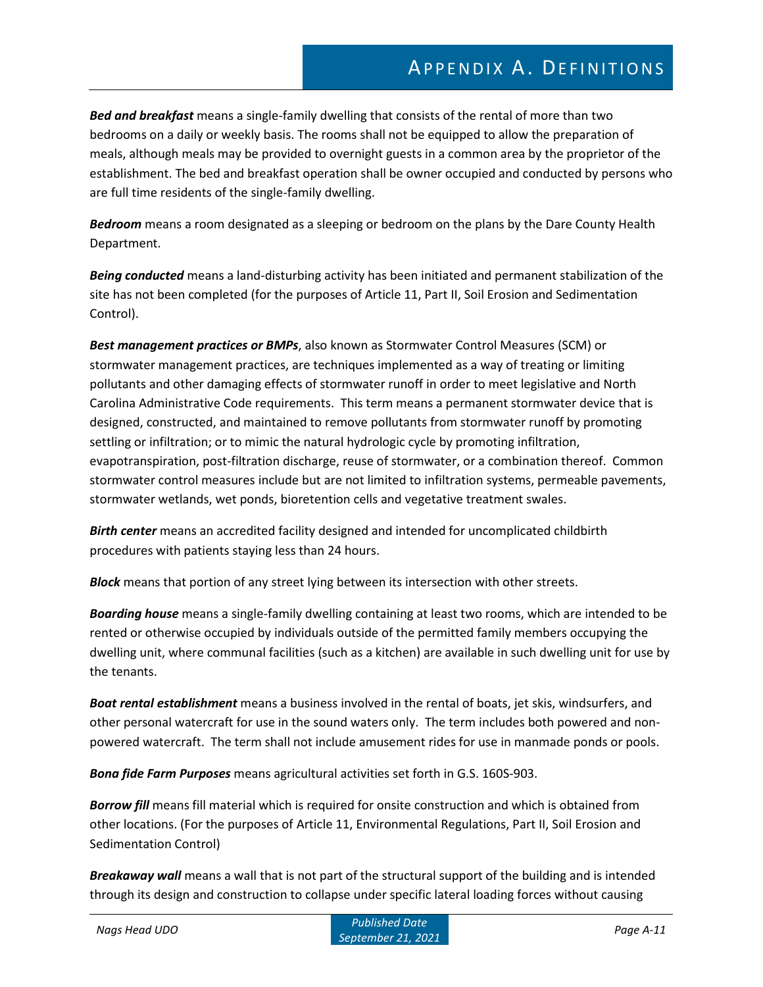*Bed and breakfast* means a single-family dwelling that consists of the rental of more than two bedrooms on a daily or weekly basis. The rooms shall not be equipped to allow the preparation of meals, although meals may be provided to overnight guests in a common area by the proprietor of the establishment. The bed and breakfast operation shall be owner occupied and conducted by persons who are full time residents of the single-family dwelling.

*Bedroom* means a room designated as a sleeping or bedroom on the plans by the Dare County Health Department.

*Being conducted* means a land-disturbing activity has been initiated and permanent stabilization of the site has not been completed (for the purposes of Article 11, Part II, Soil Erosion and Sedimentation Control).

*Best management practices or BMPs*, also known as Stormwater Control Measures (SCM) or stormwater management practices, are techniques implemented as a way of treating or limiting pollutants and other damaging effects of stormwater runoff in order to meet legislative and North Carolina Administrative Code requirements. This term means a permanent stormwater device that is designed, constructed, and maintained to remove pollutants from stormwater runoff by promoting settling or infiltration; or to mimic the natural hydrologic cycle by promoting infiltration, evapotranspiration, post-filtration discharge, reuse of stormwater, or a combination thereof. Common stormwater control measures include but are not limited to infiltration systems, permeable pavements, stormwater wetlands, wet ponds, bioretention cells and vegetative treatment swales.

*Birth center* means an accredited facility designed and intended for uncomplicated childbirth procedures with patients staying less than 24 hours.

*Block* means that portion of any street lying between its intersection with other streets.

*Boarding house* means a single-family dwelling containing at least two rooms, which are intended to be rented or otherwise occupied by individuals outside of the permitted family members occupying the dwelling unit, where communal facilities (such as a kitchen) are available in such dwelling unit for use by the tenants.

*Boat rental establishment* means a business involved in the rental of boats, jet skis, windsurfers, and other personal watercraft for use in the sound waters only. The term includes both powered and nonpowered watercraft. The term shall not include amusement rides for use in manmade ponds or pools.

*Bona fide Farm Purposes* means agricultural activities set forth in G.S. 160S-903.

*Borrow fill* means fill material which is required for onsite construction and which is obtained from other locations. (For the purposes of Article 11, Environmental Regulations, Part II, Soil Erosion and Sedimentation Control)

*Breakaway wall* means a wall that is not part of the structural support of the building and is intended through its design and construction to collapse under specific lateral loading forces without causing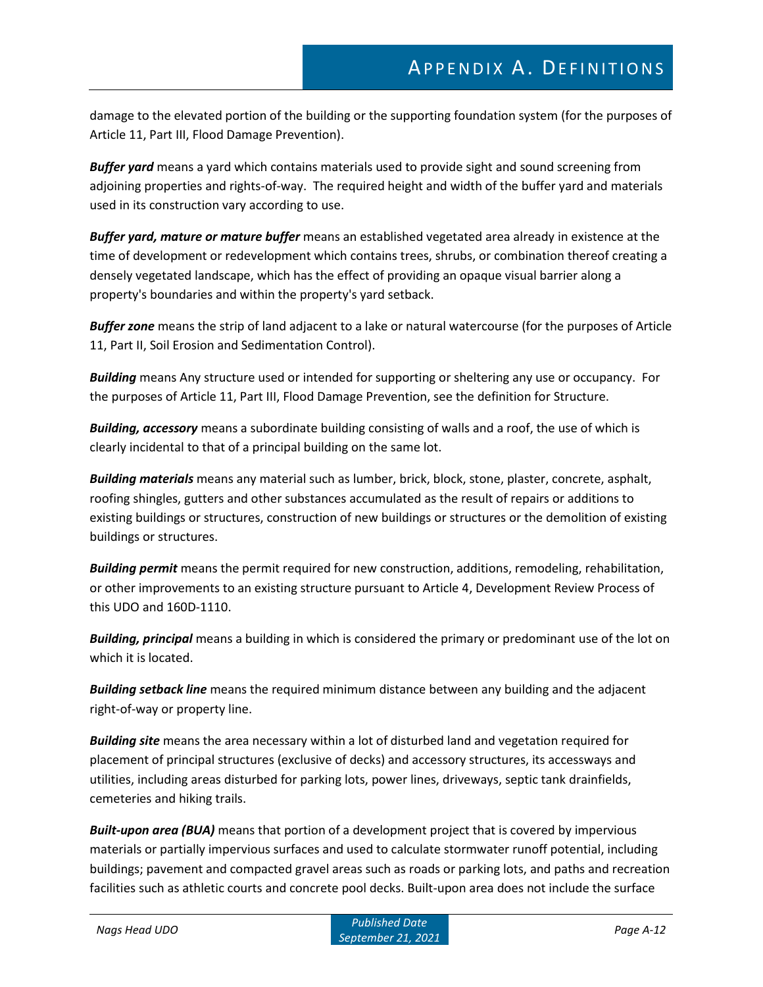damage to the elevated portion of the building or the supporting foundation system (for the purposes of Article 11, Part III, Flood Damage Prevention).

*Buffer yard* means a yard which contains materials used to provide sight and sound screening from adjoining properties and rights-of-way. The required height and width of the buffer yard and materials used in its construction vary according to use.

*Buffer yard, mature or mature buffer* means an established vegetated area already in existence at the time of development or redevelopment which contains trees, shrubs, or combination thereof creating a densely vegetated landscape, which has the effect of providing an opaque visual barrier along a property's boundaries and within the property's yard setback.

*Buffer zone* means the strip of land adjacent to a lake or natural watercourse (for the purposes of Article 11, Part II, Soil Erosion and Sedimentation Control).

*Building* means Any structure used or intended for supporting or sheltering any use or occupancy. For the purposes of Article 11, Part III, Flood Damage Prevention, see the definition for Structure.

*Building, accessory* means a subordinate building consisting of walls and a roof, the use of which is clearly incidental to that of a principal building on the same lot.

*Building materials* means any material such as lumber, brick, block, stone, plaster, concrete, asphalt, roofing shingles, gutters and other substances accumulated as the result of repairs or additions to existing buildings or structures, construction of new buildings or structures or the demolition of existing buildings or structures.

*Building permit* means the permit required for new construction, additions, remodeling, rehabilitation, or other improvements to an existing structure pursuant to Article 4, Development Review Process of this UDO and 160D-1110.

*Building, principal* means a building in which is considered the primary or predominant use of the lot on which it is located.

*Building setback line* means the required minimum distance between any building and the adjacent right-of-way or property line.

*Building site* means the area necessary within a lot of disturbed land and vegetation required for placement of principal structures (exclusive of decks) and accessory structures, its accessways and utilities, including areas disturbed for parking lots, power lines, driveways, septic tank drainfields, cemeteries and hiking trails.

*Built-upon area (BUA)* means that portion of a development project that is covered by impervious materials or partially impervious surfaces and used to calculate stormwater runoff potential, including buildings; pavement and compacted gravel areas such as roads or parking lots, and paths and recreation facilities such as athletic courts and concrete pool decks. Built-upon area does not include the surface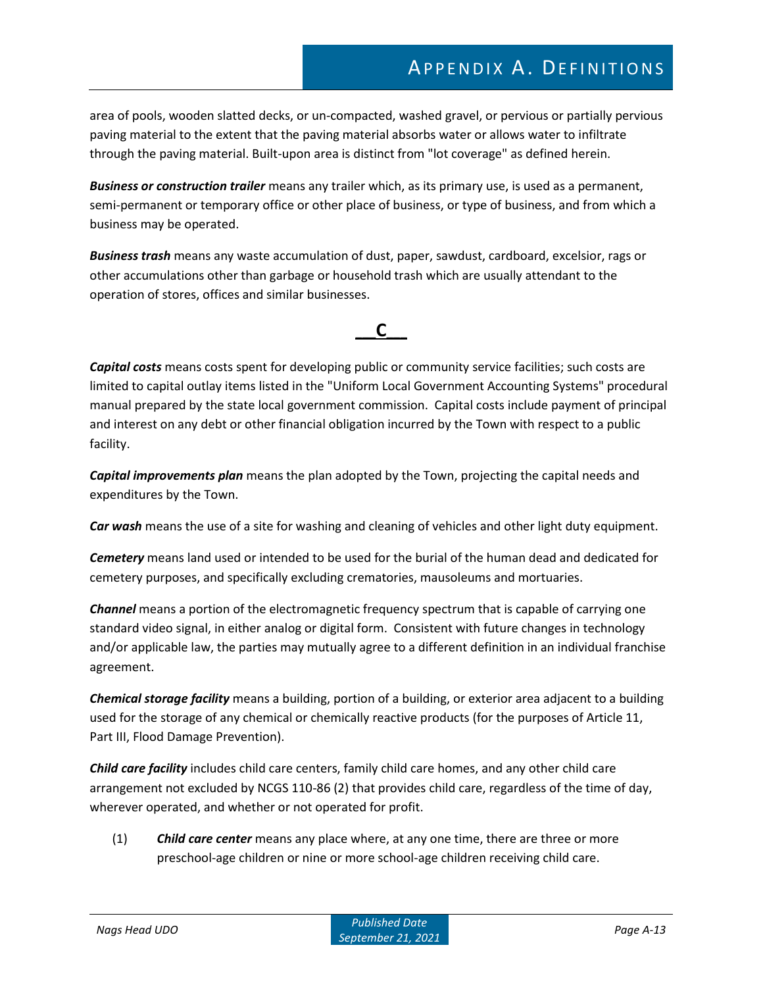area of pools, wooden slatted decks, or un-compacted, washed gravel, or pervious or partially pervious paving material to the extent that the paving material absorbs water or allows water to infiltrate through the paving material. Built-upon area is distinct from "lot coverage" as defined herein.

*Business or construction trailer* means any trailer which, as its primary use, is used as a permanent, semi-permanent or temporary office or other place of business, or type of business, and from which a business may be operated.

*Business trash* means any waste accumulation of dust, paper, sawdust, cardboard, excelsior, rags or other accumulations other than garbage or household trash which are usually attendant to the operation of stores, offices and similar businesses.

# **\_\_\_C\_\_\_**

*Capital costs* means costs spent for developing public or community service facilities; such costs are limited to capital outlay items listed in the "Uniform Local Government Accounting Systems" procedural manual prepared by the state local government commission. Capital costs include payment of principal and interest on any debt or other financial obligation incurred by the Town with respect to a public facility.

*Capital improvements plan* means the plan adopted by the Town, projecting the capital needs and expenditures by the Town.

*Car wash* means the use of a site for washing and cleaning of vehicles and other light duty equipment.

*Cemetery* means land used or intended to be used for the burial of the human dead and dedicated for cemetery purposes, and specifically excluding crematories, mausoleums and mortuaries.

*Channel* means a portion of the electromagnetic frequency spectrum that is capable of carrying one standard video signal, in either analog or digital form. Consistent with future changes in technology and/or applicable law, the parties may mutually agree to a different definition in an individual franchise agreement.

*Chemical storage facility* means a building, portion of a building, or exterior area adjacent to a building used for the storage of any chemical or chemically reactive products (for the purposes of Article 11, Part III, Flood Damage Prevention).

*Child care facility* includes child care centers, family child care homes, and any other child care arrangement not excluded by NCGS 110-86 (2) that provides child care, regardless of the time of day, wherever operated, and whether or not operated for profit.

(1) *Child care center* means any place where, at any one time, there are three or more preschool-age children or nine or more school-age children receiving child care.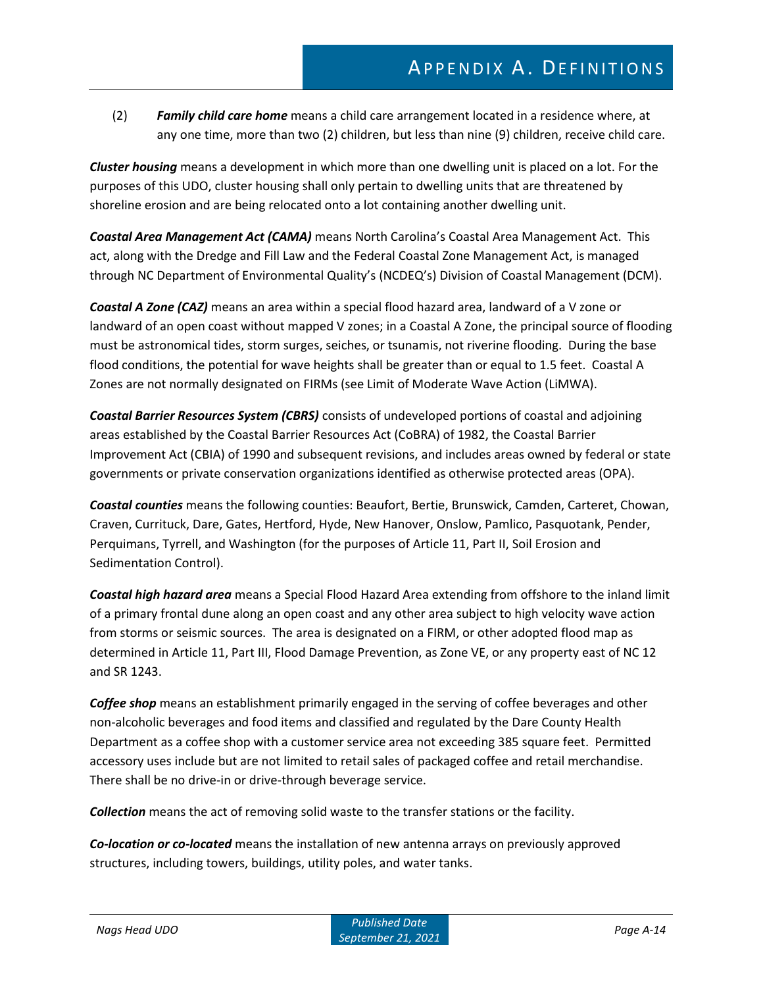(2) *Family child care home* means a child care arrangement located in a residence where, at any one time, more than two (2) children, but less than nine (9) children, receive child care.

*Cluster housing* means a development in which more than one dwelling unit is placed on a lot. For the purposes of this UDO, cluster housing shall only pertain to dwelling units that are threatened by shoreline erosion and are being relocated onto a lot containing another dwelling unit.

*Coastal Area Management Act (CAMA)* means North Carolina's Coastal Area Management Act. This act, along with the Dredge and Fill Law and the Federal Coastal Zone Management Act, is managed through NC Department of Environmental Quality's (NCDEQ's) Division of Coastal Management (DCM).

*Coastal A Zone (CAZ)* means an area within a special flood hazard area, landward of a V zone or landward of an open coast without mapped V zones; in a Coastal A Zone, the principal source of flooding must be astronomical tides, storm surges, seiches, or tsunamis, not riverine flooding. During the base flood conditions, the potential for wave heights shall be greater than or equal to 1.5 feet. Coastal A Zones are not normally designated on FIRMs (see Limit of Moderate Wave Action (LiMWA).

*Coastal Barrier Resources System (CBRS)* consists of undeveloped portions of coastal and adjoining areas established by the Coastal Barrier Resources Act (CoBRA) of 1982, the Coastal Barrier Improvement Act (CBIA) of 1990 and subsequent revisions, and includes areas owned by federal or state governments or private conservation organizations identified as otherwise protected areas (OPA).

*Coastal counties* means the following counties: Beaufort, Bertie, Brunswick, Camden, Carteret, Chowan, Craven, Currituck, Dare, Gates, Hertford, Hyde, New Hanover, Onslow, Pamlico, Pasquotank, Pender, Perquimans, Tyrrell, and Washington (for the purposes of Article 11, Part II, Soil Erosion and Sedimentation Control).

*Coastal high hazard area* means a Special Flood Hazard Area extending from offshore to the inland limit of a primary frontal dune along an open coast and any other area subject to high velocity wave action from storms or seismic sources. The area is designated on a FIRM, or other adopted flood map as determined in Article 11, Part III, Flood Damage Prevention, as Zone VE, or any property east of NC 12 and SR 1243.

*Coffee shop* means an establishment primarily engaged in the serving of coffee beverages and other non-alcoholic beverages and food items and classified and regulated by the Dare County Health Department as a coffee shop with a customer service area not exceeding 385 square feet. Permitted accessory uses include but are not limited to retail sales of packaged coffee and retail merchandise. There shall be no drive-in or drive-through beverage service.

*Collection* means the act of removing solid waste to the transfer stations or the facility.

*Co-location or co-located* means the installation of new antenna arrays on previously approved structures, including towers, buildings, utility poles, and water tanks.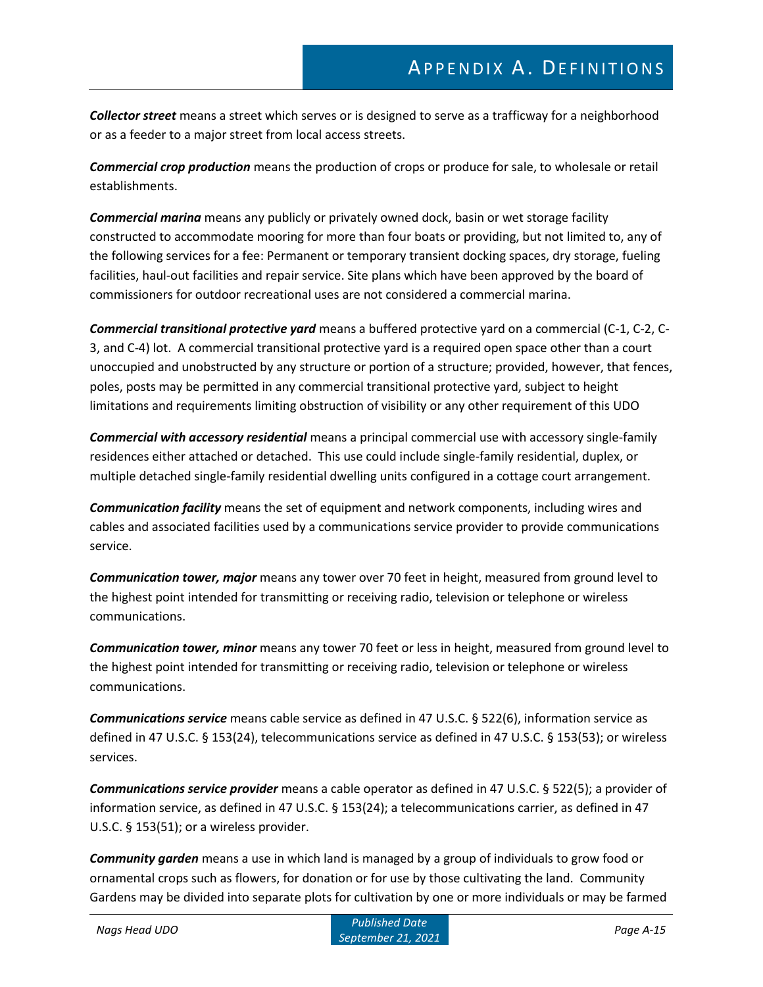*Collector street* means a street which serves or is designed to serve as a trafficway for a neighborhood or as a feeder to a major street from local access streets.

*Commercial crop production* means the production of crops or produce for sale, to wholesale or retail establishments.

*Commercial marina* means any publicly or privately owned dock, basin or wet storage facility constructed to accommodate mooring for more than four boats or providing, but not limited to, any of the following services for a fee: Permanent or temporary transient docking spaces, dry storage, fueling facilities, haul-out facilities and repair service. Site plans which have been approved by the board of commissioners for outdoor recreational uses are not considered a commercial marina.

*Commercial transitional protective yard* means a buffered protective yard on a commercial (C-1, C-2, C-3, and C-4) lot. A commercial transitional protective yard is a required open space other than a court unoccupied and unobstructed by any structure or portion of a structure; provided, however, that fences, poles, posts may be permitted in any commercial transitional protective yard, subject to height limitations and requirements limiting obstruction of visibility or any other requirement of this UDO

*Commercial with accessory residential* means a principal commercial use with accessory single-family residences either attached or detached. This use could include single-family residential, duplex, or multiple detached single-family residential dwelling units configured in a cottage court arrangement.

*Communication facility* means the set of equipment and network components, including wires and cables and associated facilities used by a communications service provider to provide communications service.

*Communication tower, major* means any tower over 70 feet in height, measured from ground level to the highest point intended for transmitting or receiving radio, television or telephone or wireless communications.

*Communication tower, minor* means any tower 70 feet or less in height, measured from ground level to the highest point intended for transmitting or receiving radio, television or telephone or wireless communications.

*Communications service* means cable service as defined in 47 U.S.C. § 522(6), information service as defined in 47 U.S.C. § 153(24), telecommunications service as defined in 47 U.S.C. § 153(53); or wireless services.

*Communications service provider* means a cable operator as defined in 47 U.S.C. § 522(5); a provider of information service, as defined in 47 U.S.C. § 153(24); a telecommunications carrier, as defined in 47 U.S.C. § 153(51); or a wireless provider.

*Community garden* means a use in which land is managed by a group of individuals to grow food or ornamental crops such as flowers, for donation or for use by those cultivating the land. Community Gardens may be divided into separate plots for cultivation by one or more individuals or may be farmed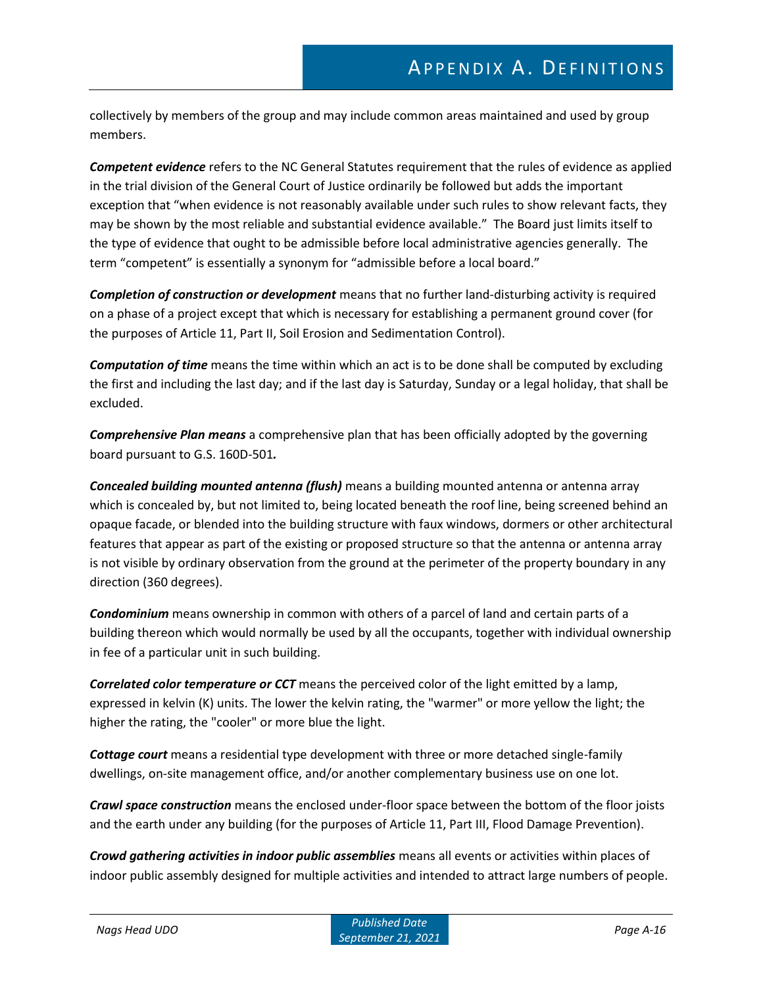collectively by members of the group and may include common areas maintained and used by group members.

*Competent evidence* refers to the NC General Statutes requirement that the rules of evidence as applied in the trial division of the General Court of Justice ordinarily be followed but adds the important exception that "when evidence is not reasonably available under such rules to show relevant facts, they may be shown by the most reliable and substantial evidence available." The Board just limits itself to the type of evidence that ought to be admissible before local administrative agencies generally. The term "competent" is essentially a synonym for "admissible before a local board."

*Completion of construction or development* means that no further land-disturbing activity is required on a phase of a project except that which is necessary for establishing a permanent ground cover (for the purposes of Article 11, Part II, Soil Erosion and Sedimentation Control).

*Computation of time* means the time within which an act is to be done shall be computed by excluding the first and including the last day; and if the last day is Saturday, Sunday or a legal holiday, that shall be excluded.

*Comprehensive Plan means* a comprehensive plan that has been officially adopted by the governing board pursuant to G.S. 160D-501*.*

*Concealed building mounted antenna (flush)* means a building mounted antenna or antenna array which is concealed by, but not limited to, being located beneath the roof line, being screened behind an opaque facade, or blended into the building structure with faux windows, dormers or other architectural features that appear as part of the existing or proposed structure so that the antenna or antenna array is not visible by ordinary observation from the ground at the perimeter of the property boundary in any direction (360 degrees).

*Condominium* means ownership in common with others of a parcel of land and certain parts of a building thereon which would normally be used by all the occupants, together with individual ownership in fee of a particular unit in such building.

*Correlated color temperature or CCT* means the perceived color of the light emitted by a lamp, expressed in kelvin (K) units. The lower the kelvin rating, the "warmer" or more yellow the light; the higher the rating, the "cooler" or more blue the light.

*Cottage court* means a residential type development with three or more detached single-family dwellings, on-site management office, and/or another complementary business use on one lot.

*Crawl space construction* means the enclosed under-floor space between the bottom of the floor joists and the earth under any building (for the purposes of Article 11, Part III, Flood Damage Prevention).

*Crowd gathering activities in indoor public assemblies* means all events or activities within places of indoor public assembly designed for multiple activities and intended to attract large numbers of people.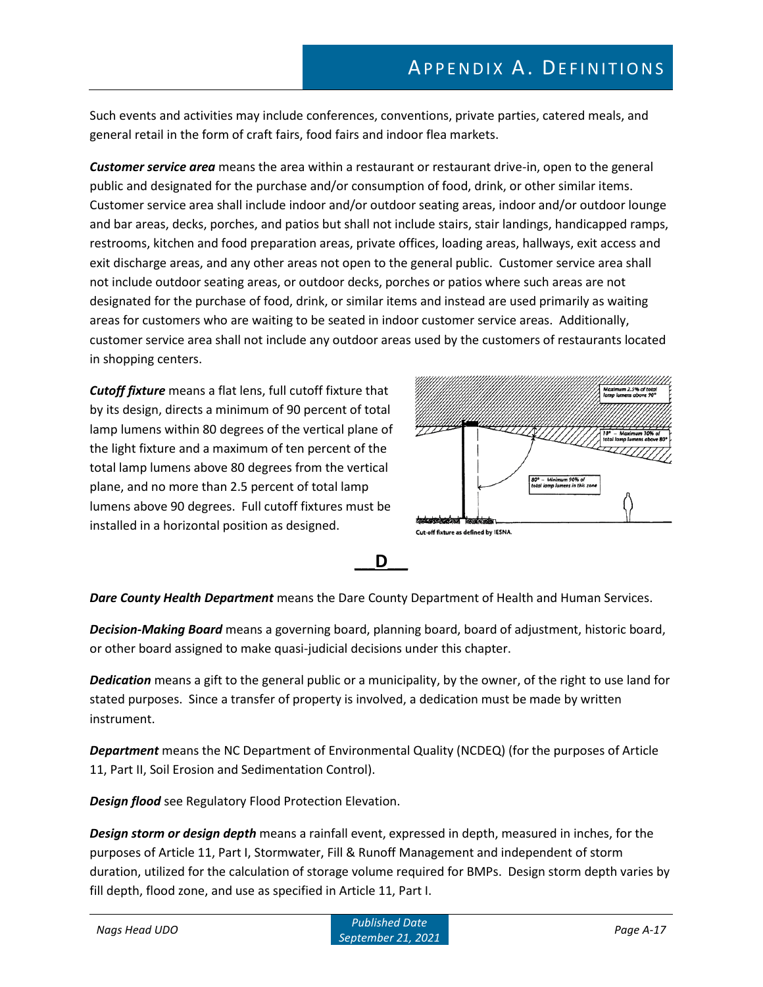Such events and activities may include conferences, conventions, private parties, catered meals, and general retail in the form of craft fairs, food fairs and indoor flea markets.

*Customer service area* means the area within a restaurant or restaurant drive-in, open to the general public and designated for the purchase and/or consumption of food, drink, or other similar items. Customer service area shall include indoor and/or outdoor seating areas, indoor and/or outdoor lounge and bar areas, decks, porches, and patios but shall not include stairs, stair landings, handicapped ramps, restrooms, kitchen and food preparation areas, private offices, loading areas, hallways, exit access and exit discharge areas, and any other areas not open to the general public. Customer service area shall not include outdoor seating areas, or outdoor decks, porches or patios where such areas are not designated for the purchase of food, drink, or similar items and instead are used primarily as waiting areas for customers who are waiting to be seated in indoor customer service areas. Additionally, customer service area shall not include any outdoor areas used by the customers of restaurants located in shopping centers.

*Cutoff fixture* means a flat lens, full cutoff fixture that by its design, directs a minimum of 90 percent of total lamp lumens within 80 degrees of the vertical plane of the light fixture and a maximum of ten percent of the total lamp lumens above 80 degrees from the vertical plane, and no more than 2.5 percent of total lamp lumens above 90 degrees. Full cutoff fixtures must be installed in a horizontal position as designed.





*Dare County Health Department* means the Dare County Department of Health and Human Services.

*Decision-Making Board* means a governing board, planning board, board of adjustment, historic board, or other board assigned to make quasi-judicial decisions under this chapter.

*Dedication* means a gift to the general public or a municipality, by the owner, of the right to use land for stated purposes. Since a transfer of property is involved, a dedication must be made by written instrument.

*Department* means the NC Department of Environmental Quality (NCDEQ) (for the purposes of Article 11, Part II, Soil Erosion and Sedimentation Control).

*Design flood* see Regulatory Flood Protection Elevation.

*Design storm or design depth* means a rainfall event, expressed in depth, measured in inches, for the purposes of Article 11, Part I, Stormwater, Fill & Runoff Management and independent of storm duration, utilized for the calculation of storage volume required for BMPs. Design storm depth varies by fill depth, flood zone, and use as specified in Article 11, Part I.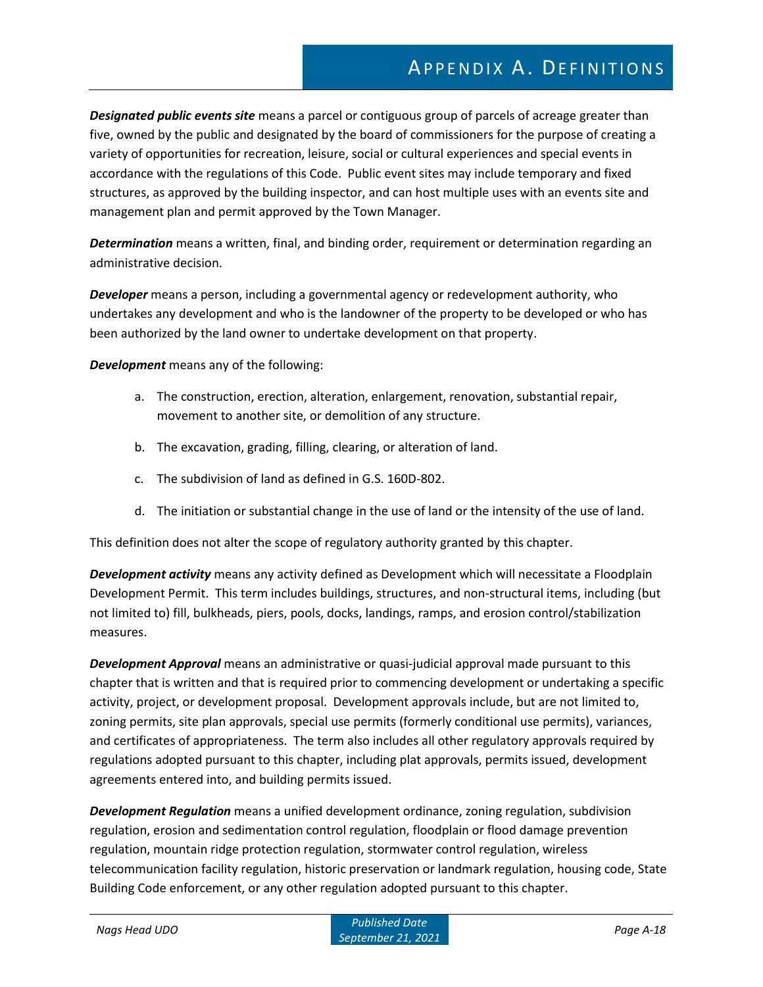*Designated public events site* means a parcel or contiguous group of parcels of acreage greater than five, owned by the public and designated by the board of commissioners for the purpose of creating a variety of opportunities for recreation, leisure, social or cultural experiences and special events in accordance with the regulations of this Code. Public event sites may include temporary and fixed structures, as approved by the building inspector, and can host multiple uses with an events site and management plan and permit approved by the Town Manager.

*Determination* means a written, final, and binding order, requirement or determination regarding an administrative decision.

*Developer* means a person, including a governmental agency or redevelopment authority, who undertakes any development and who is the landowner of the property to be developed or who has been authorized by the land owner to undertake development on that property.

*Development* means any of the following:

- a. The construction, erection, alteration, enlargement, renovation, substantial repair, movement to another site, or demolition of any structure.
- b. The excavation, grading, filling, clearing, or alteration of land.
- c. The subdivision of land as defined in G.S. 160D-802.
- d. The initiation or substantial change in the use of land or the intensity of the use of land.

This definition does not alter the scope of regulatory authority granted by this chapter.

*Development activity* means any activity defined as Development which will necessitate a Floodplain Development Permit. This term includes buildings, structures, and non-structural items, including (but not limited to) fill, bulkheads, piers, pools, docks, landings, ramps, and erosion control/stabilization measures.

*Development Approval* means an administrative or quasi-judicial approval made pursuant to this chapter that is written and that is required prior to commencing development or undertaking a specific activity, project, or development proposal. Development approvals include, but are not limited to, zoning permits, site plan approvals, special use permits (formerly conditional use permits), variances, and certificates of appropriateness. The term also includes all other regulatory approvals required by regulations adopted pursuant to this chapter, including plat approvals, permits issued, development agreements entered into, and building permits issued.

*Development Regulation* means a unified development ordinance, zoning regulation, subdivision regulation, erosion and sedimentation control regulation, floodplain or flood damage prevention regulation, mountain ridge protection regulation, stormwater control regulation, wireless telecommunication facility regulation, historic preservation or landmark regulation, housing code, State Building Code enforcement, or any other regulation adopted pursuant to this chapter.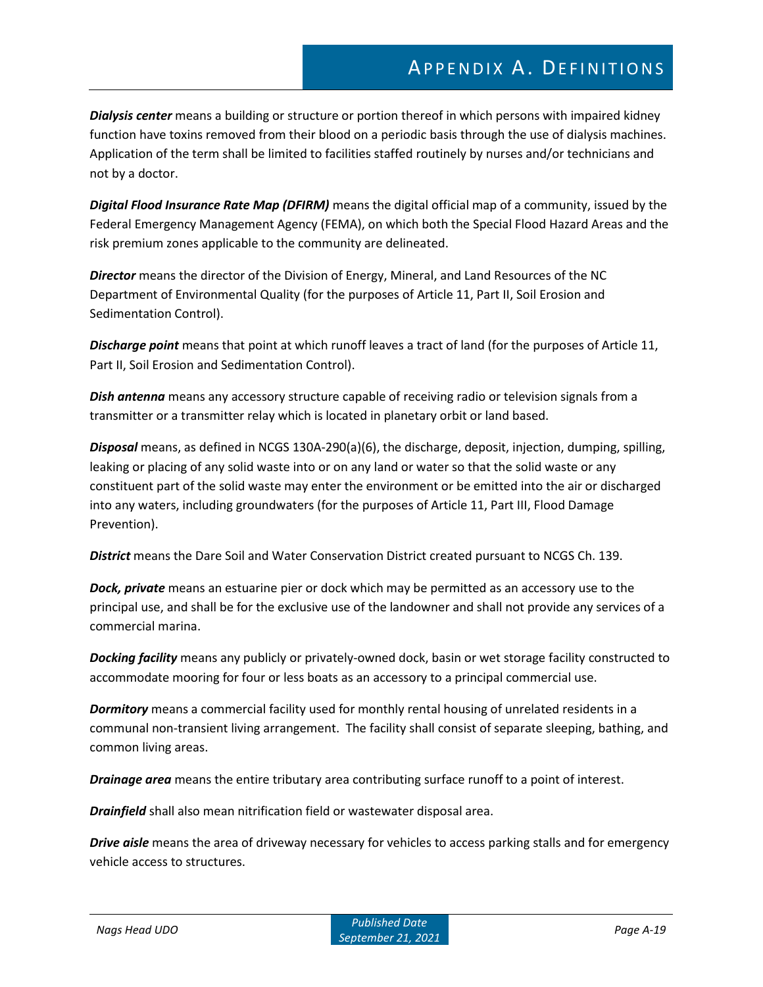*Dialysis center* means a building or structure or portion thereof in which persons with impaired kidney function have toxins removed from their blood on a periodic basis through the use of dialysis machines. Application of the term shall be limited to facilities staffed routinely by nurses and/or technicians and not by a doctor.

*Digital Flood Insurance Rate Map (DFIRM)* means the digital official map of a community, issued by the Federal Emergency Management Agency (FEMA), on which both the Special Flood Hazard Areas and the risk premium zones applicable to the community are delineated.

*Director* means the director of the Division of Energy, Mineral, and Land Resources of the NC Department of Environmental Quality (for the purposes of Article 11, Part II, Soil Erosion and Sedimentation Control).

*Discharge point* means that point at which runoff leaves a tract of land (for the purposes of Article 11, Part II, Soil Erosion and Sedimentation Control).

*Dish antenna* means any accessory structure capable of receiving radio or television signals from a transmitter or a transmitter relay which is located in planetary orbit or land based.

*Disposal* means, as defined in NCGS 130A-290(a)(6), the discharge, deposit, injection, dumping, spilling, leaking or placing of any solid waste into or on any land or water so that the solid waste or any constituent part of the solid waste may enter the environment or be emitted into the air or discharged into any waters, including groundwaters (for the purposes of Article 11, Part III, Flood Damage Prevention).

*District* means the Dare Soil and Water Conservation District created pursuant to NCGS Ch. 139.

*Dock, private* means an estuarine pier or dock which may be permitted as an accessory use to the principal use, and shall be for the exclusive use of the landowner and shall not provide any services of a commercial marina.

*Docking facility* means any publicly or privately-owned dock, basin or wet storage facility constructed to accommodate mooring for four or less boats as an accessory to a principal commercial use.

*Dormitory* means a commercial facility used for monthly rental housing of unrelated residents in a communal non-transient living arrangement. The facility shall consist of separate sleeping, bathing, and common living areas.

*Drainage area* means the entire tributary area contributing surface runoff to a point of interest.

*Drainfield* shall also mean nitrification field or wastewater disposal area.

*Drive aisle* means the area of driveway necessary for vehicles to access parking stalls and for emergency vehicle access to structures.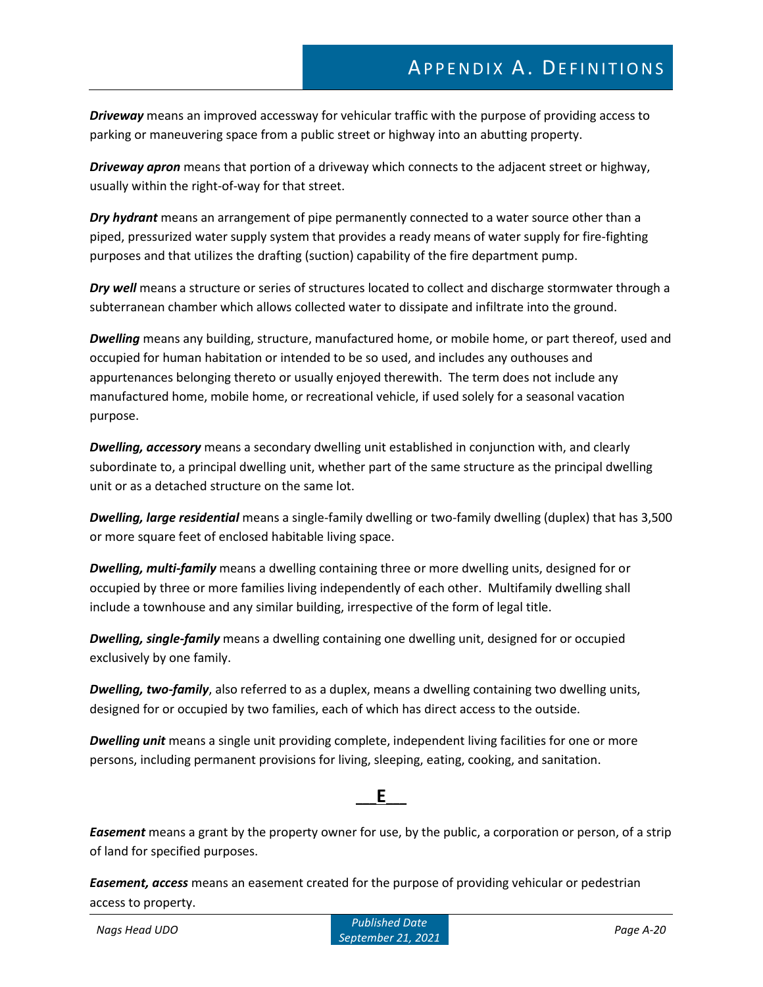*Driveway* means an improved accessway for vehicular traffic with the purpose of providing access to parking or maneuvering space from a public street or highway into an abutting property.

*Driveway apron* means that portion of a driveway which connects to the adjacent street or highway, usually within the right-of-way for that street.

*Dry hydrant* means an arrangement of pipe permanently connected to a water source other than a piped, pressurized water supply system that provides a ready means of water supply for fire-fighting purposes and that utilizes the drafting (suction) capability of the fire department pump.

*Dry well* means a structure or series of structures located to collect and discharge stormwater through a subterranean chamber which allows collected water to dissipate and infiltrate into the ground.

*Dwelling* means any building, structure, manufactured home, or mobile home, or part thereof, used and occupied for human habitation or intended to be so used, and includes any outhouses and appurtenances belonging thereto or usually enjoyed therewith. The term does not include any manufactured home, mobile home, or recreational vehicle, if used solely for a seasonal vacation purpose.

*Dwelling, accessory* means a secondary dwelling unit established in conjunction with, and clearly subordinate to, a principal dwelling unit, whether part of the same structure as the principal dwelling unit or as a detached structure on the same lot.

*Dwelling, large residential* means a single-family dwelling or two-family dwelling (duplex) that has 3,500 or more square feet of enclosed habitable living space.

*Dwelling, multi-family* means a dwelling containing three or more dwelling units, designed for or occupied by three or more families living independently of each other. Multifamily dwelling shall include a townhouse and any similar building, irrespective of the form of legal title.

*Dwelling, single-family* means a dwelling containing one dwelling unit, designed for or occupied exclusively by one family.

*Dwelling, two-family*, also referred to as a duplex, means a dwelling containing two dwelling units, designed for or occupied by two families, each of which has direct access to the outside.

*Dwelling unit* means a single unit providing complete, independent living facilities for one or more persons, including permanent provisions for living, sleeping, eating, cooking, and sanitation.



*Easement* means a grant by the property owner for use, by the public, a corporation or person, of a strip of land for specified purposes.

*Easement, access* means an easement created for the purpose of providing vehicular or pedestrian access to property.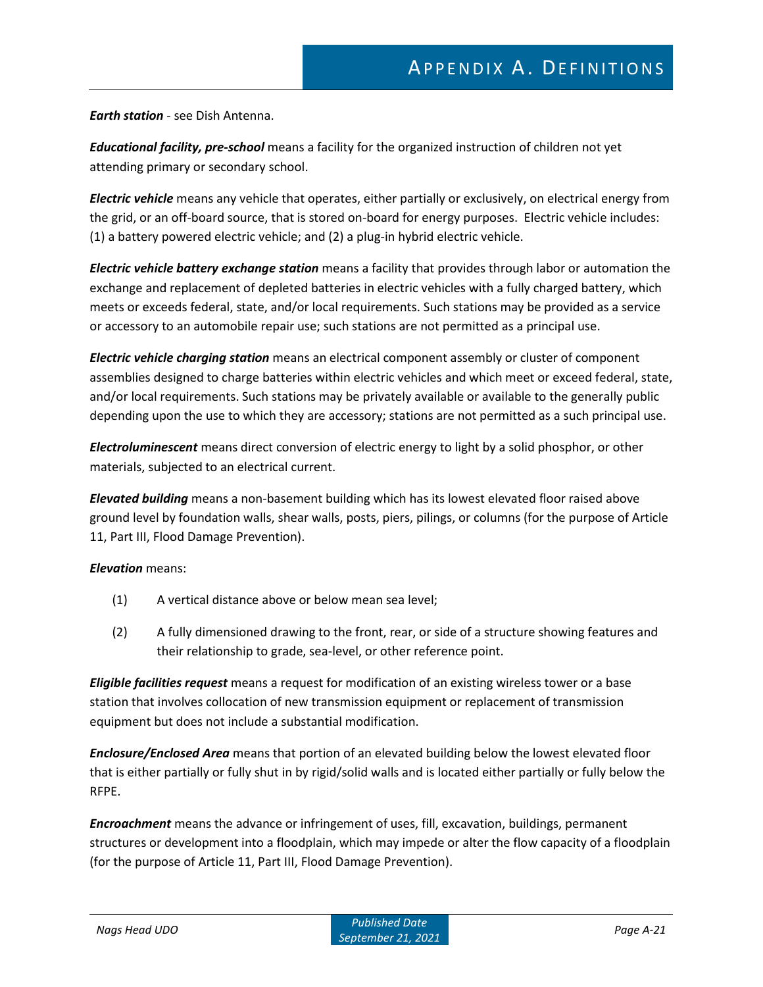*Earth station* - see Dish Antenna.

*Educational facility, pre-school* means a facility for the organized instruction of children not yet attending primary or secondary school.

*Electric vehicle* means any vehicle that operates, either partially or exclusively, on electrical energy from the grid, or an off-board source, that is stored on-board for energy purposes. Electric vehicle includes: (1) a battery powered electric vehicle; and (2) a plug-in hybrid electric vehicle.

*Electric vehicle battery exchange station* means a facility that provides through labor or automation the exchange and replacement of depleted batteries in electric vehicles with a fully charged battery, which meets or exceeds federal, state, and/or local requirements. Such stations may be provided as a service or accessory to an automobile repair use; such stations are not permitted as a principal use.

*Electric vehicle charging station* means an electrical component assembly or cluster of component assemblies designed to charge batteries within electric vehicles and which meet or exceed federal, state, and/or local requirements. Such stations may be privately available or available to the generally public depending upon the use to which they are accessory; stations are not permitted as a such principal use.

*Electroluminescent* means direct conversion of electric energy to light by a solid phosphor, or other materials, subjected to an electrical current.

*Elevated building* means a non-basement building which has its lowest elevated floor raised above ground level by foundation walls, shear walls, posts, piers, pilings, or columns (for the purpose of Article 11, Part III, Flood Damage Prevention).

#### *Elevation* means:

- (1) A vertical distance above or below mean sea level;
- (2) A fully dimensioned drawing to the front, rear, or side of a structure showing features and their relationship to grade, sea-level, or other reference point.

*Eligible facilities request* means a request for modification of an existing wireless tower or a base station that involves collocation of new transmission equipment or replacement of transmission equipment but does not include a substantial modification.

*Enclosure/Enclosed Area* means that portion of an elevated building below the lowest elevated floor that is either partially or fully shut in by rigid/solid walls and is located either partially or fully below the RFPE.

*Encroachment* means the advance or infringement of uses, fill, excavation, buildings, permanent structures or development into a floodplain, which may impede or alter the flow capacity of a floodplain (for the purpose of Article 11, Part III, Flood Damage Prevention).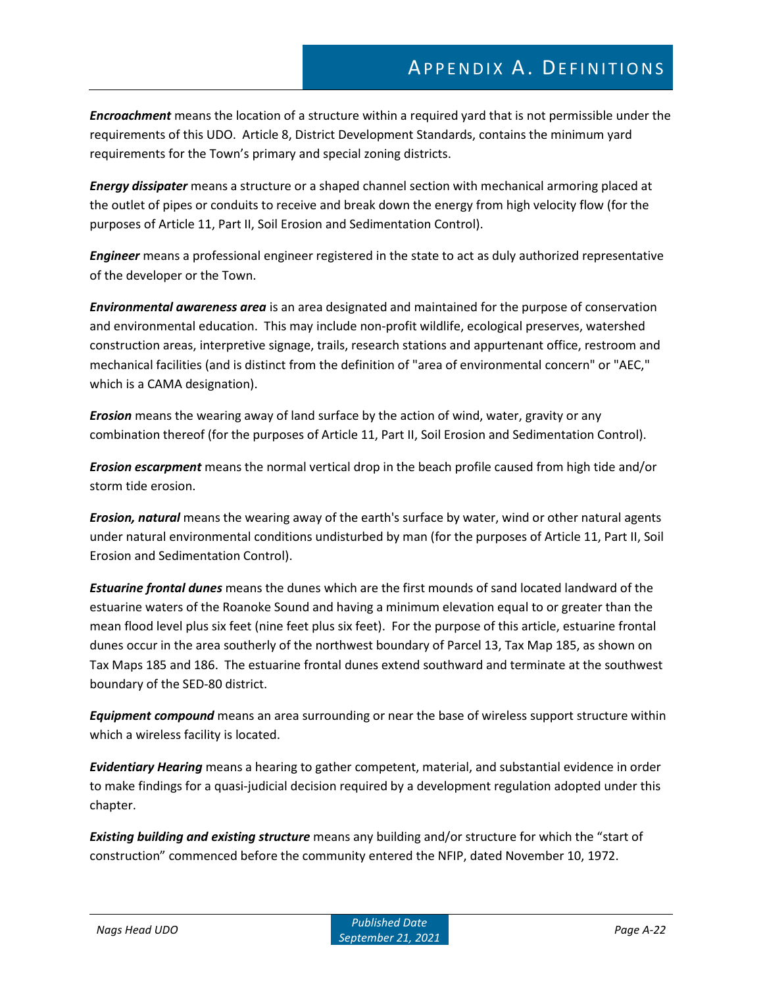*Encroachment* means the location of a structure within a required yard that is not permissible under the requirements of this UDO. Article 8, District Development Standards, contains the minimum yard requirements for the Town's primary and special zoning districts.

*Energy dissipater* means a structure or a shaped channel section with mechanical armoring placed at the outlet of pipes or conduits to receive and break down the energy from high velocity flow (for the purposes of Article 11, Part II, Soil Erosion and Sedimentation Control).

*Engineer* means a professional engineer registered in the state to act as duly authorized representative of the developer or the Town.

*Environmental awareness area* is an area designated and maintained for the purpose of conservation and environmental education. This may include non-profit wildlife, ecological preserves, watershed construction areas, interpretive signage, trails, research stations and appurtenant office, restroom and mechanical facilities (and is distinct from the definition of "area of environmental concern" or "AEC," which is a CAMA designation).

*Erosion* means the wearing away of land surface by the action of wind, water, gravity or any combination thereof (for the purposes of Article 11, Part II, Soil Erosion and Sedimentation Control).

*Erosion escarpment* means the normal vertical drop in the beach profile caused from high tide and/or storm tide erosion.

*Erosion, natural* means the wearing away of the earth's surface by water, wind or other natural agents under natural environmental conditions undisturbed by man (for the purposes of Article 11, Part II, Soil Erosion and Sedimentation Control).

*Estuarine frontal dunes* means the dunes which are the first mounds of sand located landward of the estuarine waters of the Roanoke Sound and having a minimum elevation equal to or greater than the mean flood level plus six feet (nine feet plus six feet). For the purpose of this article, estuarine frontal dunes occur in the area southerly of the northwest boundary of Parcel 13, Tax Map 185, as shown on Tax Maps 185 and 186. The estuarine frontal dunes extend southward and terminate at the southwest boundary of the SED-80 district.

*Equipment compound* means an area surrounding or near the base of wireless support structure within which a wireless facility is located.

*Evidentiary Hearing* means a hearing to gather competent, material, and substantial evidence in order to make findings for a quasi-judicial decision required by a development regulation adopted under this chapter.

*Existing building and existing structure* means any building and/or structure for which the "start of construction" commenced before the community entered the NFIP, dated November 10, 1972.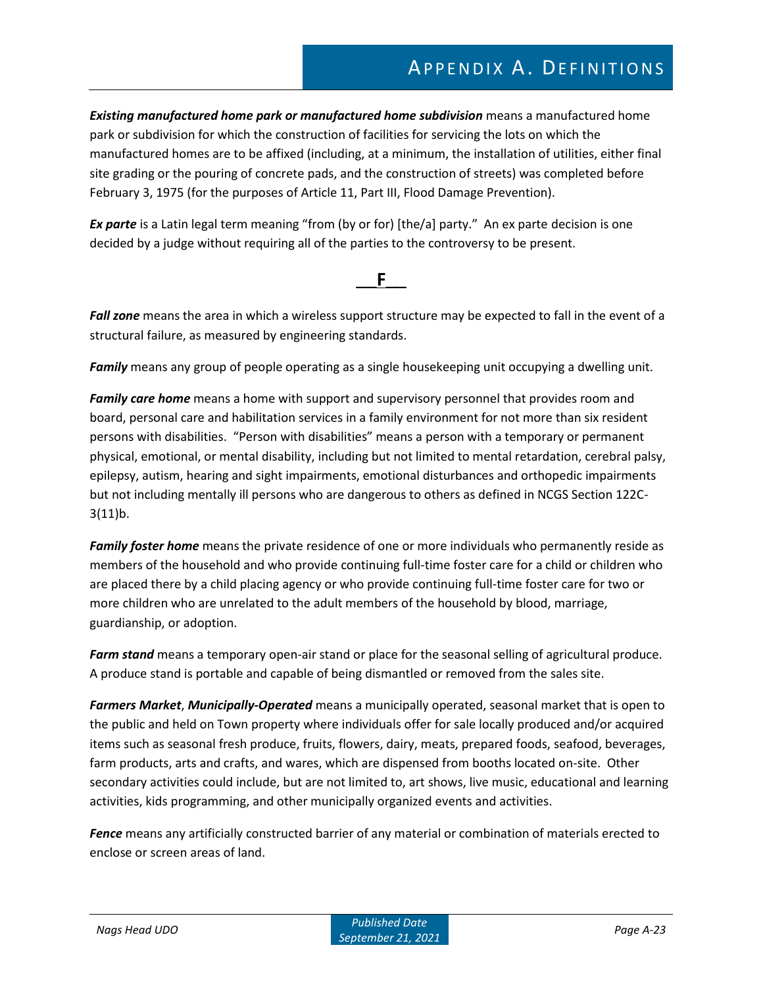*Existing manufactured home park or manufactured home subdivision* means a manufactured home park or subdivision for which the construction of facilities for servicing the lots on which the manufactured homes are to be affixed (including, at a minimum, the installation of utilities, either final site grading or the pouring of concrete pads, and the construction of streets) was completed before February 3, 1975 (for the purposes of Article 11, Part III, Flood Damage Prevention).

*Ex parte* is a Latin legal term meaning "from (by or for) [the/a] party." An ex parte decision is one decided by a judge without requiring all of the parties to the controversy to be present.

*Fall zone* means the area in which a wireless support structure may be expected to fall in the event of a structural failure, as measured by engineering standards.

**\_\_\_F\_\_\_**

*Family* means any group of people operating as a single housekeeping unit occupying a dwelling unit.

*Family care home* means a home with support and supervisory personnel that provides room and board, personal care and habilitation services in a family environment for not more than six resident persons with disabilities. "Person with disabilities" means a person with a temporary or permanent physical, emotional, or mental disability, including but not limited to mental retardation, cerebral palsy, epilepsy, autism, hearing and sight impairments, emotional disturbances and orthopedic impairments but not including mentally ill persons who are dangerous to others as defined in NCGS Section 122C- $3(11)b.$ 

*Family foster home* means the private residence of one or more individuals who permanently reside as members of the household and who provide continuing full-time foster care for a child or children who are placed there by a child placing agency or who provide continuing full-time foster care for two or more children who are unrelated to the adult members of the household by blood, marriage, guardianship, or adoption.

*Farm stand* means a temporary open-air stand or place for the seasonal selling of agricultural produce. A produce stand is portable and capable of being dismantled or removed from the sales site.

*Farmers Market*, *Municipally-Operated* means a municipally operated, seasonal market that is open to the public and held on Town property where individuals offer for sale locally produced and/or acquired items such as seasonal fresh produce, fruits, flowers, dairy, meats, prepared foods, seafood, beverages, farm products, arts and crafts, and wares, which are dispensed from booths located on-site. Other secondary activities could include, but are not limited to, art shows, live music, educational and learning activities, kids programming, and other municipally organized events and activities.

*Fence* means any artificially constructed barrier of any material or combination of materials erected to enclose or screen areas of land.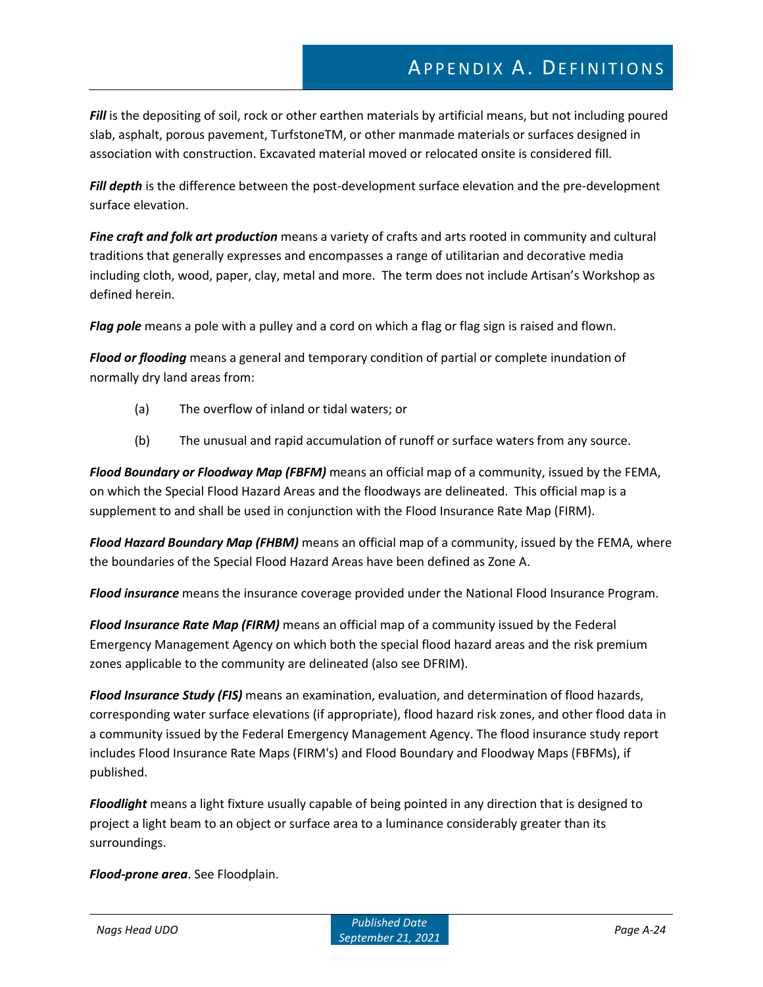Fill is the depositing of soil, rock or other earthen materials by artificial means, but not including poured slab, asphalt, porous pavement, TurfstoneTM, or other manmade materials or surfaces designed in association with construction. Excavated material moved or relocated onsite is considered fill.

*Fill depth* is the difference between the post-development surface elevation and the pre-development surface elevation.

*Fine craft and folk art production* means a variety of crafts and arts rooted in community and cultural traditions that generally expresses and encompasses a range of utilitarian and decorative media including cloth, wood, paper, clay, metal and more. The term does not include Artisan's Workshop as defined herein.

*Flag pole* means a pole with a pulley and a cord on which a flag or flag sign is raised and flown.

*Flood or flooding* means a general and temporary condition of partial or complete inundation of normally dry land areas from:

- (a) The overflow of inland or tidal waters; or
- (b) The unusual and rapid accumulation of runoff or surface waters from any source.

*Flood Boundary or Floodway Map (FBFM)* means an official map of a community, issued by the FEMA, on which the Special Flood Hazard Areas and the floodways are delineated. This official map is a supplement to and shall be used in conjunction with the Flood Insurance Rate Map (FIRM).

*Flood Hazard Boundary Map (FHBM)* means an official map of a community, issued by the FEMA, where the boundaries of the Special Flood Hazard Areas have been defined as Zone A.

*Flood insurance* means the insurance coverage provided under the National Flood Insurance Program.

*Flood Insurance Rate Map (FIRM)* means an official map of a community issued by the Federal Emergency Management Agency on which both the special flood hazard areas and the risk premium zones applicable to the community are delineated (also see DFRIM).

*Flood Insurance Study (FIS)* means an examination, evaluation, and determination of flood hazards, corresponding water surface elevations (if appropriate), flood hazard risk zones, and other flood data in a community issued by the Federal Emergency Management Agency. The flood insurance study report includes Flood Insurance Rate Maps (FIRM's) and Flood Boundary and Floodway Maps (FBFMs), if published.

*Floodlight* means a light fixture usually capable of being pointed in any direction that is designed to project a light beam to an object or surface area to a luminance considerably greater than its surroundings.

*Flood-prone area*. See Floodplain.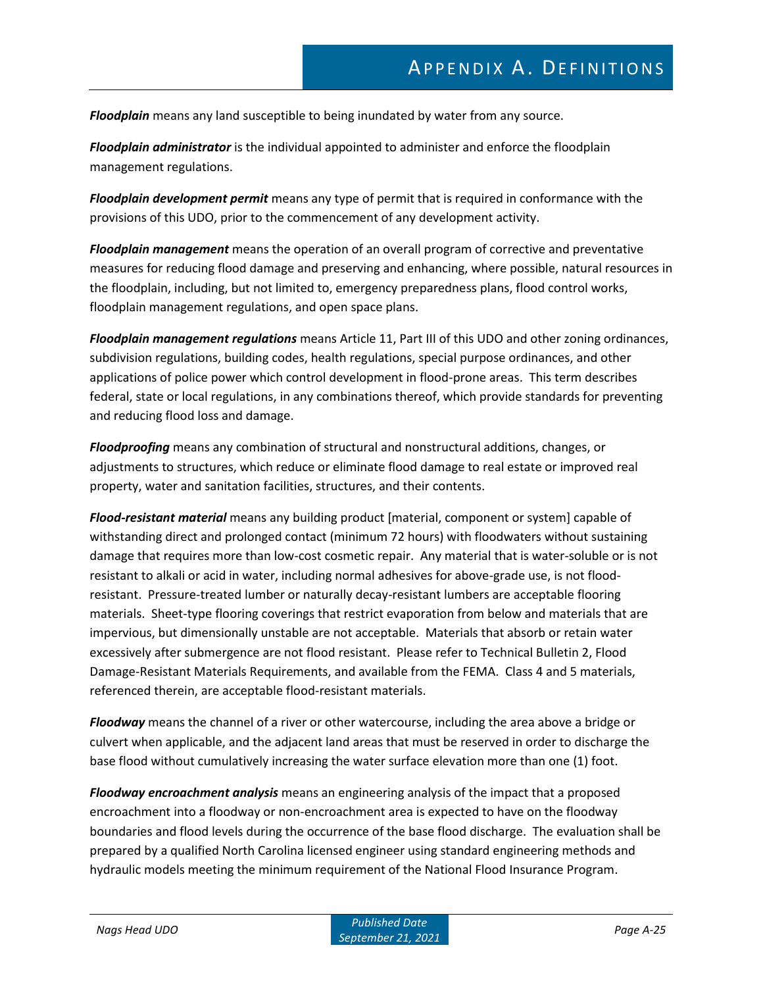*Floodplain* means any land susceptible to being inundated by water from any source.

*Floodplain administrator* is the individual appointed to administer and enforce the floodplain management regulations.

*Floodplain development permit* means any type of permit that is required in conformance with the provisions of this UDO, prior to the commencement of any development activity.

*Floodplain management* means the operation of an overall program of corrective and preventative measures for reducing flood damage and preserving and enhancing, where possible, natural resources in the floodplain, including, but not limited to, emergency preparedness plans, flood control works, floodplain management regulations, and open space plans.

*Floodplain management regulations* means Article 11, Part III of this UDO and other zoning ordinances, subdivision regulations, building codes, health regulations, special purpose ordinances, and other applications of police power which control development in flood-prone areas. This term describes federal, state or local regulations, in any combinations thereof, which provide standards for preventing and reducing flood loss and damage.

*Floodproofing* means any combination of structural and nonstructural additions, changes, or adjustments to structures, which reduce or eliminate flood damage to real estate or improved real property, water and sanitation facilities, structures, and their contents.

*Flood-resistant material* means any building product [material, component or system] capable of withstanding direct and prolonged contact (minimum 72 hours) with floodwaters without sustaining damage that requires more than low-cost cosmetic repair. Any material that is water-soluble or is not resistant to alkali or acid in water, including normal adhesives for above-grade use, is not floodresistant. Pressure-treated lumber or naturally decay-resistant lumbers are acceptable flooring materials. Sheet-type flooring coverings that restrict evaporation from below and materials that are impervious, but dimensionally unstable are not acceptable. Materials that absorb or retain water excessively after submergence are not flood resistant. Please refer to Technical Bulletin 2, Flood Damage-Resistant Materials Requirements, and available from the FEMA. Class 4 and 5 materials, referenced therein, are acceptable flood-resistant materials.

*Floodway* means the channel of a river or other watercourse, including the area above a bridge or culvert when applicable, and the adjacent land areas that must be reserved in order to discharge the base flood without cumulatively increasing the water surface elevation more than one (1) foot.

*Floodway encroachment analysis* means an engineering analysis of the impact that a proposed encroachment into a floodway or non-encroachment area is expected to have on the floodway boundaries and flood levels during the occurrence of the base flood discharge. The evaluation shall be prepared by a qualified North Carolina licensed engineer using standard engineering methods and hydraulic models meeting the minimum requirement of the National Flood Insurance Program.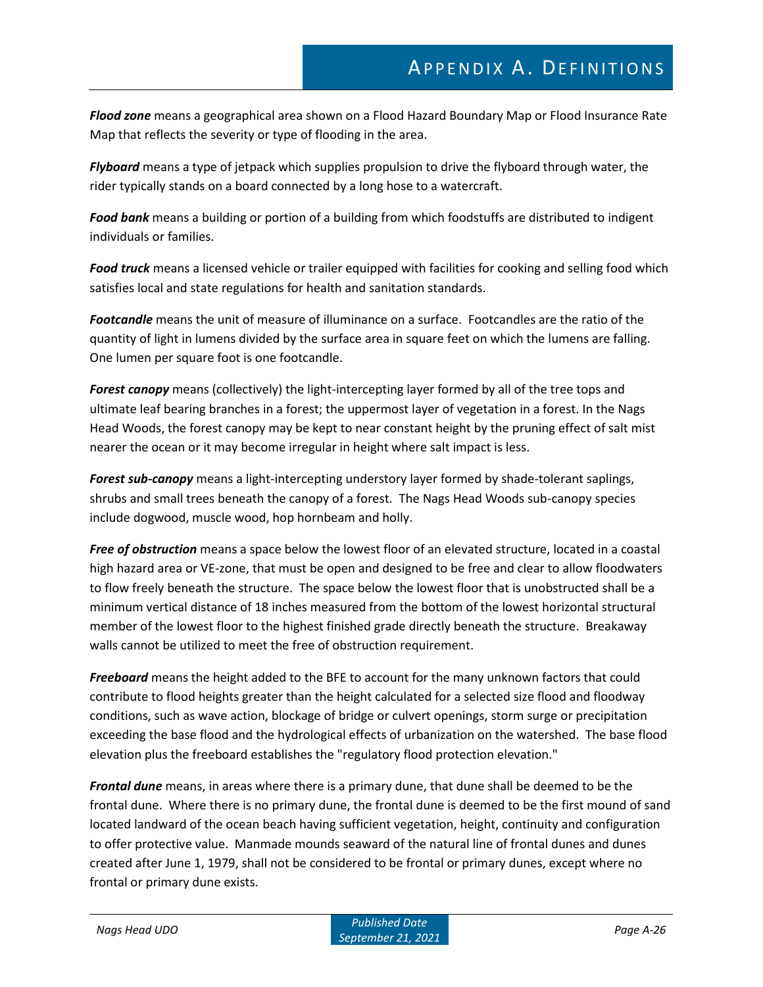*Flood zone* means a geographical area shown on a Flood Hazard Boundary Map or Flood Insurance Rate Map that reflects the severity or type of flooding in the area.

*Flyboard* means a type of jetpack which supplies propulsion to drive the flyboard through water, the rider typically stands on a board connected by a long hose to a watercraft.

*Food bank* means a building or portion of a building from which foodstuffs are distributed to indigent individuals or families.

*Food truck* means a licensed vehicle or trailer equipped with facilities for cooking and selling food which satisfies local and state regulations for health and sanitation standards.

*Footcandle* means the unit of measure of illuminance on a surface. Footcandles are the ratio of the quantity of light in lumens divided by the surface area in square feet on which the lumens are falling. One lumen per square foot is one footcandle.

*Forest canopy* means (collectively) the light-intercepting layer formed by all of the tree tops and ultimate leaf bearing branches in a forest; the uppermost layer of vegetation in a forest. In the Nags Head Woods, the forest canopy may be kept to near constant height by the pruning effect of salt mist nearer the ocean or it may become irregular in height where salt impact is less.

*Forest sub-canopy* means a light-intercepting understory layer formed by shade-tolerant saplings, shrubs and small trees beneath the canopy of a forest. The Nags Head Woods sub-canopy species include dogwood, muscle wood, hop hornbeam and holly.

*Free of obstruction* means a space below the lowest floor of an elevated structure, located in a coastal high hazard area or VE-zone, that must be open and designed to be free and clear to allow floodwaters to flow freely beneath the structure. The space below the lowest floor that is unobstructed shall be a minimum vertical distance of 18 inches measured from the bottom of the lowest horizontal structural member of the lowest floor to the highest finished grade directly beneath the structure. Breakaway walls cannot be utilized to meet the free of obstruction requirement.

*Freeboard* means the height added to the BFE to account for the many unknown factors that could contribute to flood heights greater than the height calculated for a selected size flood and floodway conditions, such as wave action, blockage of bridge or culvert openings, storm surge or precipitation exceeding the base flood and the hydrological effects of urbanization on the watershed. The base flood elevation plus the freeboard establishes the "regulatory flood protection elevation."

*Frontal dune* means, in areas where there is a primary dune, that dune shall be deemed to be the frontal dune. Where there is no primary dune, the frontal dune is deemed to be the first mound of sand located landward of the ocean beach having sufficient vegetation, height, continuity and configuration to offer protective value. Manmade mounds seaward of the natural line of frontal dunes and dunes created after June 1, 1979, shall not be considered to be frontal or primary dunes, except where no frontal or primary dune exists.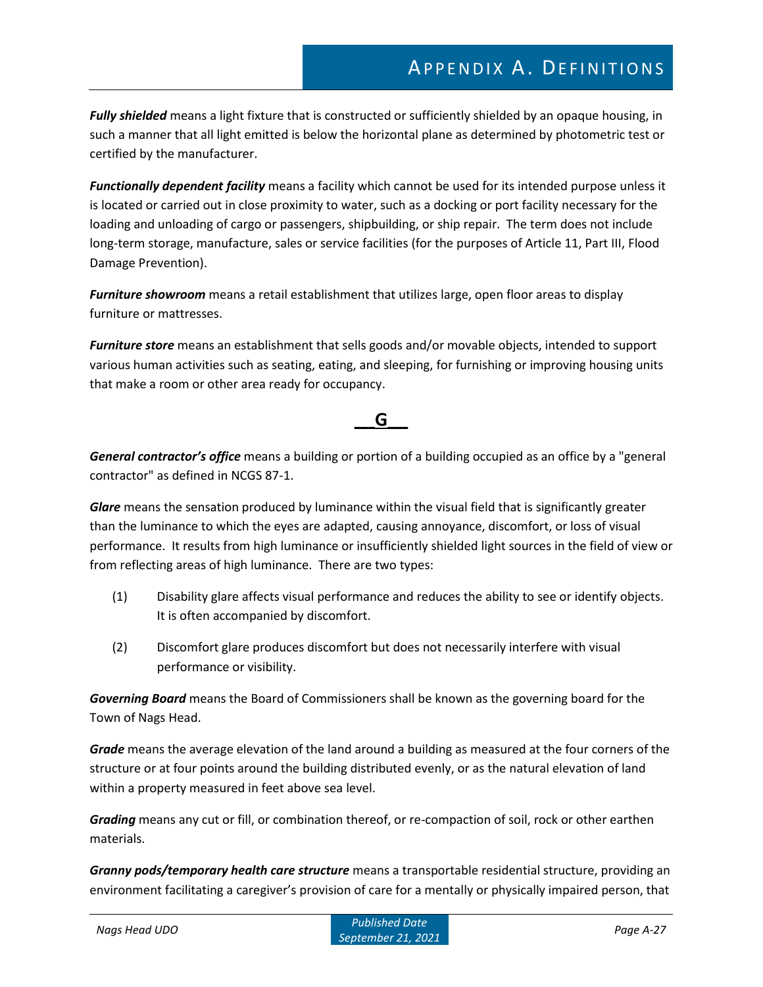*Fully shielded* means a light fixture that is constructed or sufficiently shielded by an opaque housing, in such a manner that all light emitted is below the horizontal plane as determined by photometric test or certified by the manufacturer.

*Functionally dependent facility* means a facility which cannot be used for its intended purpose unless it is located or carried out in close proximity to water, such as a docking or port facility necessary for the loading and unloading of cargo or passengers, shipbuilding, or ship repair. The term does not include long-term storage, manufacture, sales or service facilities (for the purposes of Article 11, Part III, Flood Damage Prevention).

*Furniture showroom* means a retail establishment that utilizes large, open floor areas to display furniture or mattresses.

*Furniture store* means an establishment that sells goods and/or movable objects, intended to support various human activities such as seating, eating, and sleeping, for furnishing or improving housing units that make a room or other area ready for occupancy.

### **\_\_\_G\_\_\_**

*General contractor's office* means a building or portion of a building occupied as an office by a "general contractor" as defined in NCGS 87-1.

*Glare* means the sensation produced by luminance within the visual field that is significantly greater than the luminance to which the eyes are adapted, causing annoyance, discomfort, or loss of visual performance. It results from high luminance or insufficiently shielded light sources in the field of view or from reflecting areas of high luminance. There are two types:

- (1) Disability glare affects visual performance and reduces the ability to see or identify objects. It is often accompanied by discomfort.
- (2) Discomfort glare produces discomfort but does not necessarily interfere with visual performance or visibility.

*Governing Board* means the Board of Commissioners shall be known as the governing board for the Town of Nags Head.

*Grade* means the average elevation of the land around a building as measured at the four corners of the structure or at four points around the building distributed evenly, or as the natural elevation of land within a property measured in feet above sea level.

*Grading* means any cut or fill, or combination thereof, or re-compaction of soil, rock or other earthen materials.

*Granny pods/temporary health care structure* means a transportable residential structure, providing an environment facilitating a caregiver's provision of care for a mentally or physically impaired person, that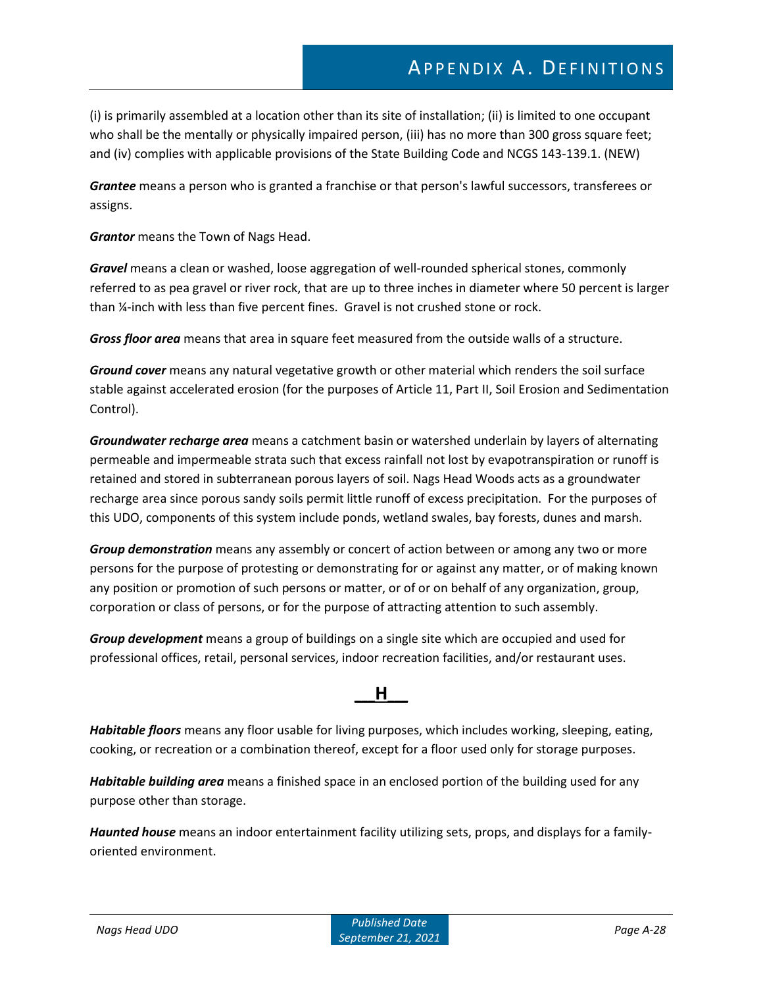(i) is primarily assembled at a location other than its site of installation; (ii) is limited to one occupant who shall be the mentally or physically impaired person, (iii) has no more than 300 gross square feet; and (iv) complies with applicable provisions of the State Building Code and NCGS 143-139.1. (NEW)

*Grantee* means a person who is granted a franchise or that person's lawful successors, transferees or assigns.

*Grantor* means the Town of Nags Head.

*Gravel* means a clean or washed, loose aggregation of well-rounded spherical stones, commonly referred to as pea gravel or river rock, that are up to three inches in diameter where 50 percent is larger than ¼-inch with less than five percent fines. Gravel is not crushed stone or rock.

*Gross floor area* means that area in square feet measured from the outside walls of a structure.

*Ground cover* means any natural vegetative growth or other material which renders the soil surface stable against accelerated erosion (for the purposes of Article 11, Part II, Soil Erosion and Sedimentation Control).

*Groundwater recharge area* means a catchment basin or watershed underlain by layers of alternating permeable and impermeable strata such that excess rainfall not lost by evapotranspiration or runoff is retained and stored in subterranean porous layers of soil. Nags Head Woods acts as a groundwater recharge area since porous sandy soils permit little runoff of excess precipitation. For the purposes of this UDO, components of this system include ponds, wetland swales, bay forests, dunes and marsh.

*Group demonstration* means any assembly or concert of action between or among any two or more persons for the purpose of protesting or demonstrating for or against any matter, or of making known any position or promotion of such persons or matter, or of or on behalf of any organization, group, corporation or class of persons, or for the purpose of attracting attention to such assembly.

*Group development* means a group of buildings on a single site which are occupied and used for professional offices, retail, personal services, indoor recreation facilities, and/or restaurant uses.

### **\_\_\_H\_\_\_**

*Habitable floors* means any floor usable for living purposes, which includes working, sleeping, eating, cooking, or recreation or a combination thereof, except for a floor used only for storage purposes.

*Habitable building area* means a finished space in an enclosed portion of the building used for any purpose other than storage.

*Haunted house* means an indoor entertainment facility utilizing sets, props, and displays for a familyoriented environment.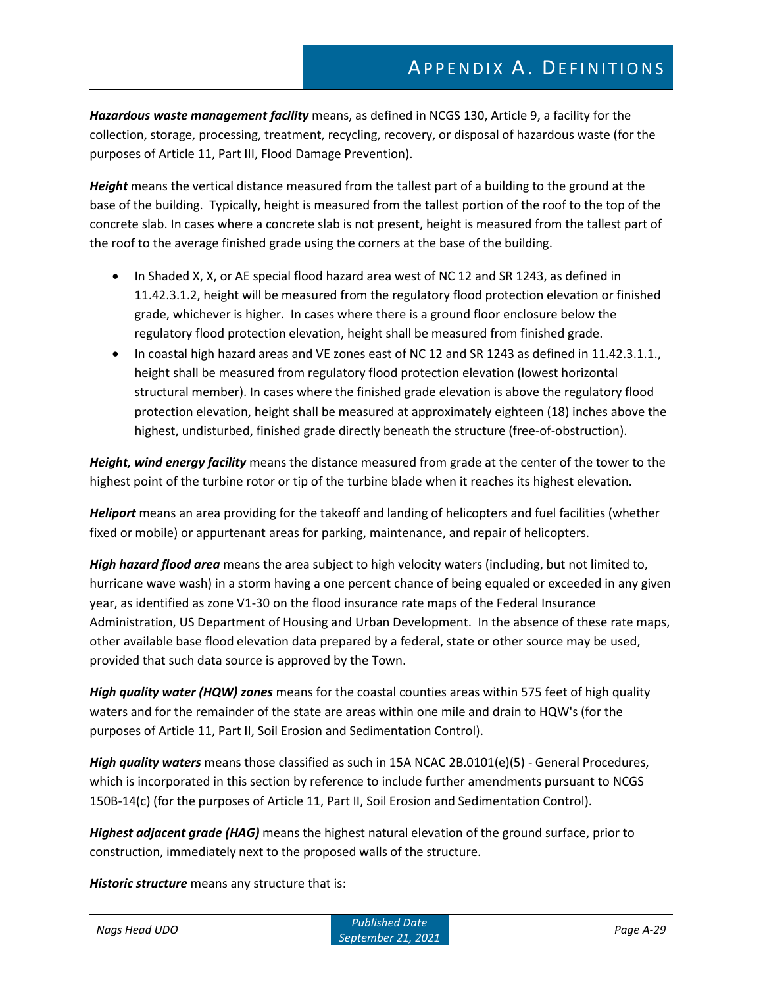*Hazardous waste management facility* means, as defined in NCGS 130, Article 9, a facility for the collection, storage, processing, treatment, recycling, recovery, or disposal of hazardous waste (for the purposes of Article 11, Part III, Flood Damage Prevention).

*Height* means the vertical distance measured from the tallest part of a building to the ground at the base of the building. Typically, height is measured from the tallest portion of the roof to the top of the concrete slab. In cases where a concrete slab is not present, height is measured from the tallest part of the roof to the average finished grade using the corners at the base of the building.

- In Shaded X, X, or AE special flood hazard area west of NC 12 and SR 1243, as defined in 11.42.3.1.2, height will be measured from the regulatory flood protection elevation or finished grade, whichever is higher. In cases where there is a ground floor enclosure below the regulatory flood protection elevation, height shall be measured from finished grade.
- In coastal high hazard areas and VE zones east of NC 12 and SR 1243 as defined in 11.42.3.1.1., height shall be measured from regulatory flood protection elevation (lowest horizontal structural member). In cases where the finished grade elevation is above the regulatory flood protection elevation, height shall be measured at approximately eighteen (18) inches above the highest, undisturbed, finished grade directly beneath the structure (free-of-obstruction).

*Height, wind energy facility* means the distance measured from grade at the center of the tower to the highest point of the turbine rotor or tip of the turbine blade when it reaches its highest elevation.

*Heliport* means an area providing for the takeoff and landing of helicopters and fuel facilities (whether fixed or mobile) or appurtenant areas for parking, maintenance, and repair of helicopters.

*High hazard flood area* means the area subject to high velocity waters (including, but not limited to, hurricane wave wash) in a storm having a one percent chance of being equaled or exceeded in any given year, as identified as zone V1-30 on the flood insurance rate maps of the Federal Insurance Administration, US Department of Housing and Urban Development. In the absence of these rate maps, other available base flood elevation data prepared by a federal, state or other source may be used, provided that such data source is approved by the Town.

*High quality water (HQW) zones* means for the coastal counties areas within 575 feet of high quality waters and for the remainder of the state are areas within one mile and drain to HQW's (for the purposes of Article 11, Part II, Soil Erosion and Sedimentation Control).

*High quality waters* means those classified as such in 15A NCAC 2B.0101(e)(5) - General Procedures, which is incorporated in this section by reference to include further amendments pursuant to NCGS 150B-14(c) (for the purposes of Article 11, Part II, Soil Erosion and Sedimentation Control).

*Highest adjacent grade (HAG)* means the highest natural elevation of the ground surface, prior to construction, immediately next to the proposed walls of the structure.

*Historic structure* means any structure that is: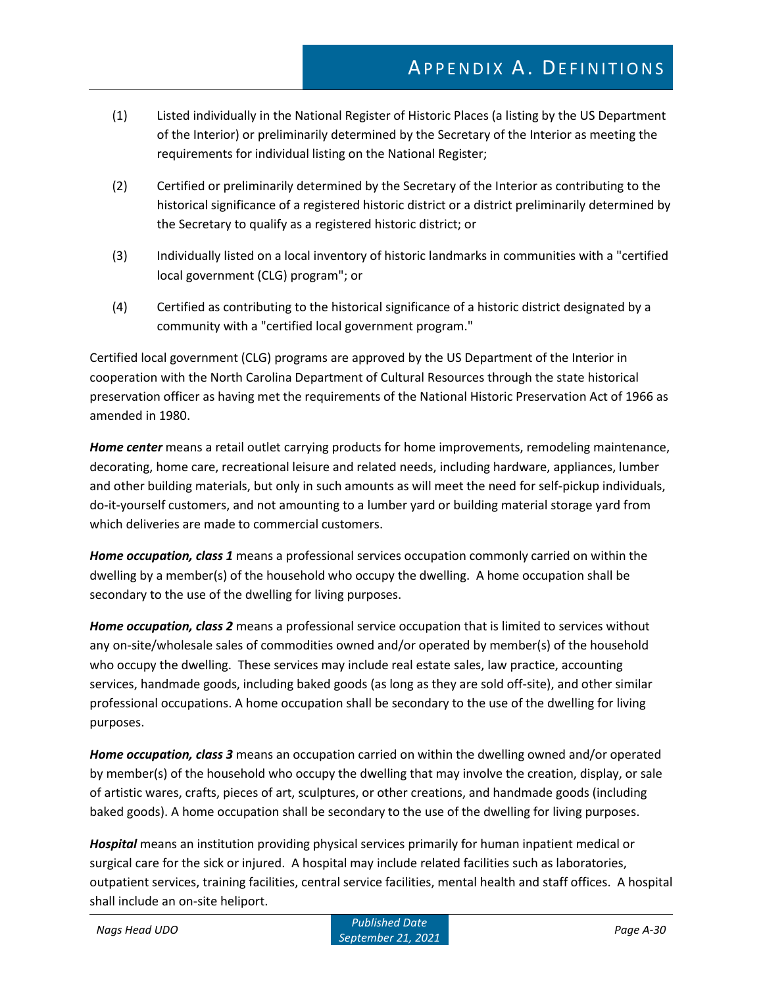- (1) Listed individually in the National Register of Historic Places (a listing by the US Department of the Interior) or preliminarily determined by the Secretary of the Interior as meeting the requirements for individual listing on the National Register;
- (2) Certified or preliminarily determined by the Secretary of the Interior as contributing to the historical significance of a registered historic district or a district preliminarily determined by the Secretary to qualify as a registered historic district; or
- (3) Individually listed on a local inventory of historic landmarks in communities with a "certified local government (CLG) program"; or
- (4) Certified as contributing to the historical significance of a historic district designated by a community with a "certified local government program."

Certified local government (CLG) programs are approved by the US Department of the Interior in cooperation with the North Carolina Department of Cultural Resources through the state historical preservation officer as having met the requirements of the National Historic Preservation Act of 1966 as amended in 1980.

*Home center* means a retail outlet carrying products for home improvements, remodeling maintenance, decorating, home care, recreational leisure and related needs, including hardware, appliances, lumber and other building materials, but only in such amounts as will meet the need for self-pickup individuals, do-it-yourself customers, and not amounting to a lumber yard or building material storage yard from which deliveries are made to commercial customers.

*Home occupation, class 1* means a professional services occupation commonly carried on within the dwelling by a member(s) of the household who occupy the dwelling. A home occupation shall be secondary to the use of the dwelling for living purposes.

*Home occupation, class 2* means a professional service occupation that is limited to services without any on-site/wholesale sales of commodities owned and/or operated by member(s) of the household who occupy the dwelling. These services may include real estate sales, law practice, accounting services, handmade goods, including baked goods (as long as they are sold off-site), and other similar professional occupations. A home occupation shall be secondary to the use of the dwelling for living purposes.

*Home occupation, class 3* means an occupation carried on within the dwelling owned and/or operated by member(s) of the household who occupy the dwelling that may involve the creation, display, or sale of artistic wares, crafts, pieces of art, sculptures, or other creations, and handmade goods (including baked goods). A home occupation shall be secondary to the use of the dwelling for living purposes.

*Hospital* means an institution providing physical services primarily for human inpatient medical or surgical care for the sick or injured. A hospital may include related facilities such as laboratories, outpatient services, training facilities, central service facilities, mental health and staff offices. A hospital shall include an on-site heliport.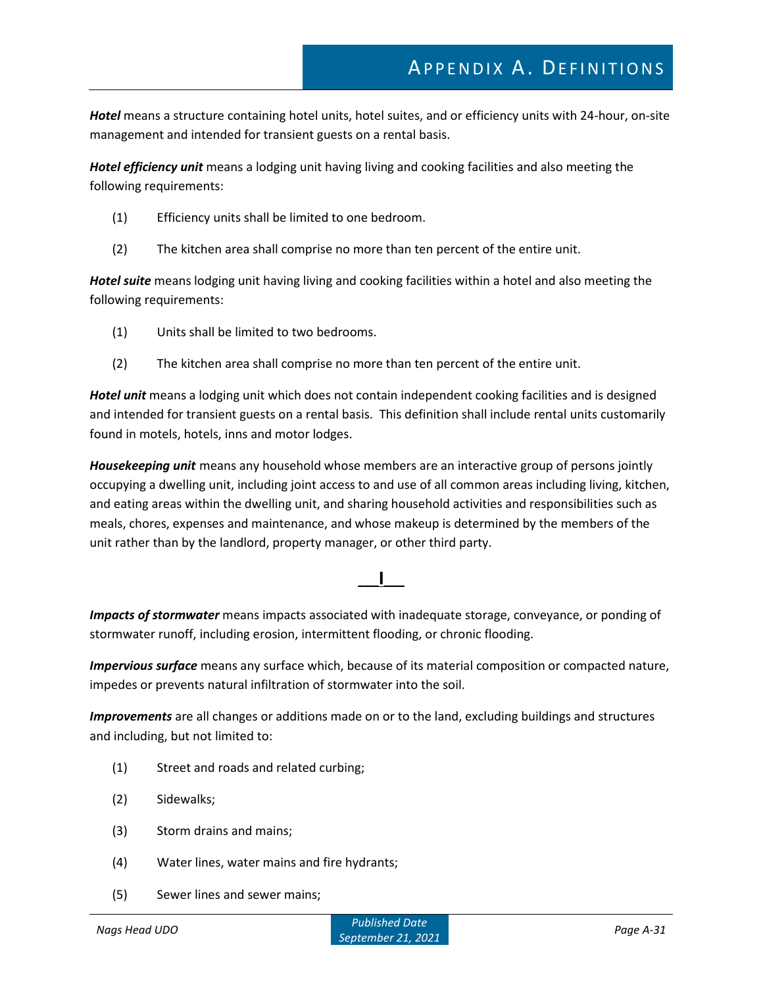*Hotel* means a structure containing hotel units, hotel suites, and or efficiency units with 24-hour, on-site management and intended for transient guests on a rental basis.

*Hotel efficiency unit* means a lodging unit having living and cooking facilities and also meeting the following requirements:

- (1) Efficiency units shall be limited to one bedroom.
- (2) The kitchen area shall comprise no more than ten percent of the entire unit.

*Hotel suite* means lodging unit having living and cooking facilities within a hotel and also meeting the following requirements:

- (1) Units shall be limited to two bedrooms.
- (2) The kitchen area shall comprise no more than ten percent of the entire unit.

*Hotel unit* means a lodging unit which does not contain independent cooking facilities and is designed and intended for transient guests on a rental basis. This definition shall include rental units customarily found in motels, hotels, inns and motor lodges.

*Housekeeping unit* means any household whose members are an interactive group of persons jointly occupying a dwelling unit, including joint access to and use of all common areas including living, kitchen, and eating areas within the dwelling unit, and sharing household activities and responsibilities such as meals, chores, expenses and maintenance, and whose makeup is determined by the members of the unit rather than by the landlord, property manager, or other third party.

### **\_\_\_I\_\_\_**

*Impacts of stormwater* means impacts associated with inadequate storage, conveyance, or ponding of stormwater runoff, including erosion, intermittent flooding, or chronic flooding.

*Impervious surface* means any surface which, because of its material composition or compacted nature, impedes or prevents natural infiltration of stormwater into the soil.

*Improvements* are all changes or additions made on or to the land, excluding buildings and structures and including, but not limited to:

- (1) Street and roads and related curbing;
- (2) Sidewalks;
- (3) Storm drains and mains;
- (4) Water lines, water mains and fire hydrants;
- (5) Sewer lines and sewer mains;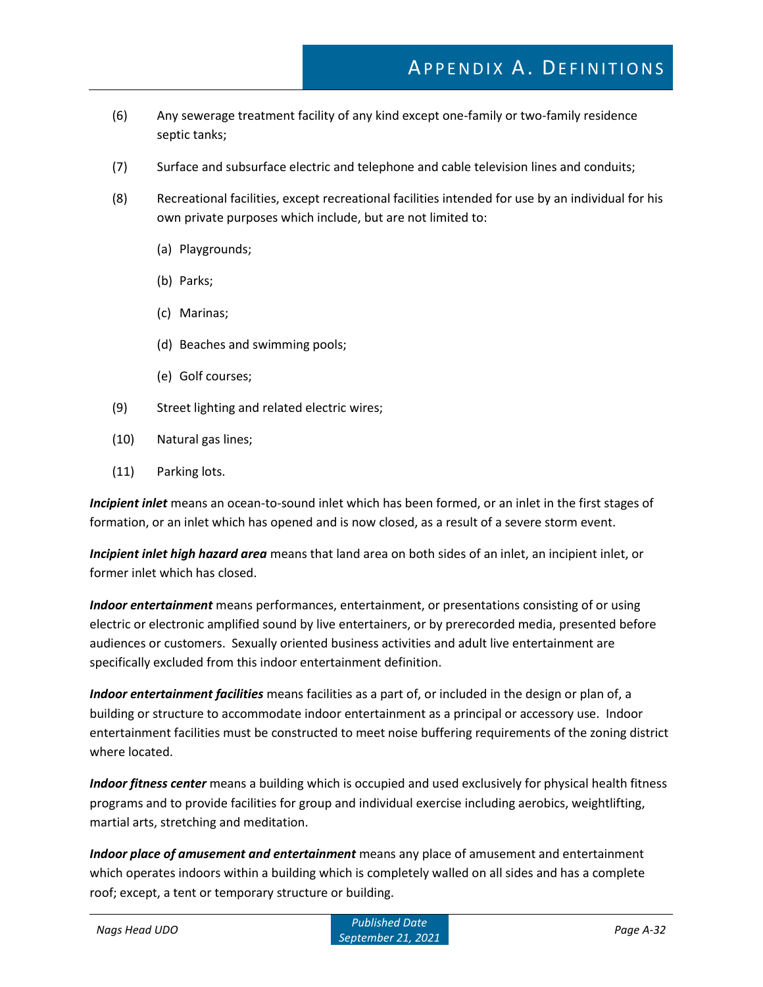- (6) Any sewerage treatment facility of any kind except one-family or two-family residence septic tanks;
- (7) Surface and subsurface electric and telephone and cable television lines and conduits;
- (8) Recreational facilities, except recreational facilities intended for use by an individual for his own private purposes which include, but are not limited to:
	- (a) Playgrounds;
	- (b) Parks;
	- (c) Marinas;
	- (d) Beaches and swimming pools;
	- (e) Golf courses;
- (9) Street lighting and related electric wires;
- (10) Natural gas lines;
- (11) Parking lots.

*Incipient inlet* means an ocean-to-sound inlet which has been formed, or an inlet in the first stages of formation, or an inlet which has opened and is now closed, as a result of a severe storm event.

*Incipient inlet high hazard area* means that land area on both sides of an inlet, an incipient inlet, or former inlet which has closed.

*Indoor entertainment* means performances, entertainment, or presentations consisting of or using electric or electronic amplified sound by live entertainers, or by prerecorded media, presented before audiences or customers. Sexually oriented business activities and adult live entertainment are specifically excluded from this indoor entertainment definition.

*Indoor entertainment facilities* means facilities as a part of, or included in the design or plan of, a building or structure to accommodate indoor entertainment as a principal or accessory use. Indoor entertainment facilities must be constructed to meet noise buffering requirements of the zoning district where located.

*Indoor fitness center* means a building which is occupied and used exclusively for physical health fitness programs and to provide facilities for group and individual exercise including aerobics, weightlifting, martial arts, stretching and meditation.

*Indoor place of amusement and entertainment* means any place of amusement and entertainment which operates indoors within a building which is completely walled on all sides and has a complete roof; except, a tent or temporary structure or building.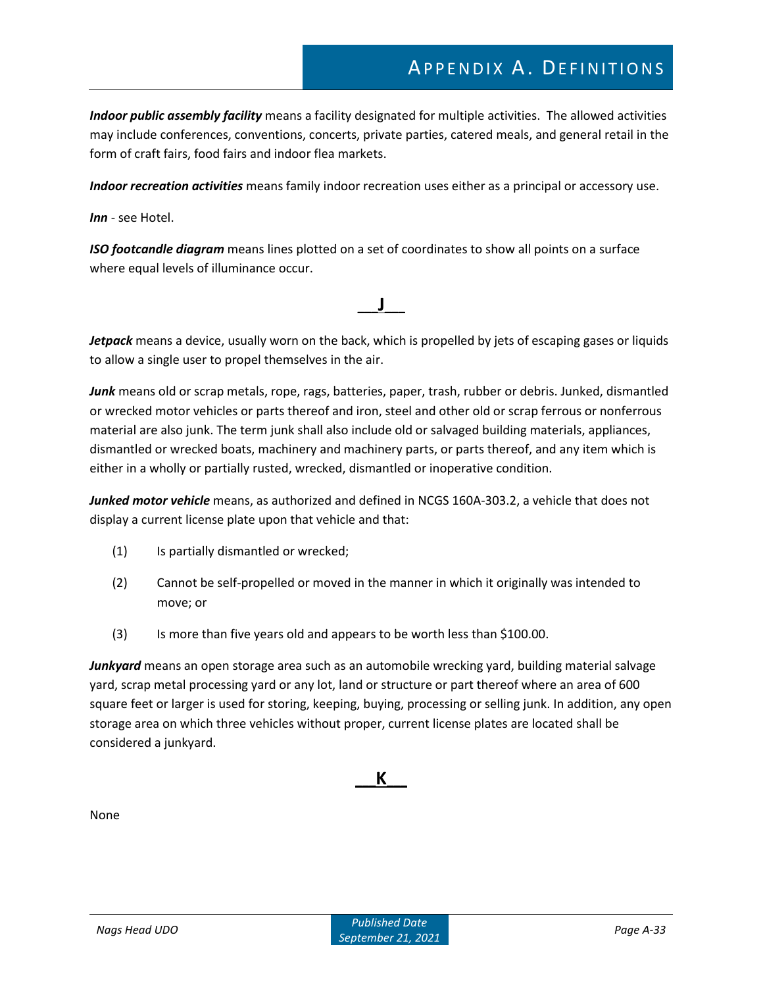# APPENDIX A. DEFINITIONS

*Indoor public assembly facility* means a facility designated for multiple activities. The allowed activities may include conferences, conventions, concerts, private parties, catered meals, and general retail in the form of craft fairs, food fairs and indoor flea markets.

*Indoor recreation activities* means family indoor recreation uses either as a principal or accessory use.

*Inn* - see Hotel.

*ISO footcandle diagram* means lines plotted on a set of coordinates to show all points on a surface where equal levels of illuminance occur.

*Jetpack* means a device, usually worn on the back, which is propelled by jets of escaping gases or liquids to allow a single user to propel themselves in the air.

**\_\_\_J\_\_\_**

*Junk* means old or scrap metals, rope, rags, batteries, paper, trash, rubber or debris. Junked, dismantled or wrecked motor vehicles or parts thereof and iron, steel and other old or scrap ferrous or nonferrous material are also junk. The term junk shall also include old or salvaged building materials, appliances, dismantled or wrecked boats, machinery and machinery parts, or parts thereof, and any item which is either in a wholly or partially rusted, wrecked, dismantled or inoperative condition.

Junked motor vehicle means, as authorized and defined in NCGS 160A-303.2, a vehicle that does not display a current license plate upon that vehicle and that:

- (1) Is partially dismantled or wrecked;
- (2) Cannot be self-propelled or moved in the manner in which it originally was intended to move; or
- (3) Is more than five years old and appears to be worth less than \$100.00.

*Junkyard* means an open storage area such as an automobile wrecking yard, building material salvage yard, scrap metal processing yard or any lot, land or structure or part thereof where an area of 600 square feet or larger is used for storing, keeping, buying, processing or selling junk. In addition, any open storage area on which three vehicles without proper, current license plates are located shall be considered a junkyard.

### **\_\_\_K\_\_\_**

None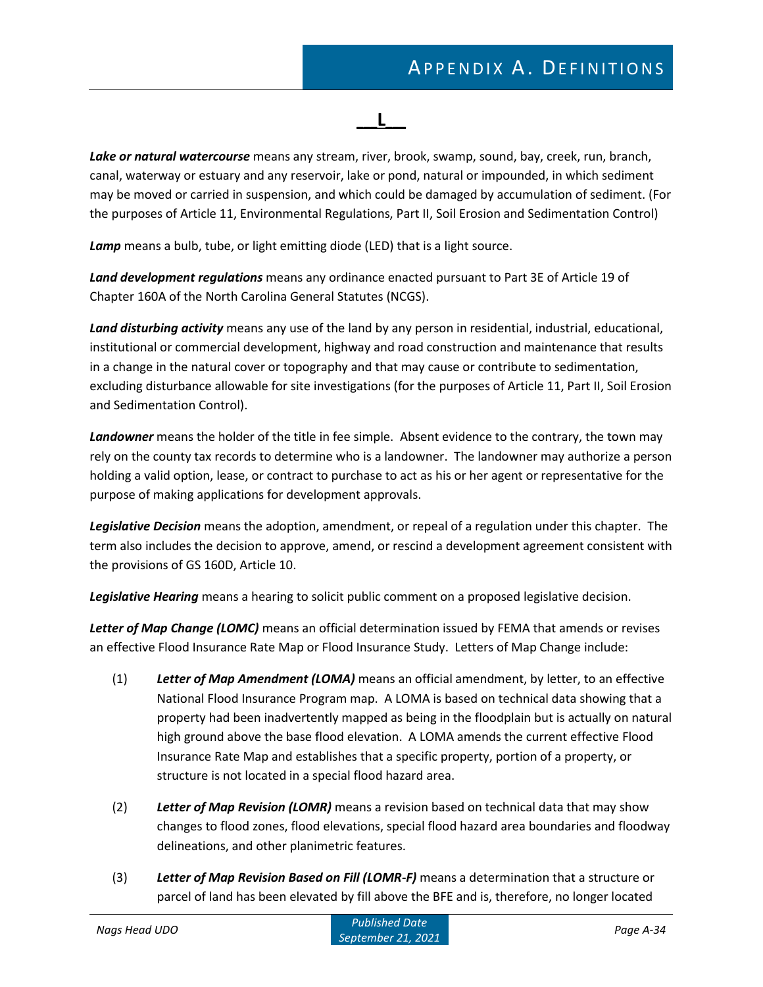$\mathbf{L}$ 

*Lake or natural watercourse* means any stream, river, brook, swamp, sound, bay, creek, run, branch, canal, waterway or estuary and any reservoir, lake or pond, natural or impounded, in which sediment may be moved or carried in suspension, and which could be damaged by accumulation of sediment. (For the purposes of Article 11, Environmental Regulations, Part II, Soil Erosion and Sedimentation Control)

*Lamp* means a bulb, tube, or light emitting diode (LED) that is a light source.

*Land development regulations* means any ordinance enacted pursuant to Part 3E of Article 19 of Chapter 160A of the North Carolina General Statutes (NCGS).

*Land disturbing activity* means any use of the land by any person in residential, industrial, educational, institutional or commercial development, highway and road construction and maintenance that results in a change in the natural cover or topography and that may cause or contribute to sedimentation, excluding disturbance allowable for site investigations (for the purposes of Article 11, Part II, Soil Erosion and Sedimentation Control).

*Landowner* means the holder of the title in fee simple. Absent evidence to the contrary, the town may rely on the county tax records to determine who is a landowner. The landowner may authorize a person holding a valid option, lease, or contract to purchase to act as his or her agent or representative for the purpose of making applications for development approvals.

*Legislative Decision* means the adoption, amendment, or repeal of a regulation under this chapter. The term also includes the decision to approve, amend, or rescind a development agreement consistent with the provisions of GS 160D, Article 10.

*Legislative Hearing* means a hearing to solicit public comment on a proposed legislative decision.

*Letter of Map Change (LOMC)* means an official determination issued by FEMA that amends or revises an effective Flood Insurance Rate Map or Flood Insurance Study. Letters of Map Change include:

- (1) *Letter of Map Amendment (LOMA)* means an official amendment, by letter, to an effective National Flood Insurance Program map. A LOMA is based on technical data showing that a property had been inadvertently mapped as being in the floodplain but is actually on natural high ground above the base flood elevation. A LOMA amends the current effective Flood Insurance Rate Map and establishes that a specific property, portion of a property, or structure is not located in a special flood hazard area.
- (2) *Letter of Map Revision (LOMR)* means a revision based on technical data that may show changes to flood zones, flood elevations, special flood hazard area boundaries and floodway delineations, and other planimetric features.
- (3) *Letter of Map Revision Based on Fill (LOMR-F)* means a determination that a structure or parcel of land has been elevated by fill above the BFE and is, therefore, no longer located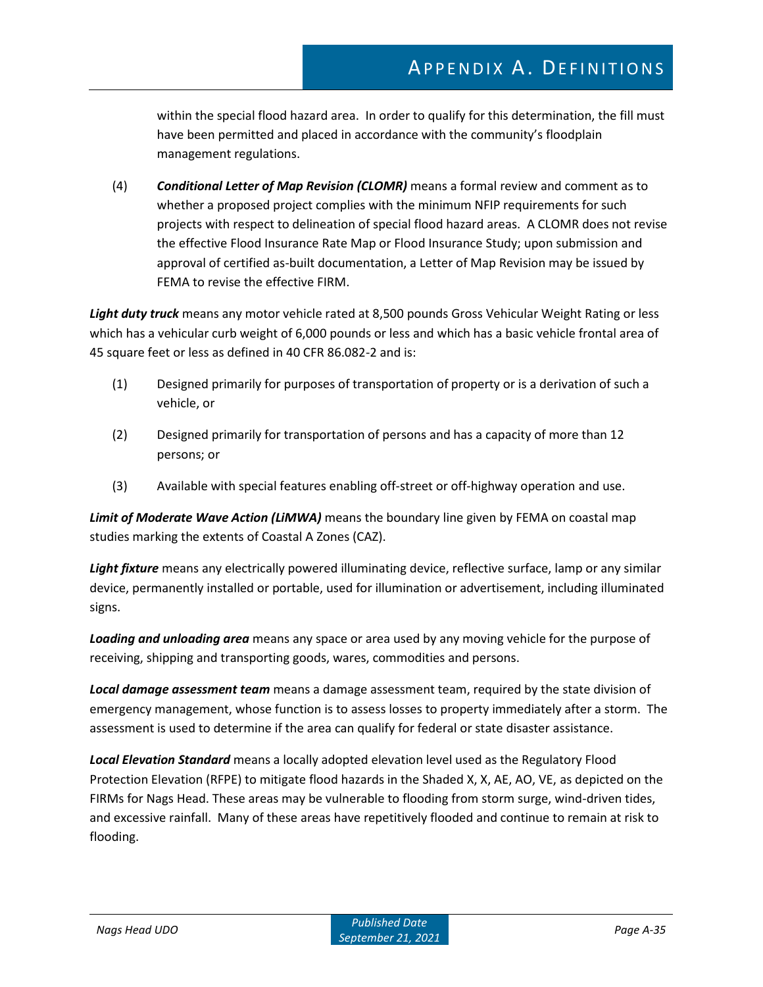within the special flood hazard area. In order to qualify for this determination, the fill must have been permitted and placed in accordance with the community's floodplain management regulations.

(4) *Conditional Letter of Map Revision (CLOMR)* means a formal review and comment as to whether a proposed project complies with the minimum NFIP requirements for such projects with respect to delineation of special flood hazard areas. A CLOMR does not revise the effective Flood Insurance Rate Map or Flood Insurance Study; upon submission and approval of certified as-built documentation, a Letter of Map Revision may be issued by FEMA to revise the effective FIRM.

*Light duty truck* means any motor vehicle rated at 8,500 pounds Gross Vehicular Weight Rating or less which has a vehicular curb weight of 6,000 pounds or less and which has a basic vehicle frontal area of 45 square feet or less as defined in 40 CFR 86.082-2 and is:

- (1) Designed primarily for purposes of transportation of property or is a derivation of such a vehicle, or
- (2) Designed primarily for transportation of persons and has a capacity of more than 12 persons; or
- (3) Available with special features enabling off-street or off-highway operation and use.

*Limit of Moderate Wave Action (LiMWA)* means the boundary line given by FEMA on coastal map studies marking the extents of Coastal A Zones (CAZ).

*Light fixture* means any electrically powered illuminating device, reflective surface, lamp or any similar device, permanently installed or portable, used for illumination or advertisement, including illuminated signs.

*Loading and unloading area* means any space or area used by any moving vehicle for the purpose of receiving, shipping and transporting goods, wares, commodities and persons.

*Local damage assessment team* means a damage assessment team, required by the state division of emergency management, whose function is to assess losses to property immediately after a storm. The assessment is used to determine if the area can qualify for federal or state disaster assistance.

*Local Elevation Standard* means a locally adopted elevation level used as the Regulatory Flood Protection Elevation (RFPE) to mitigate flood hazards in the Shaded X, X, AE, AO, VE, as depicted on the FIRMs for Nags Head. These areas may be vulnerable to flooding from storm surge, wind-driven tides, and excessive rainfall. Many of these areas have repetitively flooded and continue to remain at risk to flooding.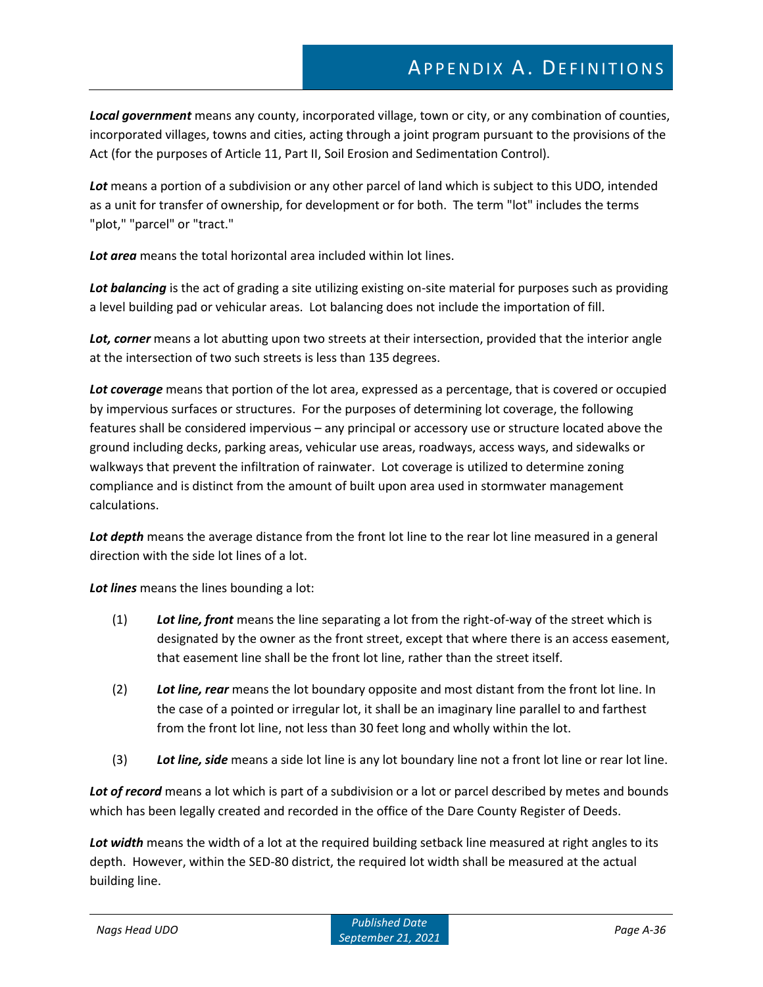*Local government* means any county, incorporated village, town or city, or any combination of counties, incorporated villages, towns and cities, acting through a joint program pursuant to the provisions of the Act (for the purposes of Article 11, Part II, Soil Erosion and Sedimentation Control).

*Lot* means a portion of a subdivision or any other parcel of land which is subject to this UDO, intended as a unit for transfer of ownership, for development or for both. The term "lot" includes the terms "plot," "parcel" or "tract."

*Lot area* means the total horizontal area included within lot lines.

*Lot balancing* is the act of grading a site utilizing existing on-site material for purposes such as providing a level building pad or vehicular areas. Lot balancing does not include the importation of fill.

*Lot, corner* means a lot abutting upon two streets at their intersection, provided that the interior angle at the intersection of two such streets is less than 135 degrees.

*Lot coverage* means that portion of the lot area, expressed as a percentage, that is covered or occupied by impervious surfaces or structures. For the purposes of determining lot coverage, the following features shall be considered impervious – any principal or accessory use or structure located above the ground including decks, parking areas, vehicular use areas, roadways, access ways, and sidewalks or walkways that prevent the infiltration of rainwater. Lot coverage is utilized to determine zoning compliance and is distinct from the amount of built upon area used in stormwater management calculations.

Lot depth means the average distance from the front lot line to the rear lot line measured in a general direction with the side lot lines of a lot.

*Lot lines* means the lines bounding a lot:

- (1) *Lot line, front* means the line separating a lot from the right-of-way of the street which is designated by the owner as the front street, except that where there is an access easement, that easement line shall be the front lot line, rather than the street itself.
- (2) *Lot line, rear* means the lot boundary opposite and most distant from the front lot line. In the case of a pointed or irregular lot, it shall be an imaginary line parallel to and farthest from the front lot line, not less than 30 feet long and wholly within the lot.
- (3) *Lot line, side* means a side lot line is any lot boundary line not a front lot line or rear lot line.

*Lot of record* means a lot which is part of a subdivision or a lot or parcel described by metes and bounds which has been legally created and recorded in the office of the Dare County Register of Deeds.

*Lot width* means the width of a lot at the required building setback line measured at right angles to its depth. However, within the SED-80 district, the required lot width shall be measured at the actual building line.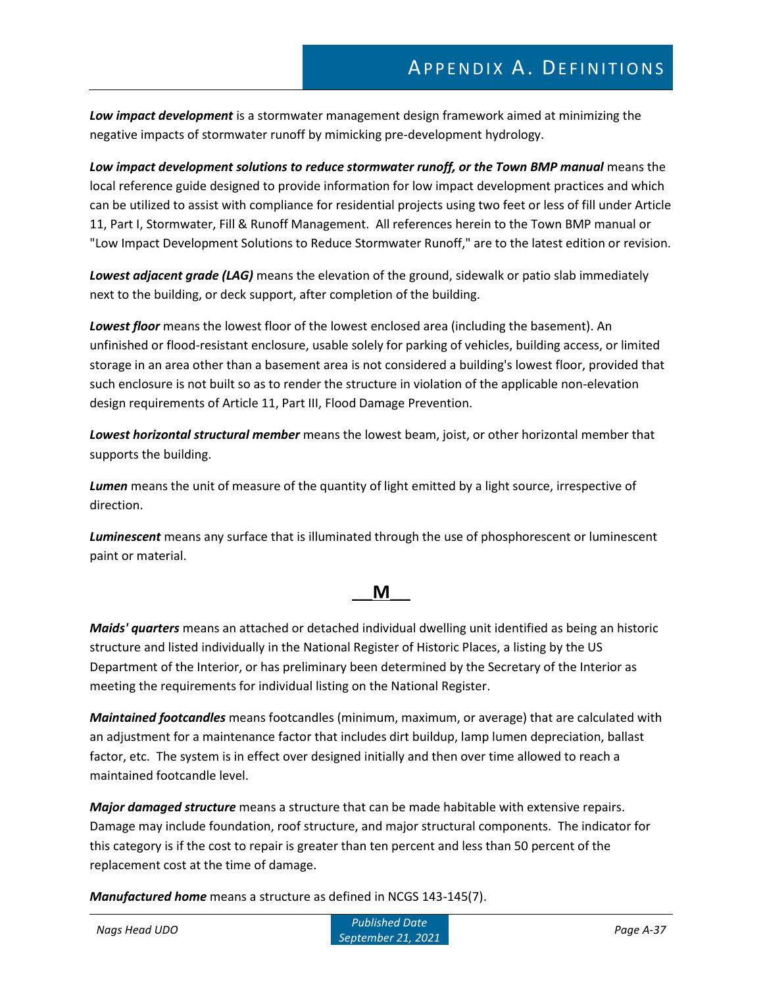*Low impact development* is a stormwater management design framework aimed at minimizing the negative impacts of stormwater runoff by mimicking pre-development hydrology.

*Low impact development solutions to reduce stormwater runoff, or the Town BMP manual* means the local reference guide designed to provide information for low impact development practices and which can be utilized to assist with compliance for residential projects using two feet or less of fill under Article 11, Part I, Stormwater, Fill & Runoff Management. All references herein to the Town BMP manual or "Low Impact Development Solutions to Reduce Stormwater Runoff," are to the latest edition or revision.

*Lowest adjacent grade (LAG)* means the elevation of the ground, sidewalk or patio slab immediately next to the building, or deck support, after completion of the building.

*Lowest floor* means the lowest floor of the lowest enclosed area (including the basement). An unfinished or flood-resistant enclosure, usable solely for parking of vehicles, building access, or limited storage in an area other than a basement area is not considered a building's lowest floor, provided that such enclosure is not built so as to render the structure in violation of the applicable non-elevation design requirements of Article 11, Part III, Flood Damage Prevention.

*Lowest horizontal structural member* means the lowest beam, joist, or other horizontal member that supports the building.

*Lumen* means the unit of measure of the quantity of light emitted by a light source, irrespective of direction.

*Luminescent* means any surface that is illuminated through the use of phosphorescent or luminescent paint or material.

### **\_\_\_M\_\_\_**

*Maids' quarters* means an attached or detached individual dwelling unit identified as being an historic structure and listed individually in the National Register of Historic Places, a listing by the US Department of the Interior, or has preliminary been determined by the Secretary of the Interior as meeting the requirements for individual listing on the National Register.

*Maintained footcandles* means footcandles (minimum, maximum, or average) that are calculated with an adjustment for a maintenance factor that includes dirt buildup, lamp lumen depreciation, ballast factor, etc. The system is in effect over designed initially and then over time allowed to reach a maintained footcandle level.

*Major damaged structure* means a structure that can be made habitable with extensive repairs. Damage may include foundation, roof structure, and major structural components. The indicator for this category is if the cost to repair is greater than ten percent and less than 50 percent of the replacement cost at the time of damage.

*Manufactured home* means a structure as defined in NCGS 143-145(7).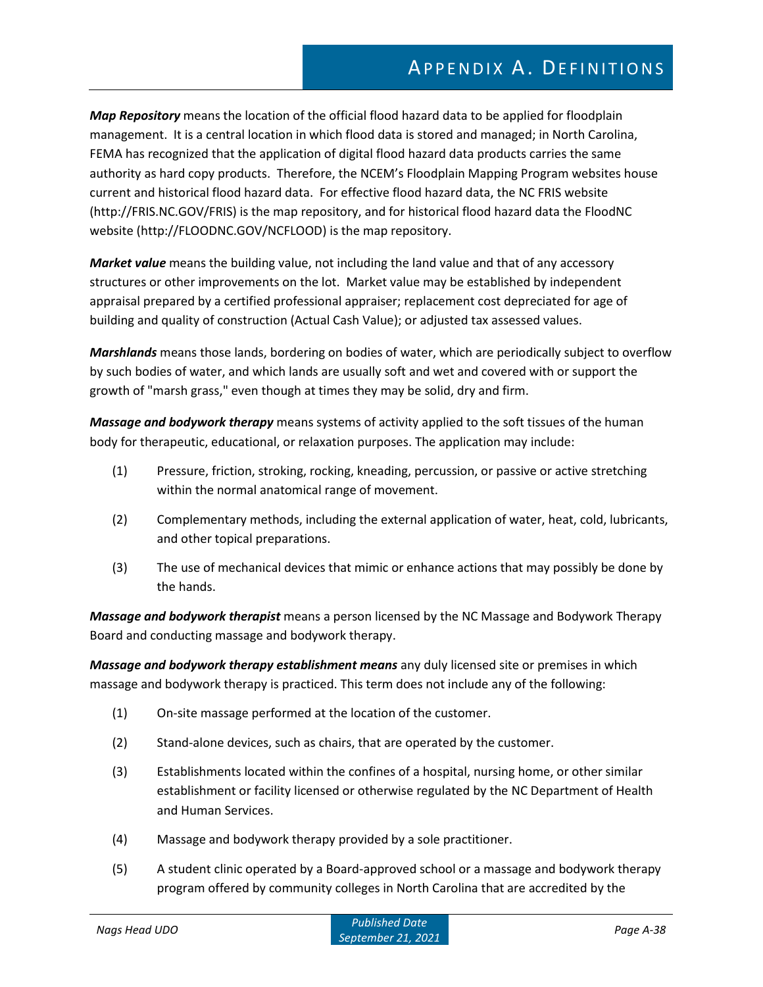*Map Repository* means the location of the official flood hazard data to be applied for floodplain management. It is a central location in which flood data is stored and managed; in North Carolina, FEMA has recognized that the application of digital flood hazard data products carries the same authority as hard copy products. Therefore, the NCEM's Floodplain Mapping Program websites house current and historical flood hazard data. For effective flood hazard data, the NC FRIS website (http://FRIS.NC.GOV/FRIS) is the map repository, and for historical flood hazard data the FloodNC website (http://FLOODNC.GOV/NCFLOOD) is the map repository.

*Market value* means the building value, not including the land value and that of any accessory structures or other improvements on the lot. Market value may be established by independent appraisal prepared by a certified professional appraiser; replacement cost depreciated for age of building and quality of construction (Actual Cash Value); or adjusted tax assessed values.

*Marshlands* means those lands, bordering on bodies of water, which are periodically subject to overflow by such bodies of water, and which lands are usually soft and wet and covered with or support the growth of "marsh grass," even though at times they may be solid, dry and firm.

*Massage and bodywork therapy* means systems of activity applied to the soft tissues of the human body for therapeutic, educational, or relaxation purposes. The application may include:

- (1) Pressure, friction, stroking, rocking, kneading, percussion, or passive or active stretching within the normal anatomical range of movement.
- (2) Complementary methods, including the external application of water, heat, cold, lubricants, and other topical preparations.
- (3) The use of mechanical devices that mimic or enhance actions that may possibly be done by the hands.

*Massage and bodywork therapist* means a person licensed by the NC Massage and Bodywork Therapy Board and conducting massage and bodywork therapy.

*Massage and bodywork therapy establishment means* any duly licensed site or premises in which massage and bodywork therapy is practiced. This term does not include any of the following:

- (1) On-site massage performed at the location of the customer.
- (2) Stand-alone devices, such as chairs, that are operated by the customer.
- (3) Establishments located within the confines of a hospital, nursing home, or other similar establishment or facility licensed or otherwise regulated by the NC Department of Health and Human Services.
- (4) Massage and bodywork therapy provided by a sole practitioner.
- (5) A student clinic operated by a Board-approved school or a massage and bodywork therapy program offered by community colleges in North Carolina that are accredited by the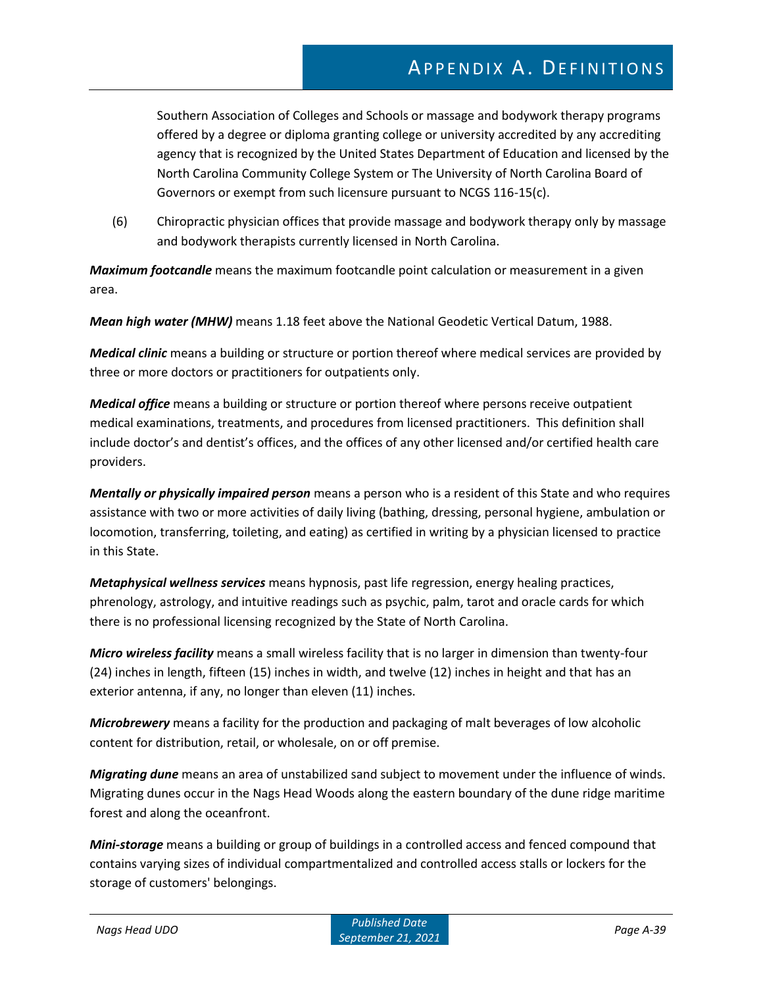Southern Association of Colleges and Schools or massage and bodywork therapy programs offered by a degree or diploma granting college or university accredited by any accrediting agency that is recognized by the United States Department of Education and licensed by the North Carolina Community College System or The University of North Carolina Board of Governors or exempt from such licensure pursuant to NCGS 116-15(c).

(6) Chiropractic physician offices that provide massage and bodywork therapy only by massage and bodywork therapists currently licensed in North Carolina.

*Maximum footcandle* means the maximum footcandle point calculation or measurement in a given area.

*Mean high water (MHW)* means 1.18 feet above the National Geodetic Vertical Datum, 1988.

*Medical clinic* means a building or structure or portion thereof where medical services are provided by three or more doctors or practitioners for outpatients only.

*Medical office* means a building or structure or portion thereof where persons receive outpatient medical examinations, treatments, and procedures from licensed practitioners. This definition shall include doctor's and dentist's offices, and the offices of any other licensed and/or certified health care providers.

*Mentally or physically impaired person* means a person who is a resident of this State and who requires assistance with two or more activities of daily living (bathing, dressing, personal hygiene, ambulation or locomotion, transferring, toileting, and eating) as certified in writing by a physician licensed to practice in this State.

*Metaphysical wellness services* means hypnosis, past life regression, energy healing practices, phrenology, astrology, and intuitive readings such as psychic, palm, tarot and oracle cards for which there is no professional licensing recognized by the State of North Carolina.

*Micro wireless facility* means a small wireless facility that is no larger in dimension than twenty-four (24) inches in length, fifteen (15) inches in width, and twelve (12) inches in height and that has an exterior antenna, if any, no longer than eleven (11) inches.

*Microbrewery* means a facility for the production and packaging of malt beverages of low alcoholic content for distribution, retail, or wholesale, on or off premise.

*Migrating dune* means an area of unstabilized sand subject to movement under the influence of winds. Migrating dunes occur in the Nags Head Woods along the eastern boundary of the dune ridge maritime forest and along the oceanfront.

*Mini-storage* means a building or group of buildings in a controlled access and fenced compound that contains varying sizes of individual compartmentalized and controlled access stalls or lockers for the storage of customers' belongings.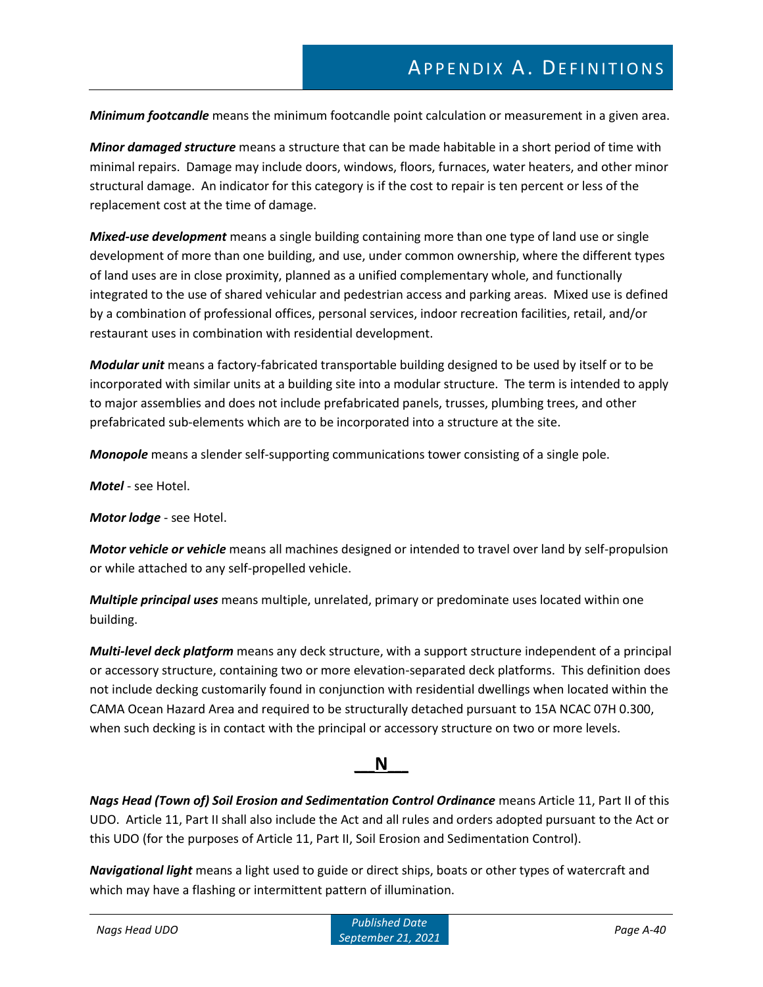*Minimum footcandle* means the minimum footcandle point calculation or measurement in a given area.

*Minor damaged structure* means a structure that can be made habitable in a short period of time with minimal repairs. Damage may include doors, windows, floors, furnaces, water heaters, and other minor structural damage. An indicator for this category is if the cost to repair is ten percent or less of the replacement cost at the time of damage.

*Mixed-use development* means a single building containing more than one type of land use or single development of more than one building, and use, under common ownership, where the different types of land uses are in close proximity, planned as a unified complementary whole, and functionally integrated to the use of shared vehicular and pedestrian access and parking areas. Mixed use is defined by a combination of professional offices, personal services, indoor recreation facilities, retail, and/or restaurant uses in combination with residential development.

*Modular unit* means a factory-fabricated transportable building designed to be used by itself or to be incorporated with similar units at a building site into a modular structure. The term is intended to apply to major assemblies and does not include prefabricated panels, trusses, plumbing trees, and other prefabricated sub-elements which are to be incorporated into a structure at the site.

*Monopole* means a slender self-supporting communications tower consisting of a single pole.

*Motel* - see Hotel.

*Motor lodge* - see Hotel.

*Motor vehicle or vehicle* means all machines designed or intended to travel over land by self-propulsion or while attached to any self-propelled vehicle.

*Multiple principal uses* means multiple, unrelated, primary or predominate uses located within one building.

*Multi-level deck platform* means any deck structure, with a support structure independent of a principal or accessory structure, containing two or more elevation-separated deck platforms. This definition does not include decking customarily found in conjunction with residential dwellings when located within the CAMA Ocean Hazard Area and required to be structurally detached pursuant to 15A NCAC 07H 0.300, when such decking is in contact with the principal or accessory structure on two or more levels.

### **\_\_\_N\_\_\_**

*Nags Head (Town of) Soil Erosion and Sedimentation Control Ordinance* means Article 11, Part II of this UDO. Article 11, Part II shall also include the Act and all rules and orders adopted pursuant to the Act or this UDO (for the purposes of Article 11, Part II, Soil Erosion and Sedimentation Control).

*Navigational light* means a light used to guide or direct ships, boats or other types of watercraft and which may have a flashing or intermittent pattern of illumination.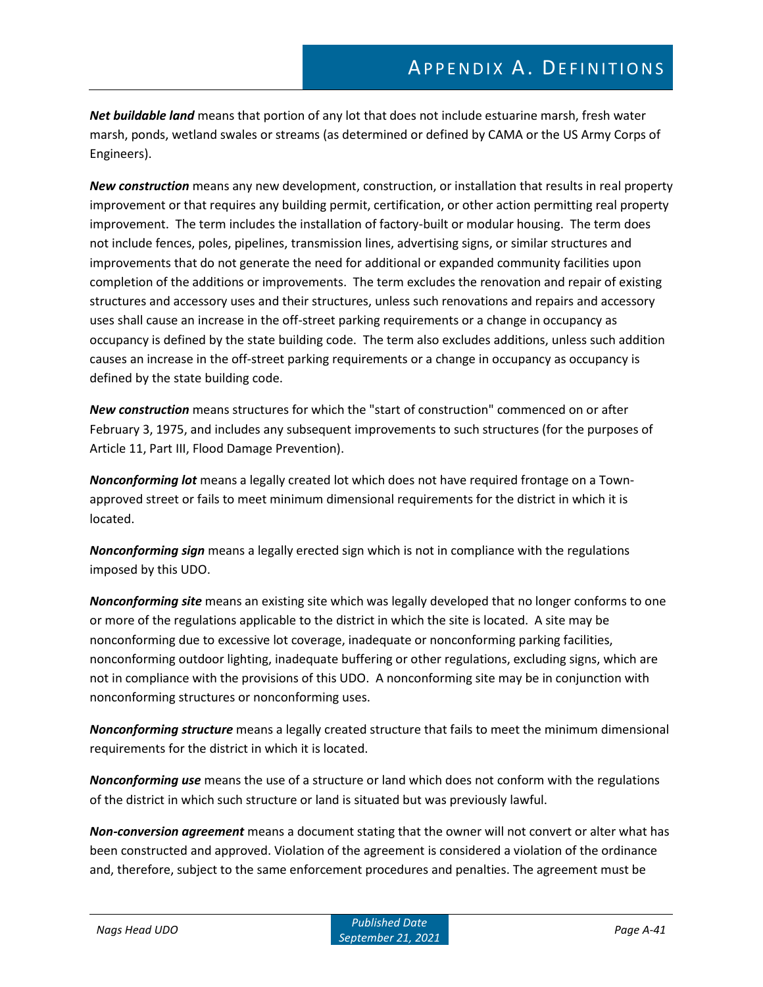*Net buildable land* means that portion of any lot that does not include estuarine marsh, fresh water marsh, ponds, wetland swales or streams (as determined or defined by CAMA or the US Army Corps of Engineers).

*New construction* means any new development, construction, or installation that results in real property improvement or that requires any building permit, certification, or other action permitting real property improvement. The term includes the installation of factory-built or modular housing. The term does not include fences, poles, pipelines, transmission lines, advertising signs, or similar structures and improvements that do not generate the need for additional or expanded community facilities upon completion of the additions or improvements. The term excludes the renovation and repair of existing structures and accessory uses and their structures, unless such renovations and repairs and accessory uses shall cause an increase in the off-street parking requirements or a change in occupancy as occupancy is defined by the state building code. The term also excludes additions, unless such addition causes an increase in the off-street parking requirements or a change in occupancy as occupancy is defined by the state building code.

*New construction* means structures for which the "start of construction" commenced on or after February 3, 1975, and includes any subsequent improvements to such structures (for the purposes of Article 11, Part III, Flood Damage Prevention).

*Nonconforming lot* means a legally created lot which does not have required frontage on a Townapproved street or fails to meet minimum dimensional requirements for the district in which it is located.

*Nonconforming sign* means a legally erected sign which is not in compliance with the regulations imposed by this UDO.

*Nonconforming site* means an existing site which was legally developed that no longer conforms to one or more of the regulations applicable to the district in which the site is located. A site may be nonconforming due to excessive lot coverage, inadequate or nonconforming parking facilities, nonconforming outdoor lighting, inadequate buffering or other regulations, excluding signs, which are not in compliance with the provisions of this UDO. A nonconforming site may be in conjunction with nonconforming structures or nonconforming uses.

*Nonconforming structure* means a legally created structure that fails to meet the minimum dimensional requirements for the district in which it is located.

*Nonconforming use* means the use of a structure or land which does not conform with the regulations of the district in which such structure or land is situated but was previously lawful.

*Non-conversion agreement* means a document stating that the owner will not convert or alter what has been constructed and approved. Violation of the agreement is considered a violation of the ordinance and, therefore, subject to the same enforcement procedures and penalties. The agreement must be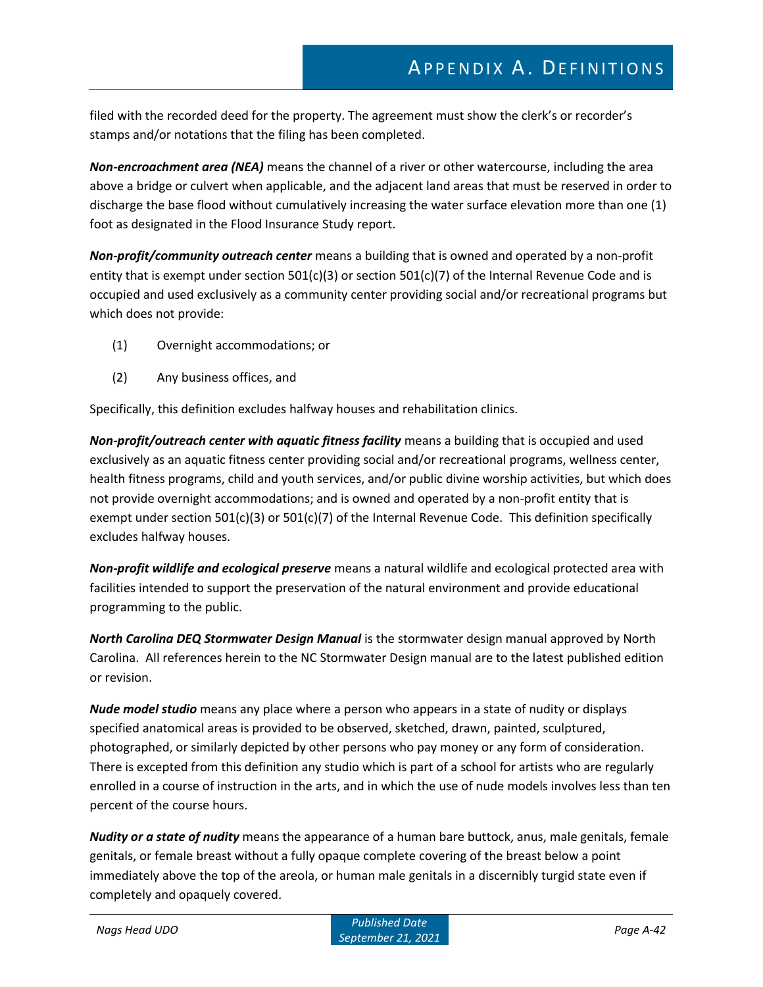filed with the recorded deed for the property. The agreement must show the clerk's or recorder's stamps and/or notations that the filing has been completed.

*Non-encroachment area (NEA)* means the channel of a river or other watercourse, including the area above a bridge or culvert when applicable, and the adjacent land areas that must be reserved in order to discharge the base flood without cumulatively increasing the water surface elevation more than one (1) foot as designated in the Flood Insurance Study report.

*Non-profit/community outreach center* means a building that is owned and operated by a non-profit entity that is exempt under section  $501(c)(3)$  or section  $501(c)(7)$  of the Internal Revenue Code and is occupied and used exclusively as a community center providing social and/or recreational programs but which does not provide:

- (1) Overnight accommodations; or
- (2) Any business offices, and

Specifically, this definition excludes halfway houses and rehabilitation clinics.

*Non-profit/outreach center with aquatic fitness facility* means a building that is occupied and used exclusively as an aquatic fitness center providing social and/or recreational programs, wellness center, health fitness programs, child and youth services, and/or public divine worship activities, but which does not provide overnight accommodations; and is owned and operated by a non-profit entity that is exempt under section 501(c)(3) or 501(c)(7) of the Internal Revenue Code. This definition specifically excludes halfway houses.

*Non-profit wildlife and ecological preserve* means a natural wildlife and ecological protected area with facilities intended to support the preservation of the natural environment and provide educational programming to the public.

*North Carolina DEQ Stormwater Design Manual* is the stormwater design manual approved by North Carolina. All references herein to the NC Stormwater Design manual are to the latest published edition or revision.

*Nude model studio* means any place where a person who appears in a state of nudity or displays specified anatomical areas is provided to be observed, sketched, drawn, painted, sculptured, photographed, or similarly depicted by other persons who pay money or any form of consideration. There is excepted from this definition any studio which is part of a school for artists who are regularly enrolled in a course of instruction in the arts, and in which the use of nude models involves less than ten percent of the course hours.

*Nudity or a state of nudity* means the appearance of a human bare buttock, anus, male genitals, female genitals, or female breast without a fully opaque complete covering of the breast below a point immediately above the top of the areola, or human male genitals in a discernibly turgid state even if completely and opaquely covered.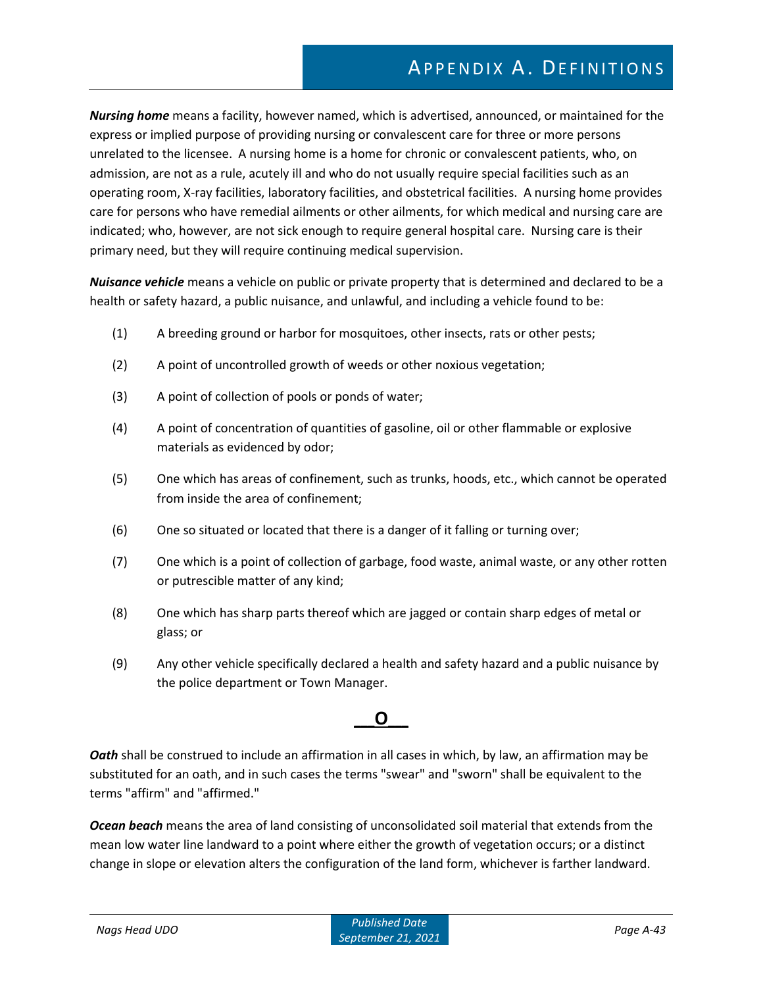*Nursing home* means a facility, however named, which is advertised, announced, or maintained for the express or implied purpose of providing nursing or convalescent care for three or more persons unrelated to the licensee. A nursing home is a home for chronic or convalescent patients, who, on admission, are not as a rule, acutely ill and who do not usually require special facilities such as an operating room, X-ray facilities, laboratory facilities, and obstetrical facilities. A nursing home provides care for persons who have remedial ailments or other ailments, for which medical and nursing care are indicated; who, however, are not sick enough to require general hospital care. Nursing care is their primary need, but they will require continuing medical supervision.

*Nuisance vehicle* means a vehicle on public or private property that is determined and declared to be a health or safety hazard, a public nuisance, and unlawful, and including a vehicle found to be:

- (1) A breeding ground or harbor for mosquitoes, other insects, rats or other pests;
- (2) A point of uncontrolled growth of weeds or other noxious vegetation;
- (3) A point of collection of pools or ponds of water;
- (4) A point of concentration of quantities of gasoline, oil or other flammable or explosive materials as evidenced by odor;
- (5) One which has areas of confinement, such as trunks, hoods, etc., which cannot be operated from inside the area of confinement;
- (6) One so situated or located that there is a danger of it falling or turning over;
- (7) One which is a point of collection of garbage, food waste, animal waste, or any other rotten or putrescible matter of any kind;
- (8) One which has sharp parts thereof which are jagged or contain sharp edges of metal or glass; or
- (9) Any other vehicle specifically declared a health and safety hazard and a public nuisance by the police department or Town Manager.

### **\_\_\_O\_\_\_**

*Oath* shall be construed to include an affirmation in all cases in which, by law, an affirmation may be substituted for an oath, and in such cases the terms "swear" and "sworn" shall be equivalent to the terms "affirm" and "affirmed."

*Ocean beach* means the area of land consisting of unconsolidated soil material that extends from the mean low water line landward to a point where either the growth of vegetation occurs; or a distinct change in slope or elevation alters the configuration of the land form, whichever is farther landward.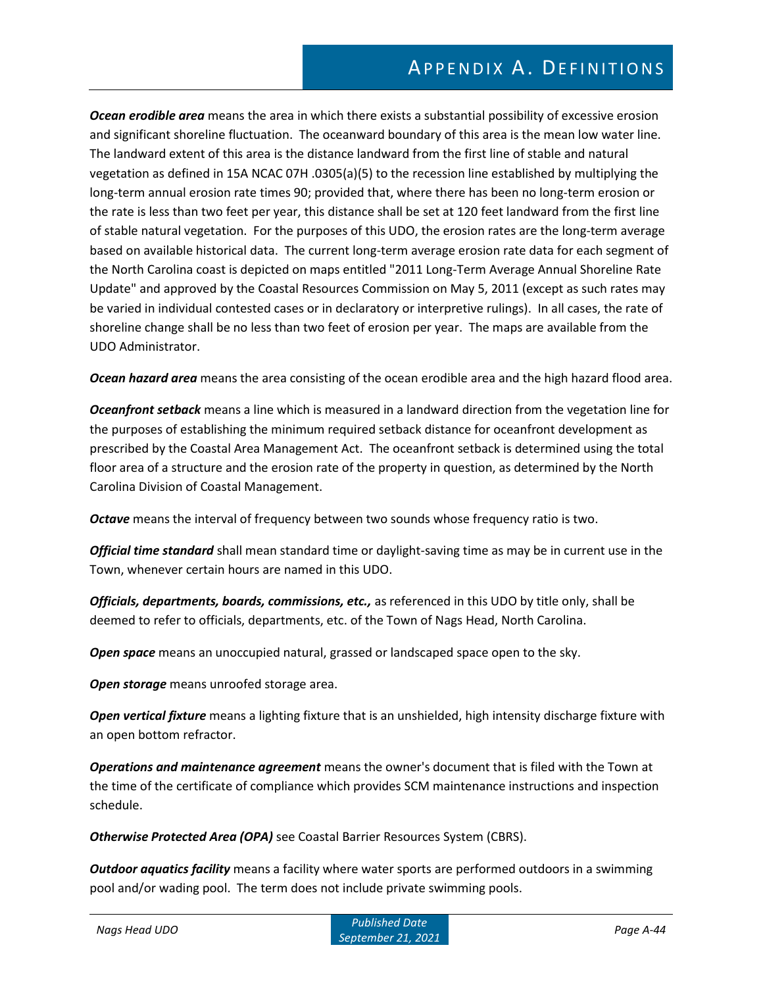*Ocean erodible area* means the area in which there exists a substantial possibility of excessive erosion and significant shoreline fluctuation. The oceanward boundary of this area is the mean low water line. The landward extent of this area is the distance landward from the first line of stable and natural vegetation as defined in 15A NCAC 07H .0305(a)(5) to the recession line established by multiplying the long-term annual erosion rate times 90; provided that, where there has been no long-term erosion or the rate is less than two feet per year, this distance shall be set at 120 feet landward from the first line of stable natural vegetation. For the purposes of this UDO, the erosion rates are the long-term average based on available historical data. The current long-term average erosion rate data for each segment of the North Carolina coast is depicted on maps entitled "2011 Long-Term Average Annual Shoreline Rate Update" and approved by the Coastal Resources Commission on May 5, 2011 (except as such rates may be varied in individual contested cases or in declaratory or interpretive rulings). In all cases, the rate of shoreline change shall be no less than two feet of erosion per year. The maps are available from the UDO Administrator.

*Ocean hazard area* means the area consisting of the ocean erodible area and the high hazard flood area.

*Oceanfront setback* means a line which is measured in a landward direction from the vegetation line for the purposes of establishing the minimum required setback distance for oceanfront development as prescribed by the Coastal Area Management Act. The oceanfront setback is determined using the total floor area of a structure and the erosion rate of the property in question, as determined by the North Carolina Division of Coastal Management.

*Octave* means the interval of frequency between two sounds whose frequency ratio is two.

*Official time standard* shall mean standard time or daylight-saving time as may be in current use in the Town, whenever certain hours are named in this UDO.

*Officials, departments, boards, commissions, etc.,* as referenced in this UDO by title only, shall be deemed to refer to officials, departments, etc. of the Town of Nags Head, North Carolina.

*Open space* means an unoccupied natural, grassed or landscaped space open to the sky.

*Open storage* means unroofed storage area.

*Open vertical fixture* means a lighting fixture that is an unshielded, high intensity discharge fixture with an open bottom refractor.

*Operations and maintenance agreement* means the owner's document that is filed with the Town at the time of the certificate of compliance which provides SCM maintenance instructions and inspection schedule.

*Otherwise Protected Area (OPA)* see Coastal Barrier Resources System (CBRS).

*Outdoor aquatics facility* means a facility where water sports are performed outdoors in a swimming pool and/or wading pool. The term does not include private swimming pools.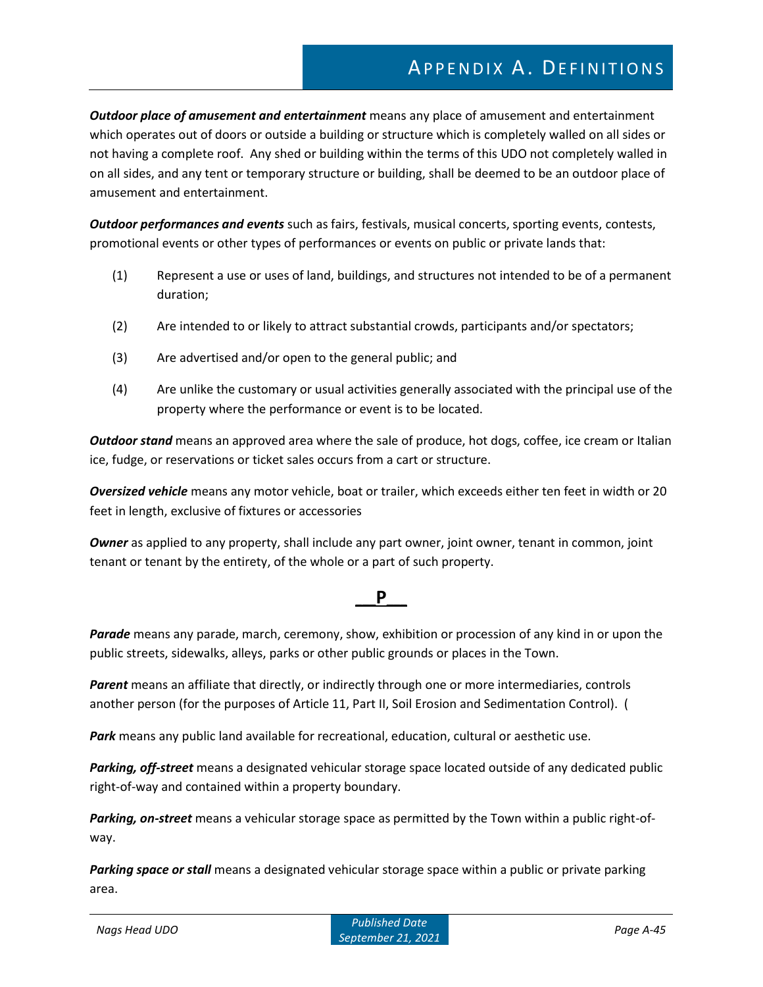*Outdoor place of amusement and entertainment* means any place of amusement and entertainment which operates out of doors or outside a building or structure which is completely walled on all sides or not having a complete roof. Any shed or building within the terms of this UDO not completely walled in on all sides, and any tent or temporary structure or building, shall be deemed to be an outdoor place of amusement and entertainment.

*Outdoor performances and events* such as fairs, festivals, musical concerts, sporting events, contests, promotional events or other types of performances or events on public or private lands that:

- (1) Represent a use or uses of land, buildings, and structures not intended to be of a permanent duration;
- (2) Are intended to or likely to attract substantial crowds, participants and/or spectators;
- (3) Are advertised and/or open to the general public; and
- (4) Are unlike the customary or usual activities generally associated with the principal use of the property where the performance or event is to be located.

*Outdoor stand* means an approved area where the sale of produce, hot dogs, coffee, ice cream or Italian ice, fudge, or reservations or ticket sales occurs from a cart or structure.

*Oversized vehicle* means any motor vehicle, boat or trailer, which exceeds either ten feet in width or 20 feet in length, exclusive of fixtures or accessories

*Owner* as applied to any property, shall include any part owner, joint owner, tenant in common, joint tenant or tenant by the entirety, of the whole or a part of such property.

### **\_\_\_P\_\_\_**

*Parade* means any parade, march, ceremony, show, exhibition or procession of any kind in or upon the public streets, sidewalks, alleys, parks or other public grounds or places in the Town.

*Parent* means an affiliate that directly, or indirectly through one or more intermediaries, controls another person (for the purposes of Article 11, Part II, Soil Erosion and Sedimentation Control). (

*Park* means any public land available for recreational, education, cultural or aesthetic use.

*Parking, off-street* means a designated vehicular storage space located outside of any dedicated public right-of-way and contained within a property boundary.

*Parking, on-street* means a vehicular storage space as permitted by the Town within a public right-ofway.

*Parking space or stall* means a designated vehicular storage space within a public or private parking area.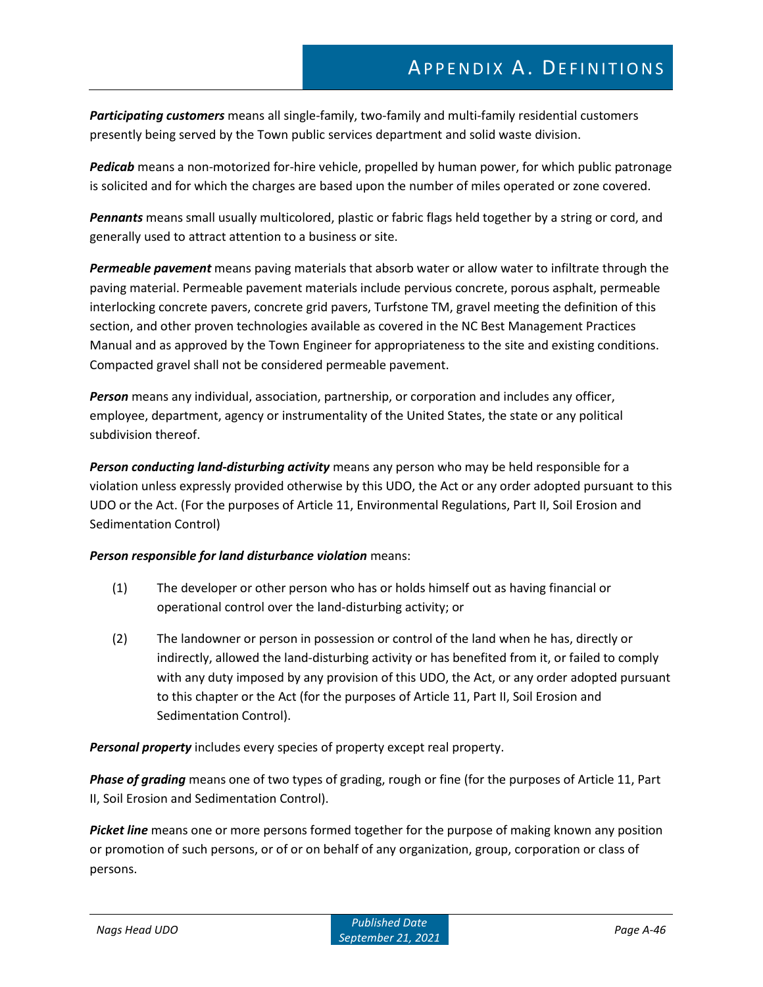*Participating customers* means all single-family, two-family and multi-family residential customers presently being served by the Town public services department and solid waste division.

*Pedicab* means a non-motorized for-hire vehicle, propelled by human power, for which public patronage is solicited and for which the charges are based upon the number of miles operated or zone covered.

*Pennants* means small usually multicolored, plastic or fabric flags held together by a string or cord, and generally used to attract attention to a business or site.

*Permeable pavement* means paving materials that absorb water or allow water to infiltrate through the paving material. Permeable pavement materials include pervious concrete, porous asphalt, permeable interlocking concrete pavers, concrete grid pavers, Turfstone TM, gravel meeting the definition of this section, and other proven technologies available as covered in the NC Best Management Practices Manual and as approved by the Town Engineer for appropriateness to the site and existing conditions. Compacted gravel shall not be considered permeable pavement.

*Person* means any individual, association, partnership, or corporation and includes any officer, employee, department, agency or instrumentality of the United States, the state or any political subdivision thereof.

*Person conducting land-disturbing activity* means any person who may be held responsible for a violation unless expressly provided otherwise by this UDO, the Act or any order adopted pursuant to this UDO or the Act. (For the purposes of Article 11, Environmental Regulations, Part II, Soil Erosion and Sedimentation Control)

#### *Person responsible for land disturbance violation* means:

- (1) The developer or other person who has or holds himself out as having financial or operational control over the land-disturbing activity; or
- (2) The landowner or person in possession or control of the land when he has, directly or indirectly, allowed the land-disturbing activity or has benefited from it, or failed to comply with any duty imposed by any provision of this UDO, the Act, or any order adopted pursuant to this chapter or the Act (for the purposes of Article 11, Part II, Soil Erosion and Sedimentation Control).

*Personal property* includes every species of property except real property.

*Phase of grading* means one of two types of grading, rough or fine (for the purposes of Article 11, Part II, Soil Erosion and Sedimentation Control).

*Picket line* means one or more persons formed together for the purpose of making known any position or promotion of such persons, or of or on behalf of any organization, group, corporation or class of persons.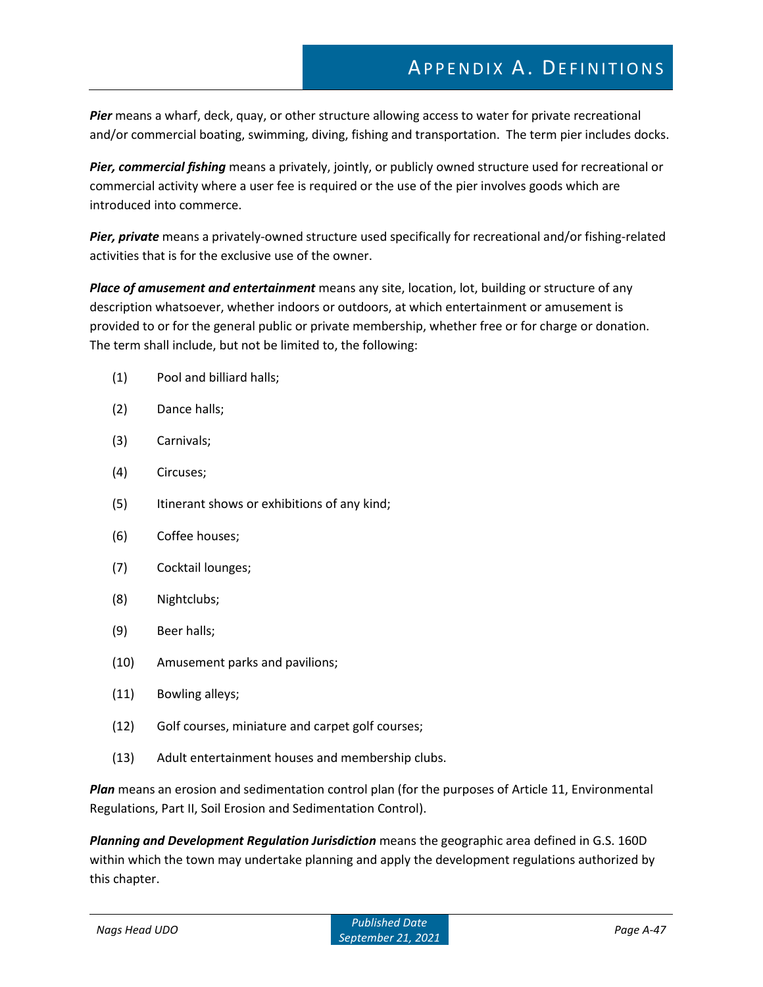*Pier* means a wharf, deck, quay, or other structure allowing access to water for private recreational and/or commercial boating, swimming, diving, fishing and transportation. The term pier includes docks.

*Pier, commercial fishing* means a privately, jointly, or publicly owned structure used for recreational or commercial activity where a user fee is required or the use of the pier involves goods which are introduced into commerce.

*Pier, private* means a privately-owned structure used specifically for recreational and/or fishing-related activities that is for the exclusive use of the owner.

*Place of amusement and entertainment* means any site, location, lot, building or structure of any description whatsoever, whether indoors or outdoors, at which entertainment or amusement is provided to or for the general public or private membership, whether free or for charge or donation. The term shall include, but not be limited to, the following:

- (1) Pool and billiard halls;
- (2) Dance halls;
- (3) Carnivals;
- (4) Circuses;
- (5) Itinerant shows or exhibitions of any kind;
- (6) Coffee houses;
- (7) Cocktail lounges;
- (8) Nightclubs;
- (9) Beer halls;
- (10) Amusement parks and pavilions;
- (11) Bowling alleys;
- (12) Golf courses, miniature and carpet golf courses;
- (13) Adult entertainment houses and membership clubs.

*Plan* means an erosion and sedimentation control plan (for the purposes of Article 11, Environmental Regulations, Part II, Soil Erosion and Sedimentation Control).

*Planning and Development Regulation Jurisdiction* means the geographic area defined in G.S. 160D within which the town may undertake planning and apply the development regulations authorized by this chapter.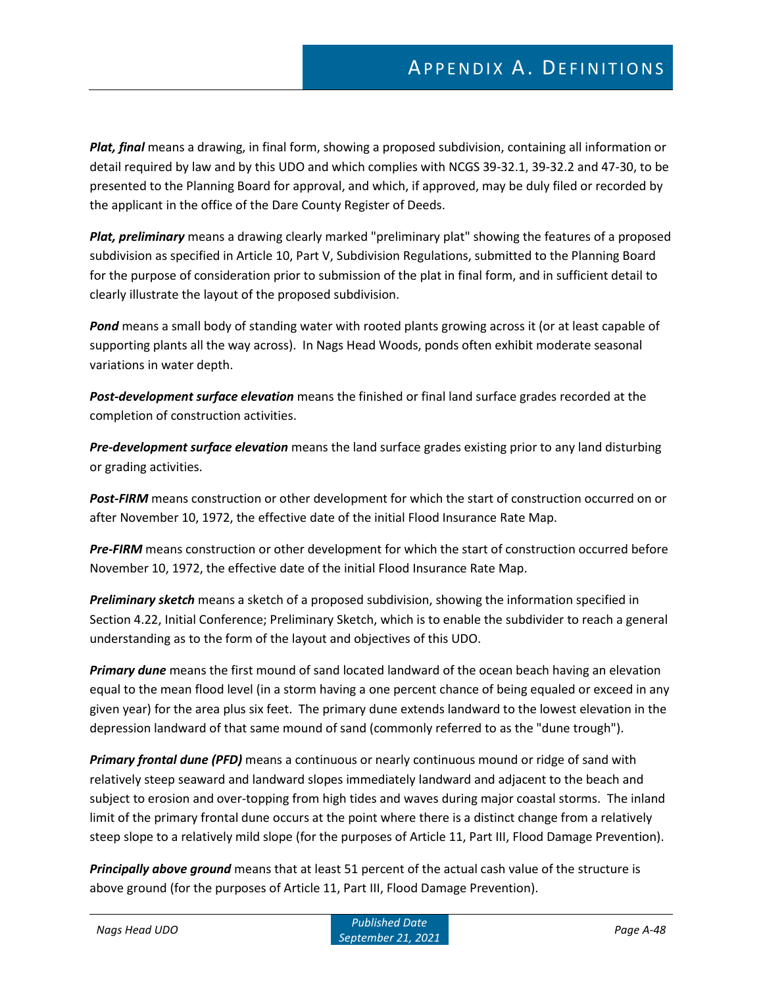*Plat, final* means a drawing, in final form, showing a proposed subdivision, containing all information or detail required by law and by this UDO and which complies with NCGS 39-32.1, 39-32.2 and 47-30, to be presented to the Planning Board for approval, and which, if approved, may be duly filed or recorded by the applicant in the office of the Dare County Register of Deeds.

*Plat, preliminary* means a drawing clearly marked "preliminary plat" showing the features of a proposed subdivision as specified in Article 10, Part V, Subdivision Regulations, submitted to the Planning Board for the purpose of consideration prior to submission of the plat in final form, and in sufficient detail to clearly illustrate the layout of the proposed subdivision.

*Pond* means a small body of standing water with rooted plants growing across it (or at least capable of supporting plants all the way across). In Nags Head Woods, ponds often exhibit moderate seasonal variations in water depth.

*Post-development surface elevation* means the finished or final land surface grades recorded at the completion of construction activities.

*Pre-development surface elevation* means the land surface grades existing prior to any land disturbing or grading activities.

*Post-FIRM* means construction or other development for which the start of construction occurred on or after November 10, 1972, the effective date of the initial Flood Insurance Rate Map.

*Pre-FIRM* means construction or other development for which the start of construction occurred before November 10, 1972, the effective date of the initial Flood Insurance Rate Map.

*Preliminary sketch* means a sketch of a proposed subdivision, showing the information specified in Section 4.22, Initial Conference; Preliminary Sketch, which is to enable the subdivider to reach a general understanding as to the form of the layout and objectives of this UDO.

*Primary dune* means the first mound of sand located landward of the ocean beach having an elevation equal to the mean flood level (in a storm having a one percent chance of being equaled or exceed in any given year) for the area plus six feet. The primary dune extends landward to the lowest elevation in the depression landward of that same mound of sand (commonly referred to as the "dune trough").

*Primary frontal dune (PFD)* means a continuous or nearly continuous mound or ridge of sand with relatively steep seaward and landward slopes immediately landward and adjacent to the beach and subject to erosion and over-topping from high tides and waves during major coastal storms. The inland limit of the primary frontal dune occurs at the point where there is a distinct change from a relatively steep slope to a relatively mild slope (for the purposes of Article 11, Part III, Flood Damage Prevention).

*Principally above ground* means that at least 51 percent of the actual cash value of the structure is above ground (for the purposes of Article 11, Part III, Flood Damage Prevention).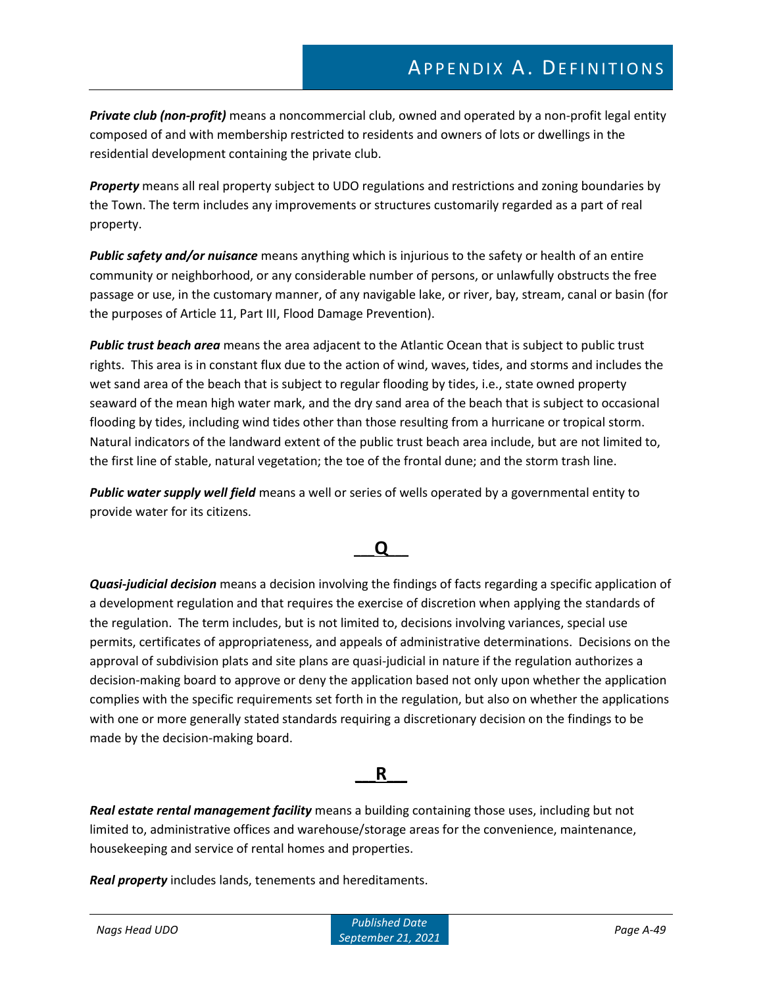*Private club (non-profit)* means a noncommercial club, owned and operated by a non-profit legal entity composed of and with membership restricted to residents and owners of lots or dwellings in the residential development containing the private club.

*Property* means all real property subject to UDO regulations and restrictions and zoning boundaries by the Town. The term includes any improvements or structures customarily regarded as a part of real property.

*Public safety and/or nuisance* means anything which is injurious to the safety or health of an entire community or neighborhood, or any considerable number of persons, or unlawfully obstructs the free passage or use, in the customary manner, of any navigable lake, or river, bay, stream, canal or basin (for the purposes of Article 11, Part III, Flood Damage Prevention).

*Public trust beach area* means the area adjacent to the Atlantic Ocean that is subject to public trust rights. This area is in constant flux due to the action of wind, waves, tides, and storms and includes the wet sand area of the beach that is subject to regular flooding by tides, i.e., state owned property seaward of the mean high water mark, and the dry sand area of the beach that is subject to occasional flooding by tides, including wind tides other than those resulting from a hurricane or tropical storm. Natural indicators of the landward extent of the public trust beach area include, but are not limited to, the first line of stable, natural vegetation; the toe of the frontal dune; and the storm trash line.

*Public water supply well field* means a well or series of wells operated by a governmental entity to provide water for its citizens.

### **\_\_\_Q\_\_\_**

*Quasi-judicial decision* means a decision involving the findings of facts regarding a specific application of a development regulation and that requires the exercise of discretion when applying the standards of the regulation. The term includes, but is not limited to, decisions involving variances, special use permits, certificates of appropriateness, and appeals of administrative determinations. Decisions on the approval of subdivision plats and site plans are quasi-judicial in nature if the regulation authorizes a decision-making board to approve or deny the application based not only upon whether the application complies with the specific requirements set forth in the regulation, but also on whether the applications with one or more generally stated standards requiring a discretionary decision on the findings to be made by the decision-making board.

### **\_\_\_R\_\_\_**

*Real estate rental management facility* means a building containing those uses, including but not limited to, administrative offices and warehouse/storage areas for the convenience, maintenance, housekeeping and service of rental homes and properties.

*Real property* includes lands, tenements and hereditaments.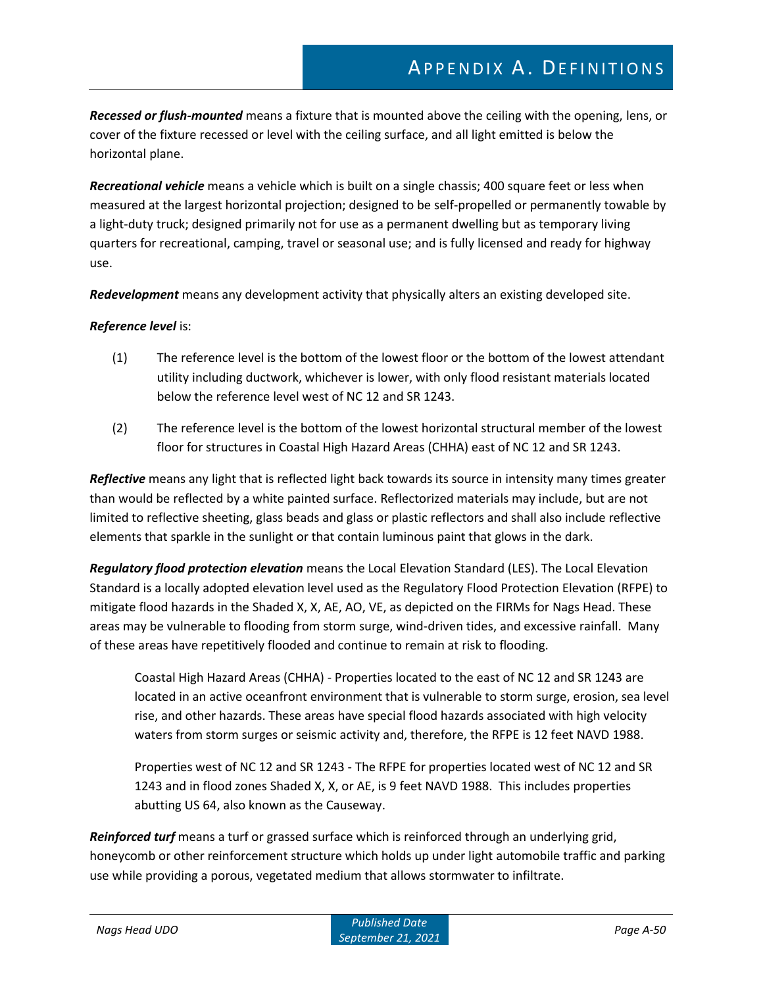*Recessed or flush-mounted* means a fixture that is mounted above the ceiling with the opening, lens, or cover of the fixture recessed or level with the ceiling surface, and all light emitted is below the horizontal plane.

*Recreational vehicle* means a vehicle which is built on a single chassis; 400 square feet or less when measured at the largest horizontal projection; designed to be self-propelled or permanently towable by a light-duty truck; designed primarily not for use as a permanent dwelling but as temporary living quarters for recreational, camping, travel or seasonal use; and is fully licensed and ready for highway use.

*Redevelopment* means any development activity that physically alters an existing developed site.

#### *Reference level* is:

- (1) The reference level is the bottom of the lowest floor or the bottom of the lowest attendant utility including ductwork, whichever is lower, with only flood resistant materials located below the reference level west of NC 12 and SR 1243.
- (2) The reference level is the bottom of the lowest horizontal structural member of the lowest floor for structures in Coastal High Hazard Areas (CHHA) east of NC 12 and SR 1243.

*Reflective* means any light that is reflected light back towards its source in intensity many times greater than would be reflected by a white painted surface. Reflectorized materials may include, but are not limited to reflective sheeting, glass beads and glass or plastic reflectors and shall also include reflective elements that sparkle in the sunlight or that contain luminous paint that glows in the dark.

*Regulatory flood protection elevation* means the Local Elevation Standard (LES). The Local Elevation Standard is a locally adopted elevation level used as the Regulatory Flood Protection Elevation (RFPE) to mitigate flood hazards in the Shaded X, X, AE, AO, VE, as depicted on the FIRMs for Nags Head. These areas may be vulnerable to flooding from storm surge, wind-driven tides, and excessive rainfall. Many of these areas have repetitively flooded and continue to remain at risk to flooding.

Coastal High Hazard Areas (CHHA) - Properties located to the east of NC 12 and SR 1243 are located in an active oceanfront environment that is vulnerable to storm surge, erosion, sea level rise, and other hazards. These areas have special flood hazards associated with high velocity waters from storm surges or seismic activity and, therefore, the RFPE is 12 feet NAVD 1988.

Properties west of NC 12 and SR 1243 - The RFPE for properties located west of NC 12 and SR 1243 and in flood zones Shaded X, X, or AE, is 9 feet NAVD 1988. This includes properties abutting US 64, also known as the Causeway.

*Reinforced turf* means a turf or grassed surface which is reinforced through an underlying grid, honeycomb or other reinforcement structure which holds up under light automobile traffic and parking use while providing a porous, vegetated medium that allows stormwater to infiltrate.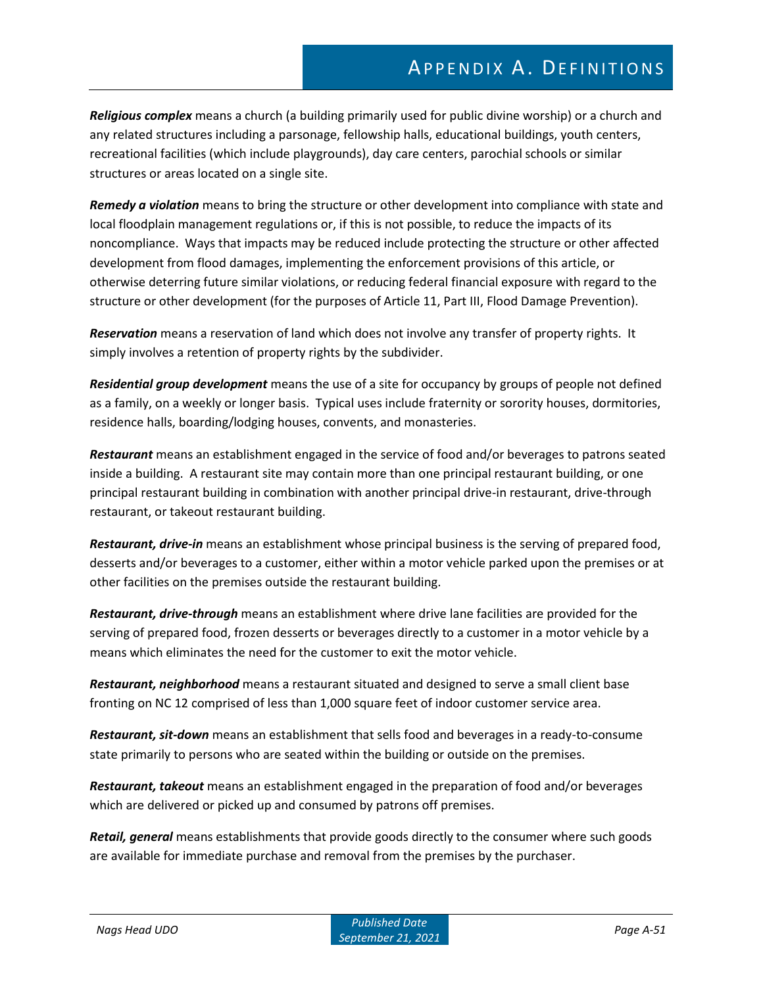*Religious complex* means a church (a building primarily used for public divine worship) or a church and any related structures including a parsonage, fellowship halls, educational buildings, youth centers, recreational facilities (which include playgrounds), day care centers, parochial schools or similar structures or areas located on a single site.

*Remedy a violation* means to bring the structure or other development into compliance with state and local floodplain management regulations or, if this is not possible, to reduce the impacts of its noncompliance. Ways that impacts may be reduced include protecting the structure or other affected development from flood damages, implementing the enforcement provisions of this article, or otherwise deterring future similar violations, or reducing federal financial exposure with regard to the structure or other development (for the purposes of Article 11, Part III, Flood Damage Prevention).

*Reservation* means a reservation of land which does not involve any transfer of property rights. It simply involves a retention of property rights by the subdivider.

*Residential group development* means the use of a site for occupancy by groups of people not defined as a family, on a weekly or longer basis. Typical uses include fraternity or sorority houses, dormitories, residence halls, boarding/lodging houses, convents, and monasteries.

*Restaurant* means an establishment engaged in the service of food and/or beverages to patrons seated inside a building. A restaurant site may contain more than one principal restaurant building, or one principal restaurant building in combination with another principal drive-in restaurant, drive-through restaurant, or takeout restaurant building.

*Restaurant, drive-in* means an establishment whose principal business is the serving of prepared food, desserts and/or beverages to a customer, either within a motor vehicle parked upon the premises or at other facilities on the premises outside the restaurant building.

*Restaurant, drive-through* means an establishment where drive lane facilities are provided for the serving of prepared food, frozen desserts or beverages directly to a customer in a motor vehicle by a means which eliminates the need for the customer to exit the motor vehicle.

*Restaurant, neighborhood* means a restaurant situated and designed to serve a small client base fronting on NC 12 comprised of less than 1,000 square feet of indoor customer service area.

*Restaurant, sit-down* means an establishment that sells food and beverages in a ready-to-consume state primarily to persons who are seated within the building or outside on the premises.

*Restaurant, takeout* means an establishment engaged in the preparation of food and/or beverages which are delivered or picked up and consumed by patrons off premises.

*Retail, general* means establishments that provide goods directly to the consumer where such goods are available for immediate purchase and removal from the premises by the purchaser.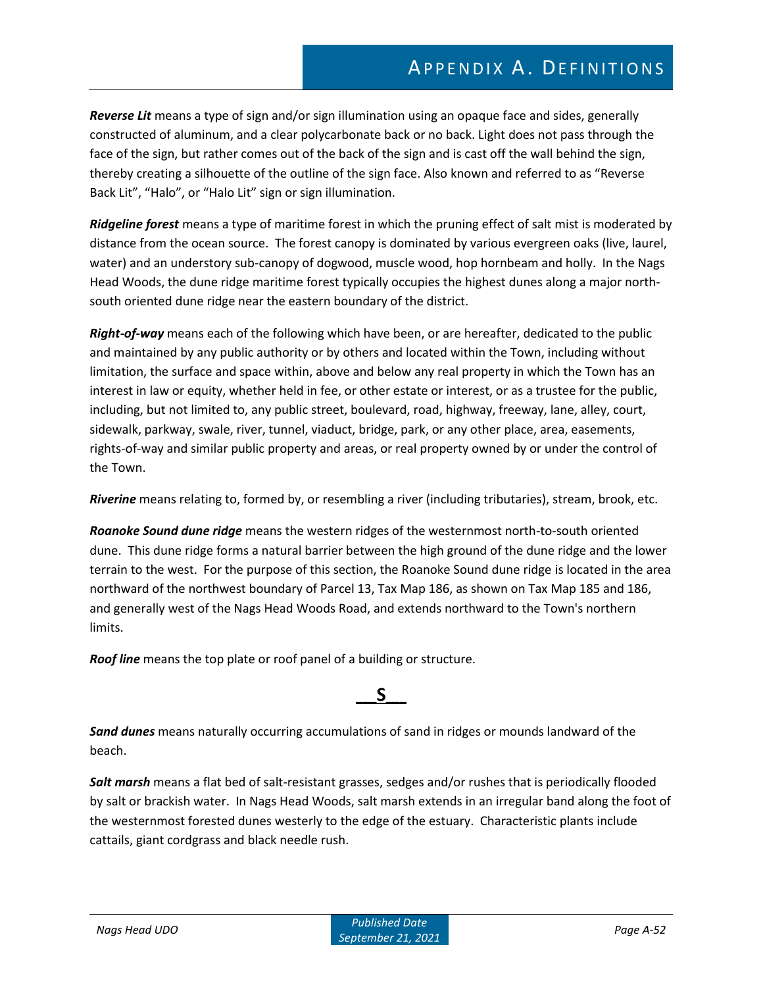*Reverse Lit* means a type of sign and/or sign illumination using an opaque face and sides, generally constructed of aluminum, and a clear polycarbonate back or no back. Light does not pass through the face of the sign, but rather comes out of the back of the sign and is cast off the wall behind the sign, thereby creating a silhouette of the outline of the sign face. Also known and referred to as "Reverse Back Lit", "Halo", or "Halo Lit" sign or sign illumination.

*Ridgeline forest* means a type of maritime forest in which the pruning effect of salt mist is moderated by distance from the ocean source. The forest canopy is dominated by various evergreen oaks (live, laurel, water) and an understory sub-canopy of dogwood, muscle wood, hop hornbeam and holly. In the Nags Head Woods, the dune ridge maritime forest typically occupies the highest dunes along a major northsouth oriented dune ridge near the eastern boundary of the district.

*Right-of-way* means each of the following which have been, or are hereafter, dedicated to the public and maintained by any public authority or by others and located within the Town, including without limitation, the surface and space within, above and below any real property in which the Town has an interest in law or equity, whether held in fee, or other estate or interest, or as a trustee for the public, including, but not limited to, any public street, boulevard, road, highway, freeway, lane, alley, court, sidewalk, parkway, swale, river, tunnel, viaduct, bridge, park, or any other place, area, easements, rights-of-way and similar public property and areas, or real property owned by or under the control of the Town.

*Riverine* means relating to, formed by, or resembling a river (including tributaries), stream, brook, etc.

*Roanoke Sound dune ridge* means the western ridges of the westernmost north-to-south oriented dune. This dune ridge forms a natural barrier between the high ground of the dune ridge and the lower terrain to the west. For the purpose of this section, the Roanoke Sound dune ridge is located in the area northward of the northwest boundary of Parcel 13, Tax Map 186, as shown on Tax Map 185 and 186, and generally west of the Nags Head Woods Road, and extends northward to the Town's northern limits.

*Roof line* means the top plate or roof panel of a building or structure.

### **\_\_\_S\_\_\_**

*Sand dunes* means naturally occurring accumulations of sand in ridges or mounds landward of the beach.

*Salt marsh* means a flat bed of salt-resistant grasses, sedges and/or rushes that is periodically flooded by salt or brackish water. In Nags Head Woods, salt marsh extends in an irregular band along the foot of the westernmost forested dunes westerly to the edge of the estuary. Characteristic plants include cattails, giant cordgrass and black needle rush.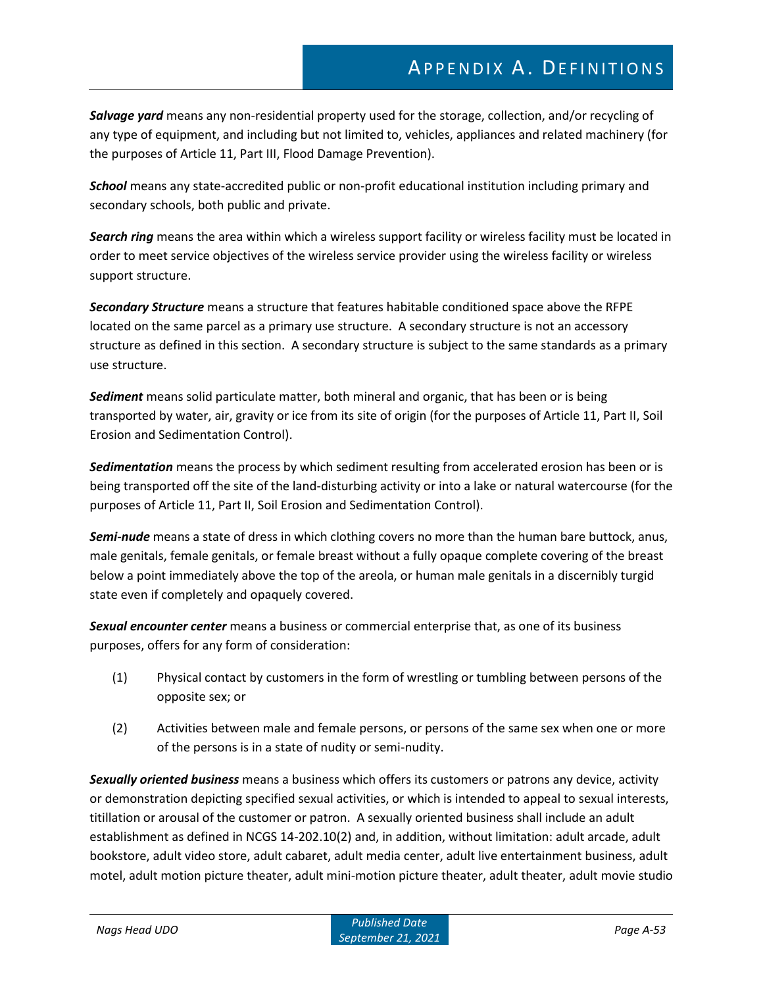# APPENDIX A. DEFINITIONS

*Salvage yard* means any non-residential property used for the storage, collection, and/or recycling of any type of equipment, and including but not limited to, vehicles, appliances and related machinery (for the purposes of Article 11, Part III, Flood Damage Prevention).

*School* means any state-accredited public or non-profit educational institution including primary and secondary schools, both public and private.

*Search ring* means the area within which a wireless support facility or wireless facility must be located in order to meet service objectives of the wireless service provider using the wireless facility or wireless support structure.

*Secondary Structure* means a structure that features habitable conditioned space above the RFPE located on the same parcel as a primary use structure. A secondary structure is not an accessory structure as defined in this section. A secondary structure is subject to the same standards as a primary use structure.

*Sediment* means solid particulate matter, both mineral and organic, that has been or is being transported by water, air, gravity or ice from its site of origin (for the purposes of Article 11, Part II, Soil Erosion and Sedimentation Control).

*Sedimentation* means the process by which sediment resulting from accelerated erosion has been or is being transported off the site of the land-disturbing activity or into a lake or natural watercourse (for the purposes of Article 11, Part II, Soil Erosion and Sedimentation Control).

*Semi-nude* means a state of dress in which clothing covers no more than the human bare buttock, anus, male genitals, female genitals, or female breast without a fully opaque complete covering of the breast below a point immediately above the top of the areola, or human male genitals in a discernibly turgid state even if completely and opaquely covered.

*Sexual encounter center* means a business or commercial enterprise that, as one of its business purposes, offers for any form of consideration:

- (1) Physical contact by customers in the form of wrestling or tumbling between persons of the opposite sex; or
- (2) Activities between male and female persons, or persons of the same sex when one or more of the persons is in a state of nudity or semi-nudity.

*Sexually oriented business* means a business which offers its customers or patrons any device, activity or demonstration depicting specified sexual activities, or which is intended to appeal to sexual interests, titillation or arousal of the customer or patron. A sexually oriented business shall include an adult establishment as defined in NCGS 14-202.10(2) and, in addition, without limitation: adult arcade, adult bookstore, adult video store, adult cabaret, adult media center, adult live entertainment business, adult motel, adult motion picture theater, adult mini-motion picture theater, adult theater, adult movie studio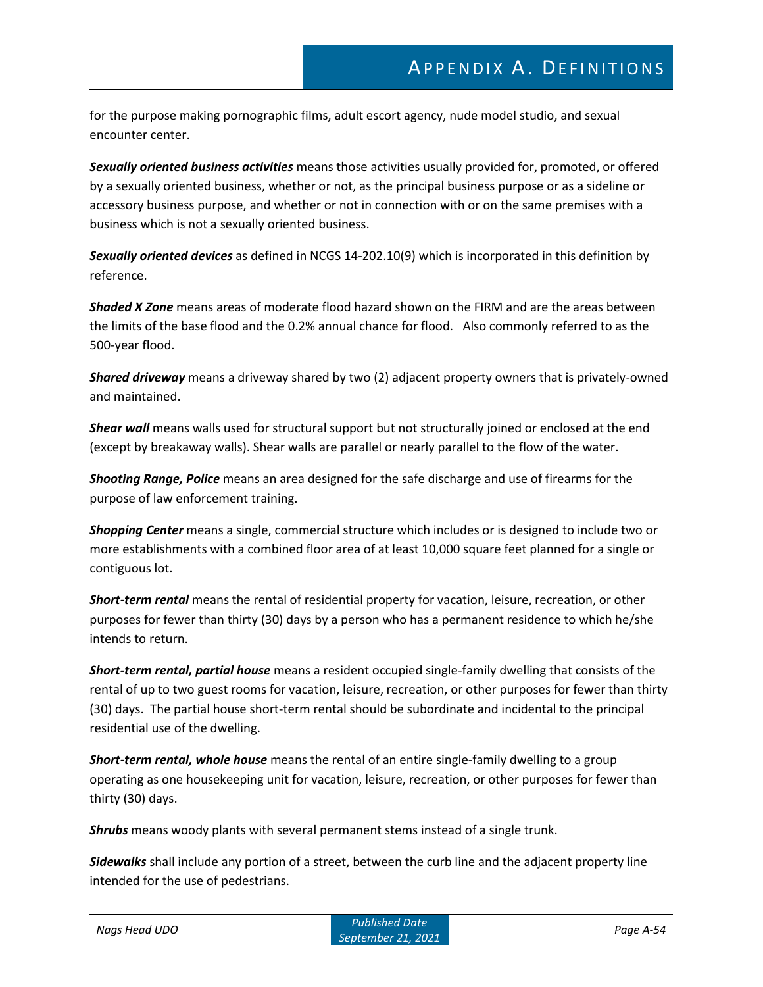for the purpose making pornographic films, adult escort agency, nude model studio, and sexual encounter center.

*Sexually oriented business activities* means those activities usually provided for, promoted, or offered by a sexually oriented business, whether or not, as the principal business purpose or as a sideline or accessory business purpose, and whether or not in connection with or on the same premises with a business which is not a sexually oriented business.

*Sexually oriented devices* as defined in NCGS 14-202.10(9) which is incorporated in this definition by reference.

*Shaded X Zone* means areas of moderate flood hazard shown on the FIRM and are the areas between the limits of the base flood and the 0.2% annual chance for flood. Also commonly referred to as the 500-year flood.

*Shared driveway* means a driveway shared by two (2) adjacent property owners that is privately-owned and maintained.

*Shear wall* means walls used for structural support but not structurally joined or enclosed at the end (except by breakaway walls). Shear walls are parallel or nearly parallel to the flow of the water.

*Shooting Range, Police* means an area designed for the safe discharge and use of firearms for the purpose of law enforcement training.

*Shopping Center* means a single, commercial structure which includes or is designed to include two or more establishments with a combined floor area of at least 10,000 square feet planned for a single or contiguous lot.

*Short-term rental* means the rental of residential property for vacation, leisure, recreation, or other purposes for fewer than thirty (30) days by a person who has a permanent residence to which he/she intends to return.

*Short-term rental, partial house* means a resident occupied single-family dwelling that consists of the rental of up to two guest rooms for vacation, leisure, recreation, or other purposes for fewer than thirty (30) days. The partial house short-term rental should be subordinate and incidental to the principal residential use of the dwelling.

*Short-term rental, whole house* means the rental of an entire single-family dwelling to a group operating as one housekeeping unit for vacation, leisure, recreation, or other purposes for fewer than thirty (30) days.

*Shrubs* means woody plants with several permanent stems instead of a single trunk.

*Sidewalks* shall include any portion of a street, between the curb line and the adjacent property line intended for the use of pedestrians.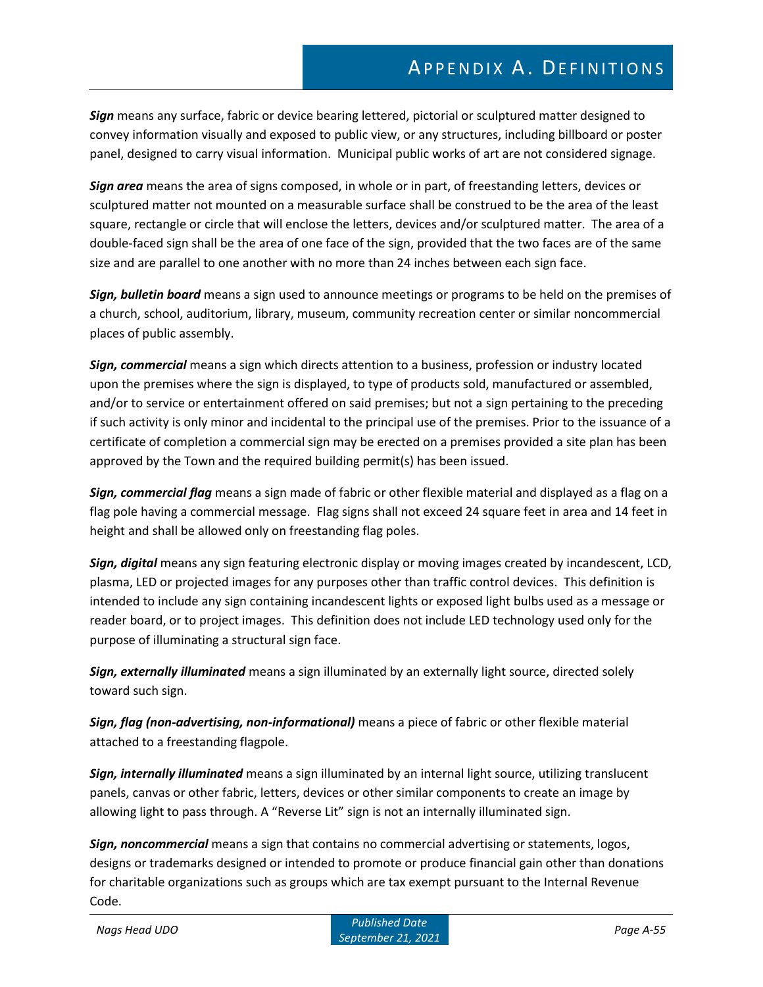*Sign* means any surface, fabric or device bearing lettered, pictorial or sculptured matter designed to convey information visually and exposed to public view, or any structures, including billboard or poster panel, designed to carry visual information. Municipal public works of art are not considered signage.

*Sign area* means the area of signs composed, in whole or in part, of freestanding letters, devices or sculptured matter not mounted on a measurable surface shall be construed to be the area of the least square, rectangle or circle that will enclose the letters, devices and/or sculptured matter. The area of a double-faced sign shall be the area of one face of the sign, provided that the two faces are of the same size and are parallel to one another with no more than 24 inches between each sign face.

*Sign, bulletin board* means a sign used to announce meetings or programs to be held on the premises of a church, school, auditorium, library, museum, community recreation center or similar noncommercial places of public assembly.

*Sign, commercial* means a sign which directs attention to a business, profession or industry located upon the premises where the sign is displayed, to type of products sold, manufactured or assembled, and/or to service or entertainment offered on said premises; but not a sign pertaining to the preceding if such activity is only minor and incidental to the principal use of the premises. Prior to the issuance of a certificate of completion a commercial sign may be erected on a premises provided a site plan has been approved by the Town and the required building permit(s) has been issued.

*Sign, commercial flag* means a sign made of fabric or other flexible material and displayed as a flag on a flag pole having a commercial message. Flag signs shall not exceed 24 square feet in area and 14 feet in height and shall be allowed only on freestanding flag poles.

*Sign, digital* means any sign featuring electronic display or moving images created by incandescent, LCD, plasma, LED or projected images for any purposes other than traffic control devices. This definition is intended to include any sign containing incandescent lights or exposed light bulbs used as a message or reader board, or to project images. This definition does not include LED technology used only for the purpose of illuminating a structural sign face.

*Sign, externally illuminated* means a sign illuminated by an externally light source, directed solely toward such sign.

*Sign, flag (non-advertising, non-informational)* means a piece of fabric or other flexible material attached to a freestanding flagpole.

*Sign, internally illuminated* means a sign illuminated by an internal light source, utilizing translucent panels, canvas or other fabric, letters, devices or other similar components to create an image by allowing light to pass through. A "Reverse Lit" sign is not an internally illuminated sign.

*Sign, noncommercial* means a sign that contains no commercial advertising or statements, logos, designs or trademarks designed or intended to promote or produce financial gain other than donations for charitable organizations such as groups which are tax exempt pursuant to the Internal Revenue Code.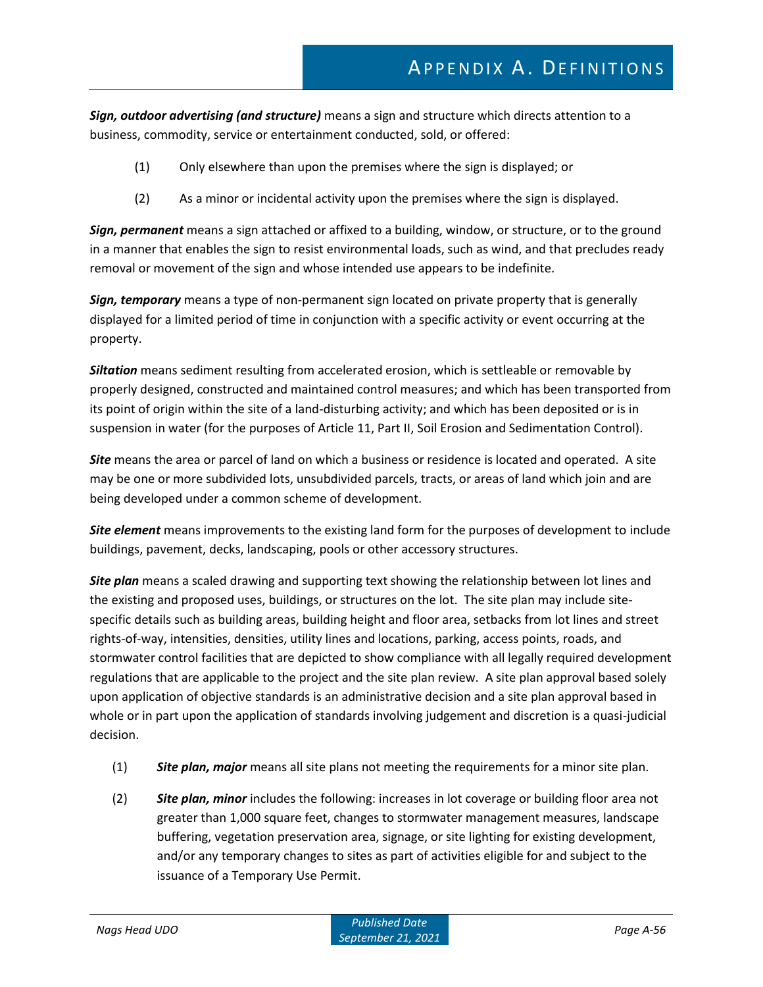*Sign, outdoor advertising (and structure)* means a sign and structure which directs attention to a business, commodity, service or entertainment conducted, sold, or offered:

- (1) Only elsewhere than upon the premises where the sign is displayed; or
- (2) As a minor or incidental activity upon the premises where the sign is displayed.

*Sign, permanent* means a sign attached or affixed to a building, window, or structure, or to the ground in a manner that enables the sign to resist environmental loads, such as wind, and that precludes ready removal or movement of the sign and whose intended use appears to be indefinite.

*Sign, temporary* means a type of non-permanent sign located on private property that is generally displayed for a limited period of time in conjunction with a specific activity or event occurring at the property.

*Siltation* means sediment resulting from accelerated erosion, which is settleable or removable by properly designed, constructed and maintained control measures; and which has been transported from its point of origin within the site of a land-disturbing activity; and which has been deposited or is in suspension in water (for the purposes of Article 11, Part II, Soil Erosion and Sedimentation Control).

*Site* means the area or parcel of land on which a business or residence is located and operated. A site may be one or more subdivided lots, unsubdivided parcels, tracts, or areas of land which join and are being developed under a common scheme of development.

*Site element* means improvements to the existing land form for the purposes of development to include buildings, pavement, decks, landscaping, pools or other accessory structures.

*Site plan* means a scaled drawing and supporting text showing the relationship between lot lines and the existing and proposed uses, buildings, or structures on the lot. The site plan may include sitespecific details such as building areas, building height and floor area, setbacks from lot lines and street rights-of-way, intensities, densities, utility lines and locations, parking, access points, roads, and stormwater control facilities that are depicted to show compliance with all legally required development regulations that are applicable to the project and the site plan review. A site plan approval based solely upon application of objective standards is an administrative decision and a site plan approval based in whole or in part upon the application of standards involving judgement and discretion is a quasi-judicial decision.

- (1) *Site plan, major* means all site plans not meeting the requirements for a minor site plan.
- (2) *Site plan, minor* includes the following: increases in lot coverage or building floor area not greater than 1,000 square feet, changes to stormwater management measures, landscape buffering, vegetation preservation area, signage, or site lighting for existing development, and/or any temporary changes to sites as part of activities eligible for and subject to the issuance of a Temporary Use Permit.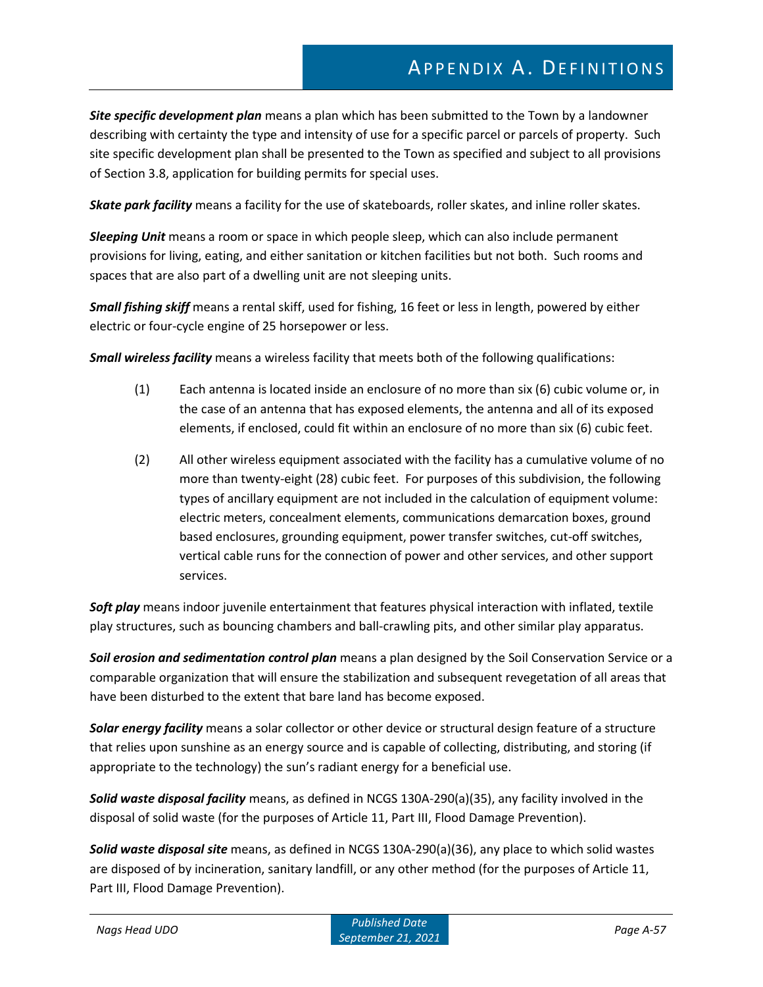*Site specific development plan* means a plan which has been submitted to the Town by a landowner describing with certainty the type and intensity of use for a specific parcel or parcels of property. Such site specific development plan shall be presented to the Town as specified and subject to all provisions of Section 3.8, application for building permits for special uses.

*Skate park facility* means a facility for the use of skateboards, roller skates, and inline roller skates.

*Sleeping Unit* means a room or space in which people sleep, which can also include permanent provisions for living, eating, and either sanitation or kitchen facilities but not both. Such rooms and spaces that are also part of a dwelling unit are not sleeping units.

*Small fishing skiff* means a rental skiff, used for fishing, 16 feet or less in length, powered by either electric or four-cycle engine of 25 horsepower or less.

*Small wireless facility* means a wireless facility that meets both of the following qualifications:

- (1) Each antenna is located inside an enclosure of no more than six (6) cubic volume or, in the case of an antenna that has exposed elements, the antenna and all of its exposed elements, if enclosed, could fit within an enclosure of no more than six (6) cubic feet.
- (2) All other wireless equipment associated with the facility has a cumulative volume of no more than twenty-eight (28) cubic feet. For purposes of this subdivision, the following types of ancillary equipment are not included in the calculation of equipment volume: electric meters, concealment elements, communications demarcation boxes, ground based enclosures, grounding equipment, power transfer switches, cut-off switches, vertical cable runs for the connection of power and other services, and other support services.

*Soft play* means indoor juvenile entertainment that features physical interaction with inflated, textile play structures, such as bouncing chambers and ball-crawling pits, and other similar play apparatus.

*Soil erosion and sedimentation control plan* means a plan designed by the Soil Conservation Service or a comparable organization that will ensure the stabilization and subsequent revegetation of all areas that have been disturbed to the extent that bare land has become exposed.

*Solar energy facility* means a solar collector or other device or structural design feature of a structure that relies upon sunshine as an energy source and is capable of collecting, distributing, and storing (if appropriate to the technology) the sun's radiant energy for a beneficial use.

*Solid waste disposal facility* means, as defined in NCGS 130A-290(a)(35), any facility involved in the disposal of solid waste (for the purposes of Article 11, Part III, Flood Damage Prevention).

*Solid waste disposal site* means, as defined in NCGS 130A-290(a)(36), any place to which solid wastes are disposed of by incineration, sanitary landfill, or any other method (for the purposes of Article 11, Part III, Flood Damage Prevention).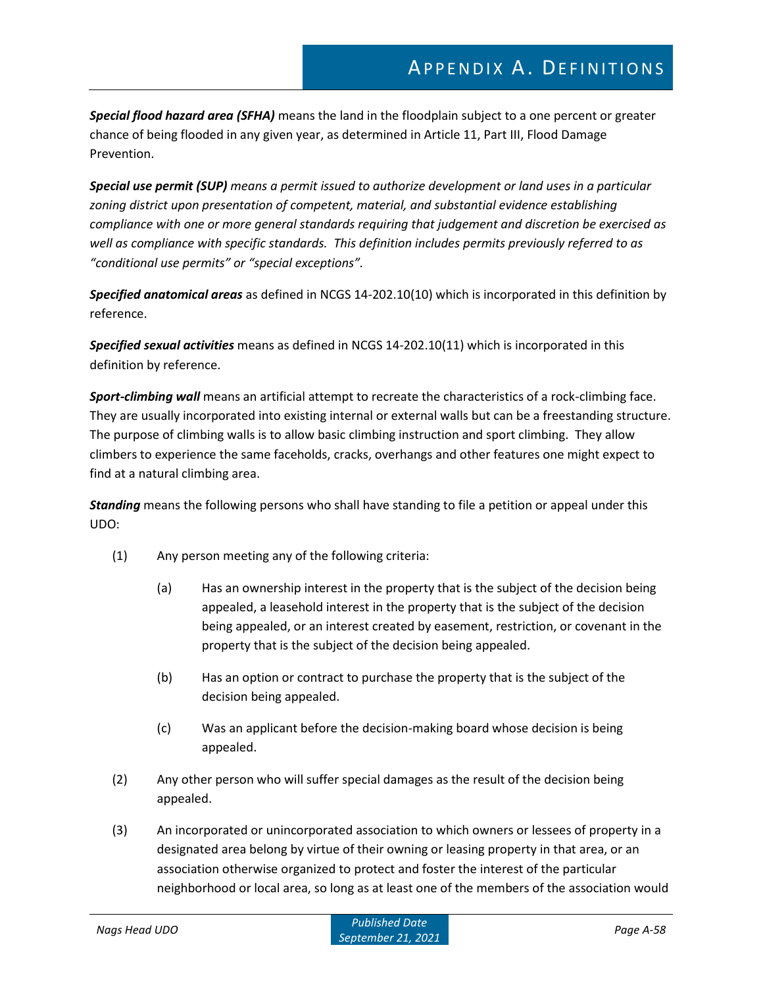*Special flood hazard area (SFHA)* means the land in the floodplain subject to a one percent or greater chance of being flooded in any given year, as determined in Article 11, Part III, Flood Damage Prevention.

*Special use permit (SUP) means a permit issued to authorize development or land uses in a particular zoning district upon presentation of competent, material, and substantial evidence establishing compliance with one or more general standards requiring that judgement and discretion be exercised as well as compliance with specific standards. This definition includes permits previously referred to as "conditional use permits" or "special exceptions".*

*Specified anatomical areas* as defined in NCGS 14-202.10(10) which is incorporated in this definition by reference.

*Specified sexual activities* means as defined in NCGS 14-202.10(11) which is incorporated in this definition by reference.

*Sport-climbing wall* means an artificial attempt to recreate the characteristics of a rock-climbing face. They are usually incorporated into existing internal or external walls but can be a freestanding structure. The purpose of climbing walls is to allow basic climbing instruction and sport climbing. They allow climbers to experience the same faceholds, cracks, overhangs and other features one might expect to find at a natural climbing area.

*Standing* means the following persons who shall have standing to file a petition or appeal under this UDO:

- (1) Any person meeting any of the following criteria:
	- (a) Has an ownership interest in the property that is the subject of the decision being appealed, a leasehold interest in the property that is the subject of the decision being appealed, or an interest created by easement, restriction, or covenant in the property that is the subject of the decision being appealed.
	- (b) Has an option or contract to purchase the property that is the subject of the decision being appealed.
	- (c) Was an applicant before the decision-making board whose decision is being appealed.
- (2) Any other person who will suffer special damages as the result of the decision being appealed.
- (3) An incorporated or unincorporated association to which owners or lessees of property in a designated area belong by virtue of their owning or leasing property in that area, or an association otherwise organized to protect and foster the interest of the particular neighborhood or local area, so long as at least one of the members of the association would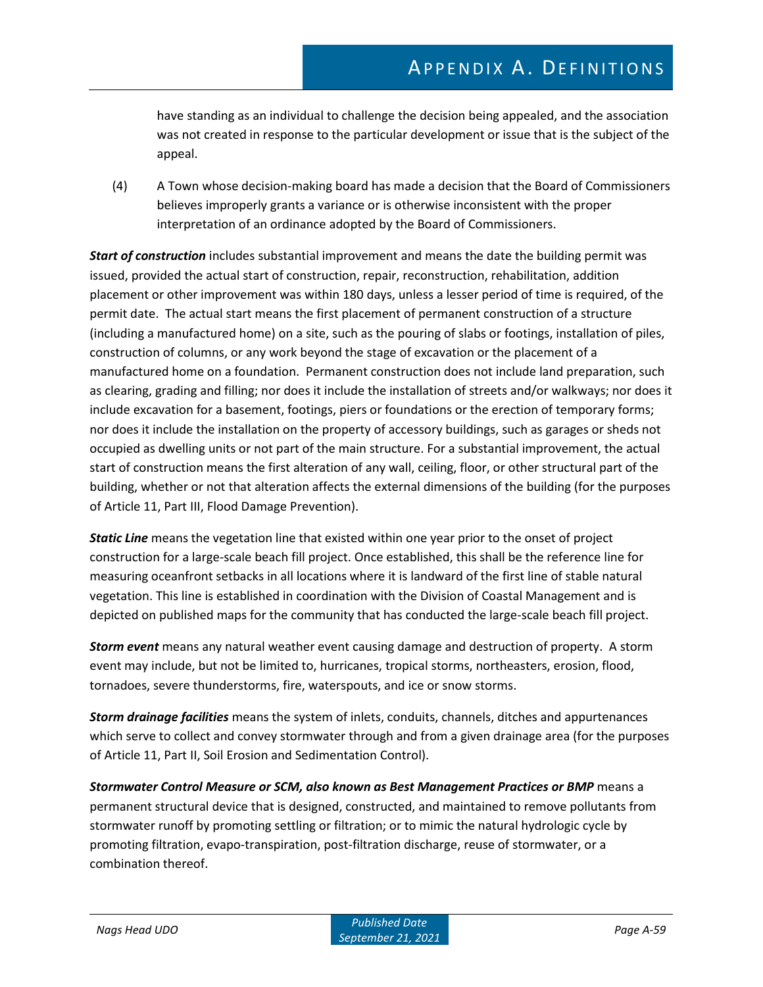have standing as an individual to challenge the decision being appealed, and the association was not created in response to the particular development or issue that is the subject of the appeal.

(4) A Town whose decision-making board has made a decision that the Board of Commissioners believes improperly grants a variance or is otherwise inconsistent with the proper interpretation of an ordinance adopted by the Board of Commissioners.

*Start of construction* includes substantial improvement and means the date the building permit was issued, provided the actual start of construction, repair, reconstruction, rehabilitation, addition placement or other improvement was within 180 days, unless a lesser period of time is required, of the permit date. The actual start means the first placement of permanent construction of a structure (including a manufactured home) on a site, such as the pouring of slabs or footings, installation of piles, construction of columns, or any work beyond the stage of excavation or the placement of a manufactured home on a foundation. Permanent construction does not include land preparation, such as clearing, grading and filling; nor does it include the installation of streets and/or walkways; nor does it include excavation for a basement, footings, piers or foundations or the erection of temporary forms; nor does it include the installation on the property of accessory buildings, such as garages or sheds not occupied as dwelling units or not part of the main structure. For a substantial improvement, the actual start of construction means the first alteration of any wall, ceiling, floor, or other structural part of the building, whether or not that alteration affects the external dimensions of the building (for the purposes of Article 11, Part III, Flood Damage Prevention).

*Static Line* means the vegetation line that existed within one year prior to the onset of project construction for a large-scale beach fill project. Once established, this shall be the reference line for measuring oceanfront setbacks in all locations where it is landward of the first line of stable natural vegetation. This line is established in coordination with the Division of Coastal Management and is depicted on published maps for the community that has conducted the large-scale beach fill project.

*Storm event* means any natural weather event causing damage and destruction of property. A storm event may include, but not be limited to, hurricanes, tropical storms, northeasters, erosion, flood, tornadoes, severe thunderstorms, fire, waterspouts, and ice or snow storms.

*Storm drainage facilities* means the system of inlets, conduits, channels, ditches and appurtenances which serve to collect and convey stormwater through and from a given drainage area (for the purposes of Article 11, Part II, Soil Erosion and Sedimentation Control).

*Stormwater Control Measure or SCM, also known as Best Management Practices or BMP* means a permanent structural device that is designed, constructed, and maintained to remove pollutants from stormwater runoff by promoting settling or filtration; or to mimic the natural hydrologic cycle by promoting filtration, evapo-transpiration, post-filtration discharge, reuse of stormwater, or a combination thereof.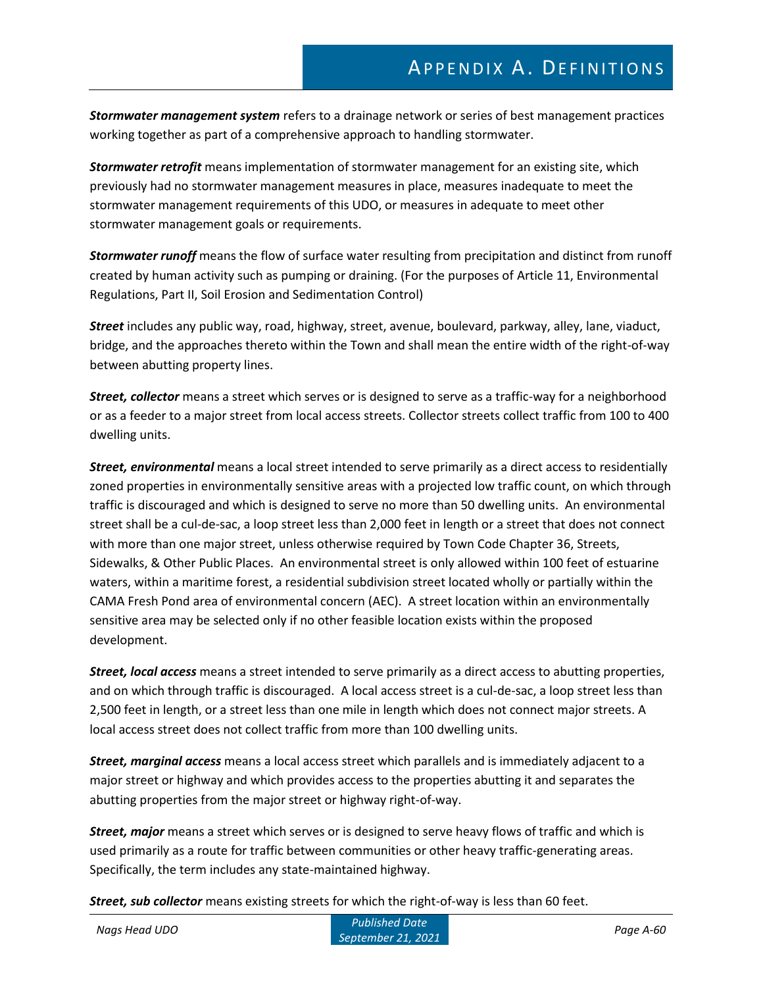*Stormwater management system* refers to a drainage network or series of best management practices working together as part of a comprehensive approach to handling stormwater.

*Stormwater retrofit* means implementation of stormwater management for an existing site, which previously had no stormwater management measures in place, measures inadequate to meet the stormwater management requirements of this UDO, or measures in adequate to meet other stormwater management goals or requirements.

*Stormwater runoff* means the flow of surface water resulting from precipitation and distinct from runoff created by human activity such as pumping or draining. (For the purposes of Article 11, Environmental Regulations, Part II, Soil Erosion and Sedimentation Control)

*Street* includes any public way, road, highway, street, avenue, boulevard, parkway, alley, lane, viaduct, bridge, and the approaches thereto within the Town and shall mean the entire width of the right-of-way between abutting property lines.

*Street, collector* means a street which serves or is designed to serve as a traffic-way for a neighborhood or as a feeder to a major street from local access streets. Collector streets collect traffic from 100 to 400 dwelling units.

*Street, environmental* means a local street intended to serve primarily as a direct access to residentially zoned properties in environmentally sensitive areas with a projected low traffic count, on which through traffic is discouraged and which is designed to serve no more than 50 dwelling units. An environmental street shall be a cul-de-sac, a loop street less than 2,000 feet in length or a street that does not connect with more than one major street, unless otherwise required by Town Code Chapter 36, Streets, Sidewalks, & Other Public Places. An environmental street is only allowed within 100 feet of estuarine waters, within a maritime forest, a residential subdivision street located wholly or partially within the CAMA Fresh Pond area of environmental concern (AEC). A street location within an environmentally sensitive area may be selected only if no other feasible location exists within the proposed development.

*Street, local access* means a street intended to serve primarily as a direct access to abutting properties, and on which through traffic is discouraged. A local access street is a cul-de-sac, a loop street less than 2,500 feet in length, or a street less than one mile in length which does not connect major streets. A local access street does not collect traffic from more than 100 dwelling units.

*Street, marginal access* means a local access street which parallels and is immediately adjacent to a major street or highway and which provides access to the properties abutting it and separates the abutting properties from the major street or highway right-of-way.

*Street, major* means a street which serves or is designed to serve heavy flows of traffic and which is used primarily as a route for traffic between communities or other heavy traffic-generating areas. Specifically, the term includes any state-maintained highway.

*Street, sub collector* means existing streets for which the right-of-way is less than 60 feet.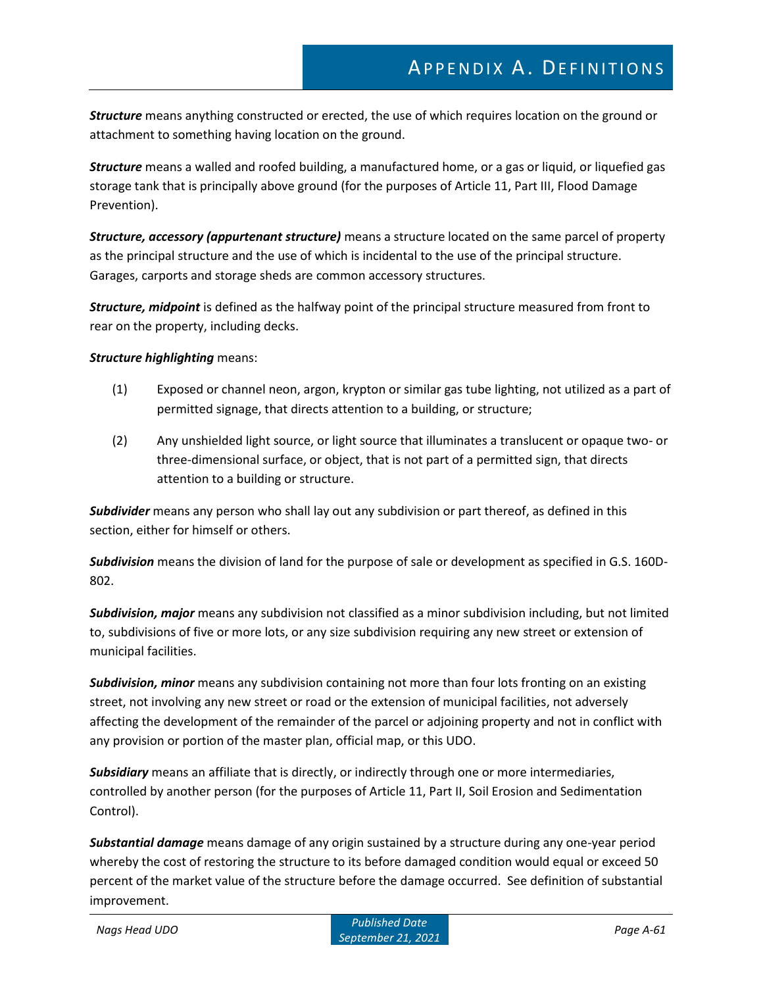*Structure* means anything constructed or erected, the use of which requires location on the ground or attachment to something having location on the ground.

*Structure* means a walled and roofed building, a manufactured home, or a gas or liquid, or liquefied gas storage tank that is principally above ground (for the purposes of Article 11, Part III, Flood Damage Prevention).

*Structure, accessory (appurtenant structure)* means a structure located on the same parcel of property as the principal structure and the use of which is incidental to the use of the principal structure. Garages, carports and storage sheds are common accessory structures.

*Structure, midpoint* is defined as the halfway point of the principal structure measured from front to rear on the property, including decks.

#### *Structure highlighting* means:

- (1) Exposed or channel neon, argon, krypton or similar gas tube lighting, not utilized as a part of permitted signage, that directs attention to a building, or structure;
- (2) Any unshielded light source, or light source that illuminates a translucent or opaque two- or three-dimensional surface, or object, that is not part of a permitted sign, that directs attention to a building or structure.

*Subdivider* means any person who shall lay out any subdivision or part thereof, as defined in this section, either for himself or others.

*Subdivision* means the division of land for the purpose of sale or development as specified in G.S. 160D-802.

*Subdivision, major* means any subdivision not classified as a minor subdivision including, but not limited to, subdivisions of five or more lots, or any size subdivision requiring any new street or extension of municipal facilities.

*Subdivision, minor* means any subdivision containing not more than four lots fronting on an existing street, not involving any new street or road or the extension of municipal facilities, not adversely affecting the development of the remainder of the parcel or adjoining property and not in conflict with any provision or portion of the master plan, official map, or this UDO.

*Subsidiary* means an affiliate that is directly, or indirectly through one or more intermediaries, controlled by another person (for the purposes of Article 11, Part II, Soil Erosion and Sedimentation Control).

*Substantial damage* means damage of any origin sustained by a structure during any one-year period whereby the cost of restoring the structure to its before damaged condition would equal or exceed 50 percent of the market value of the structure before the damage occurred. See definition of substantial improvement.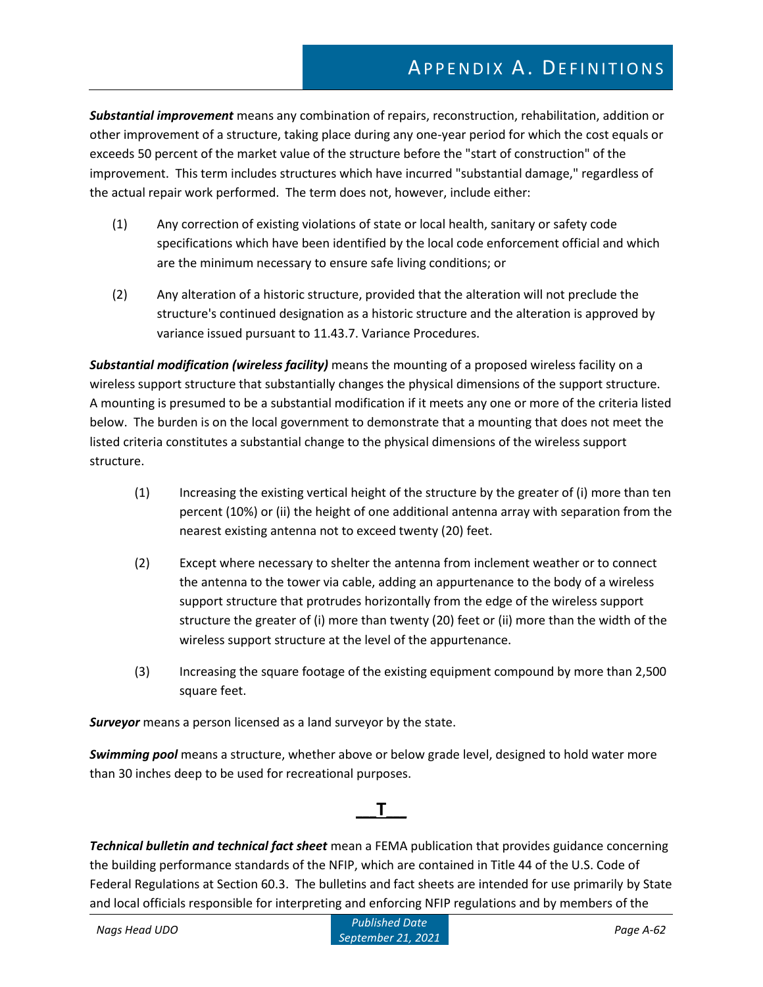*Substantial improvement* means any combination of repairs, reconstruction, rehabilitation, addition or other improvement of a structure, taking place during any one-year period for which the cost equals or exceeds 50 percent of the market value of the structure before the "start of construction" of the improvement. This term includes structures which have incurred "substantial damage," regardless of the actual repair work performed. The term does not, however, include either:

- (1) Any correction of existing violations of state or local health, sanitary or safety code specifications which have been identified by the local code enforcement official and which are the minimum necessary to ensure safe living conditions; or
- (2) Any alteration of a historic structure, provided that the alteration will not preclude the structure's continued designation as a historic structure and the alteration is approved by variance issued pursuant to 11.43.7. Variance Procedures.

*Substantial modification (wireless facility)* means the mounting of a proposed wireless facility on a wireless support structure that substantially changes the physical dimensions of the support structure. A mounting is presumed to be a substantial modification if it meets any one or more of the criteria listed below. The burden is on the local government to demonstrate that a mounting that does not meet the listed criteria constitutes a substantial change to the physical dimensions of the wireless support structure.

- (1) Increasing the existing vertical height of the structure by the greater of (i) more than ten percent (10%) or (ii) the height of one additional antenna array with separation from the nearest existing antenna not to exceed twenty (20) feet.
- (2) Except where necessary to shelter the antenna from inclement weather or to connect the antenna to the tower via cable, adding an appurtenance to the body of a wireless support structure that protrudes horizontally from the edge of the wireless support structure the greater of (i) more than twenty (20) feet or (ii) more than the width of the wireless support structure at the level of the appurtenance.
- (3) Increasing the square footage of the existing equipment compound by more than 2,500 square feet.

*Surveyor* means a person licensed as a land surveyor by the state.

*Swimming pool* means a structure, whether above or below grade level, designed to hold water more than 30 inches deep to be used for recreational purposes.

### **\_\_\_T\_\_\_**

*Technical bulletin and technical fact sheet* mean a FEMA publication that provides guidance concerning the building performance standards of the NFIP, which are contained in Title 44 of the U.S. Code of Federal Regulations at Section 60.3. The bulletins and fact sheets are intended for use primarily by State and local officials responsible for interpreting and enforcing NFIP regulations and by members of the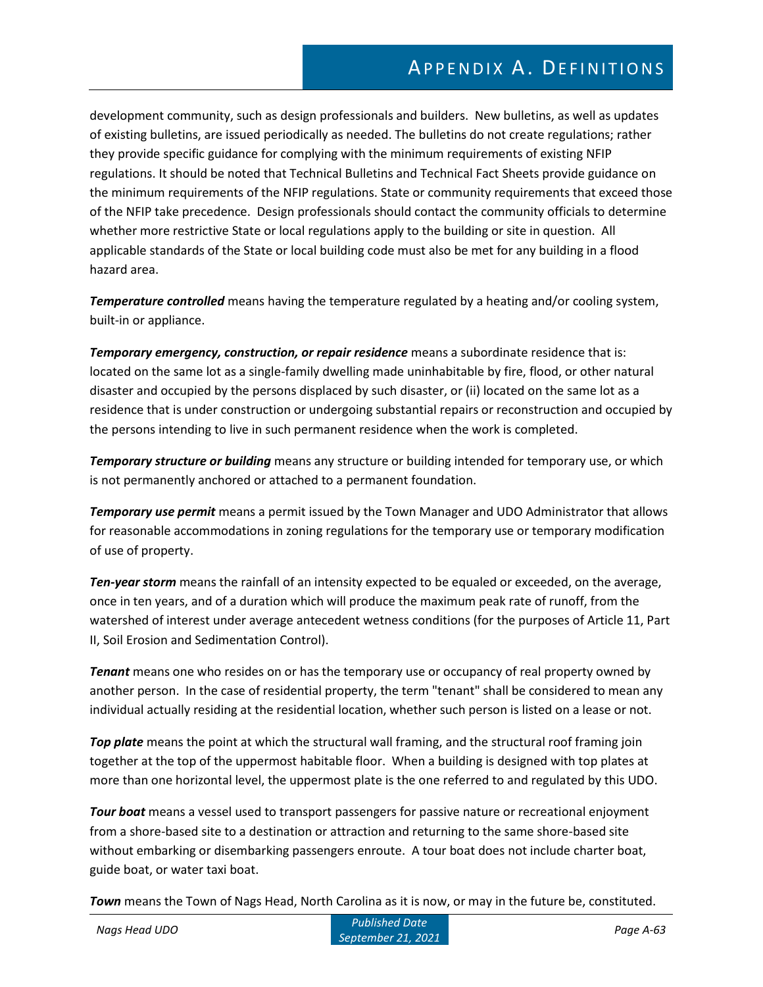development community, such as design professionals and builders. New bulletins, as well as updates of existing bulletins, are issued periodically as needed. The bulletins do not create regulations; rather they provide specific guidance for complying with the minimum requirements of existing NFIP regulations. It should be noted that Technical Bulletins and Technical Fact Sheets provide guidance on the minimum requirements of the NFIP regulations. State or community requirements that exceed those of the NFIP take precedence. Design professionals should contact the community officials to determine whether more restrictive State or local regulations apply to the building or site in question. All applicable standards of the State or local building code must also be met for any building in a flood hazard area.

*Temperature controlled* means having the temperature regulated by a heating and/or cooling system, built-in or appliance.

*Temporary emergency, construction, or repair residence* means a subordinate residence that is: located on the same lot as a single-family dwelling made uninhabitable by fire, flood, or other natural disaster and occupied by the persons displaced by such disaster, or (ii) located on the same lot as a residence that is under construction or undergoing substantial repairs or reconstruction and occupied by the persons intending to live in such permanent residence when the work is completed.

*Temporary structure or building* means any structure or building intended for temporary use, or which is not permanently anchored or attached to a permanent foundation.

*Temporary use permit* means a permit issued by the Town Manager and UDO Administrator that allows for reasonable accommodations in zoning regulations for the temporary use or temporary modification of use of property.

*Ten-year storm* means the rainfall of an intensity expected to be equaled or exceeded, on the average, once in ten years, and of a duration which will produce the maximum peak rate of runoff, from the watershed of interest under average antecedent wetness conditions (for the purposes of Article 11, Part II, Soil Erosion and Sedimentation Control).

*Tenant* means one who resides on or has the temporary use or occupancy of real property owned by another person. In the case of residential property, the term "tenant" shall be considered to mean any individual actually residing at the residential location, whether such person is listed on a lease or not.

*Top plate* means the point at which the structural wall framing, and the structural roof framing join together at the top of the uppermost habitable floor. When a building is designed with top plates at more than one horizontal level, the uppermost plate is the one referred to and regulated by this UDO.

*Tour boat* means a vessel used to transport passengers for passive nature or recreational enjoyment from a shore-based site to a destination or attraction and returning to the same shore-based site without embarking or disembarking passengers enroute. A tour boat does not include charter boat, guide boat, or water taxi boat.

*Town* means the Town of Nags Head, North Carolina as it is now, or may in the future be, constituted.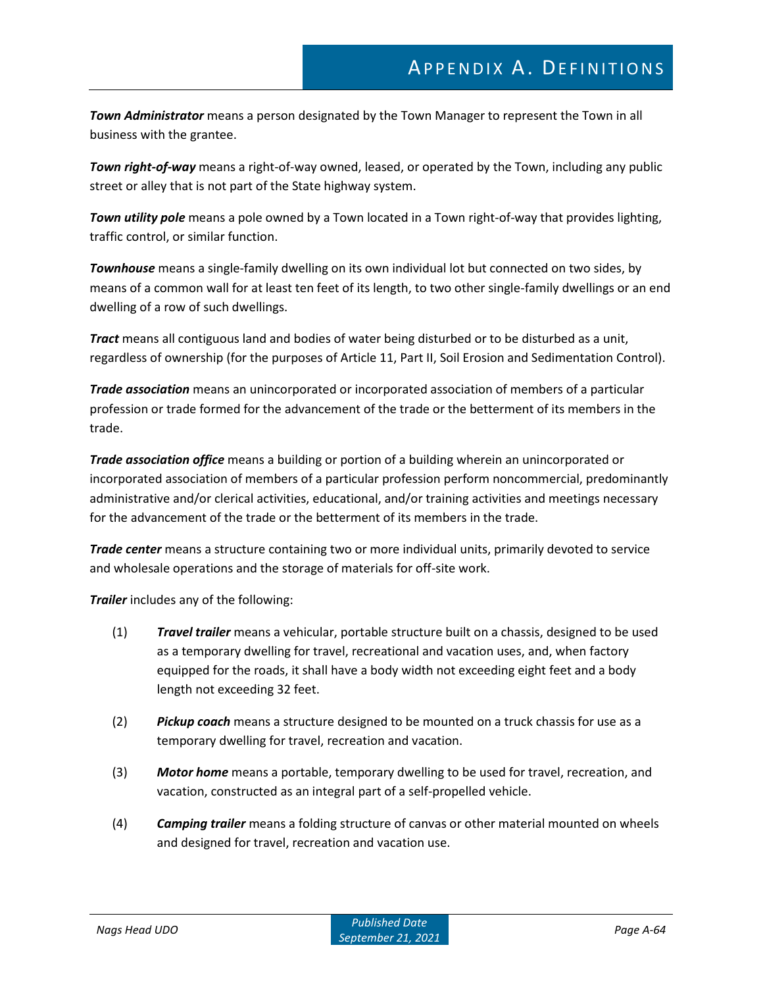*Town Administrator* means a person designated by the Town Manager to represent the Town in all business with the grantee.

*Town right-of-way* means a right-of-way owned, leased, or operated by the Town, including any public street or alley that is not part of the State highway system.

*Town utility pole* means a pole owned by a Town located in a Town right-of-way that provides lighting, traffic control, or similar function.

*Townhouse* means a single-family dwelling on its own individual lot but connected on two sides, by means of a common wall for at least ten feet of its length, to two other single-family dwellings or an end dwelling of a row of such dwellings.

*Tract* means all contiguous land and bodies of water being disturbed or to be disturbed as a unit, regardless of ownership (for the purposes of Article 11, Part II, Soil Erosion and Sedimentation Control).

*Trade association* means an unincorporated or incorporated association of members of a particular profession or trade formed for the advancement of the trade or the betterment of its members in the trade.

*Trade association office* means a building or portion of a building wherein an unincorporated or incorporated association of members of a particular profession perform noncommercial, predominantly administrative and/or clerical activities, educational, and/or training activities and meetings necessary for the advancement of the trade or the betterment of its members in the trade.

*Trade center* means a structure containing two or more individual units, primarily devoted to service and wholesale operations and the storage of materials for off-site work.

*Trailer* includes any of the following:

- (1) *Travel trailer* means a vehicular, portable structure built on a chassis, designed to be used as a temporary dwelling for travel, recreational and vacation uses, and, when factory equipped for the roads, it shall have a body width not exceeding eight feet and a body length not exceeding 32 feet.
- (2) *Pickup coach* means a structure designed to be mounted on a truck chassis for use as a temporary dwelling for travel, recreation and vacation.
- (3) *Motor home* means a portable, temporary dwelling to be used for travel, recreation, and vacation, constructed as an integral part of a self-propelled vehicle.
- (4) *Camping trailer* means a folding structure of canvas or other material mounted on wheels and designed for travel, recreation and vacation use.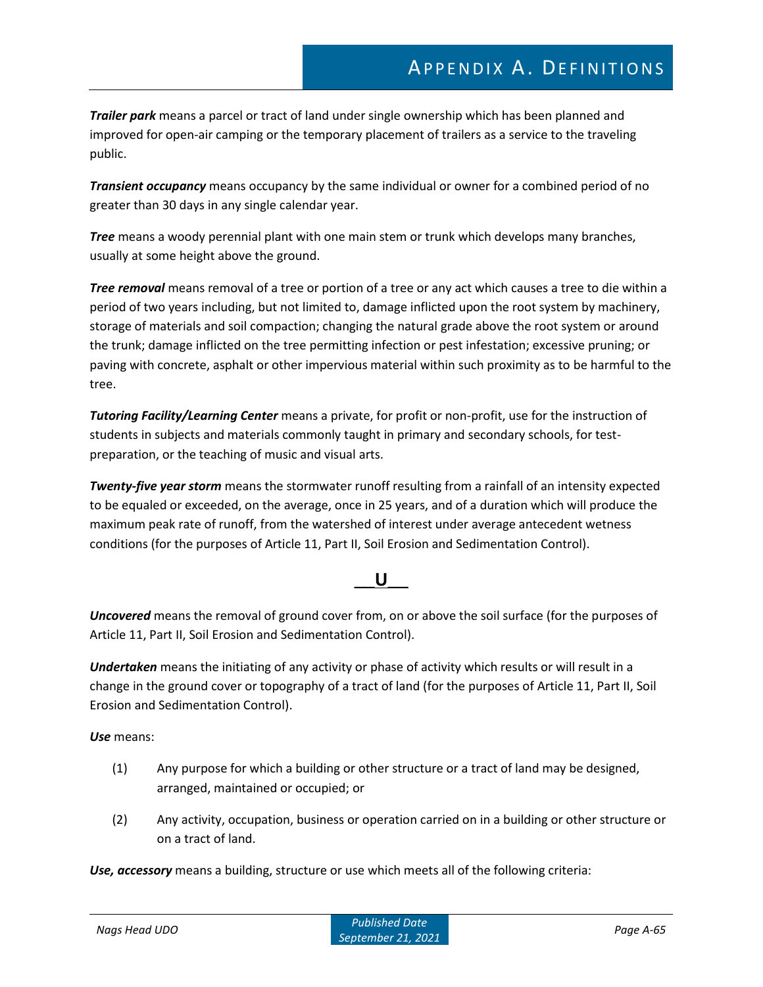*Trailer park* means a parcel or tract of land under single ownership which has been planned and improved for open-air camping or the temporary placement of trailers as a service to the traveling public.

*Transient occupancy* means occupancy by the same individual or owner for a combined period of no greater than 30 days in any single calendar year.

*Tree* means a woody perennial plant with one main stem or trunk which develops many branches, usually at some height above the ground.

*Tree removal* means removal of a tree or portion of a tree or any act which causes a tree to die within a period of two years including, but not limited to, damage inflicted upon the root system by machinery, storage of materials and soil compaction; changing the natural grade above the root system or around the trunk; damage inflicted on the tree permitting infection or pest infestation; excessive pruning; or paving with concrete, asphalt or other impervious material within such proximity as to be harmful to the tree.

*Tutoring Facility/Learning Center* means a private, for profit or non-profit, use for the instruction of students in subjects and materials commonly taught in primary and secondary schools, for testpreparation, or the teaching of music and visual arts.

*Twenty-five year storm* means the stormwater runoff resulting from a rainfall of an intensity expected to be equaled or exceeded, on the average, once in 25 years, and of a duration which will produce the maximum peak rate of runoff, from the watershed of interest under average antecedent wetness conditions (for the purposes of Article 11, Part II, Soil Erosion and Sedimentation Control).

### **\_\_\_U\_\_\_**

*Uncovered* means the removal of ground cover from, on or above the soil surface (for the purposes of Article 11, Part II, Soil Erosion and Sedimentation Control).

*Undertaken* means the initiating of any activity or phase of activity which results or will result in a change in the ground cover or topography of a tract of land (for the purposes of Article 11, Part II, Soil Erosion and Sedimentation Control).

*Use* means:

- (1) Any purpose for which a building or other structure or a tract of land may be designed, arranged, maintained or occupied; or
- (2) Any activity, occupation, business or operation carried on in a building or other structure or on a tract of land.

*Use, accessory* means a building, structure or use which meets all of the following criteria: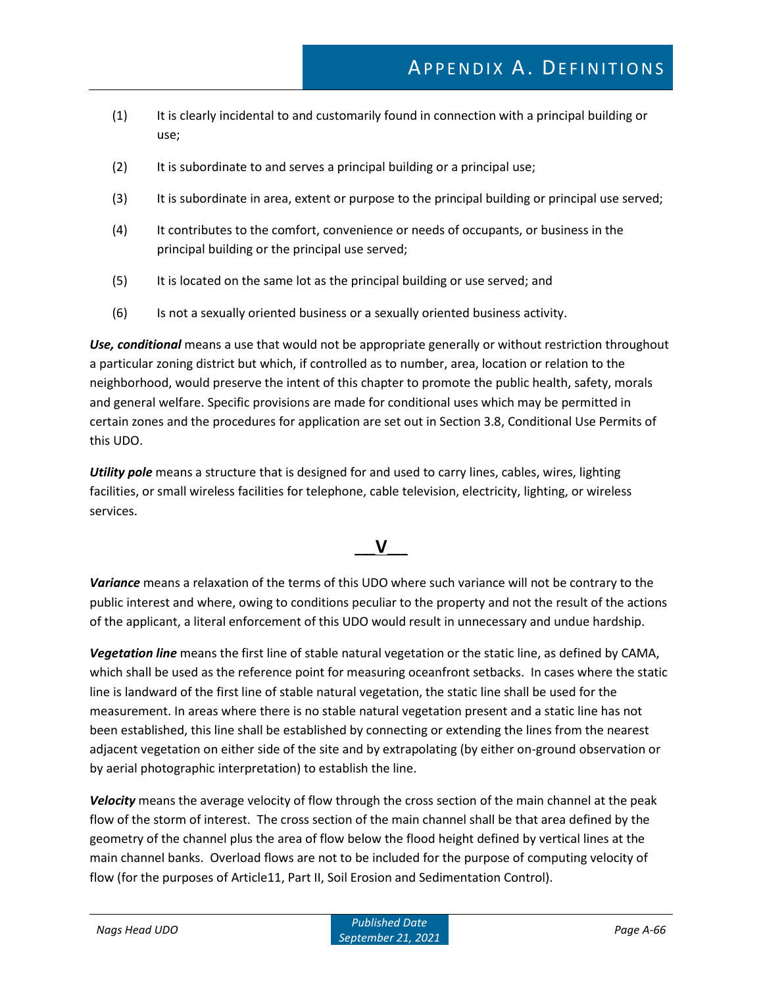- (1) It is clearly incidental to and customarily found in connection with a principal building or use;
- (2) It is subordinate to and serves a principal building or a principal use;
- (3) It is subordinate in area, extent or purpose to the principal building or principal use served;
- (4) It contributes to the comfort, convenience or needs of occupants, or business in the principal building or the principal use served;
- (5) It is located on the same lot as the principal building or use served; and
- (6) Is not a sexually oriented business or a sexually oriented business activity.

*Use, conditional* means a use that would not be appropriate generally or without restriction throughout a particular zoning district but which, if controlled as to number, area, location or relation to the neighborhood, would preserve the intent of this chapter to promote the public health, safety, morals and general welfare. Specific provisions are made for conditional uses which may be permitted in certain zones and the procedures for application are set out in Section 3.8, Conditional Use Permits of this UDO.

*Utility pole* means a structure that is designed for and used to carry lines, cables, wires, lighting facilities, or small wireless facilities for telephone, cable television, electricity, lighting, or wireless services.

## **\_\_\_V\_\_\_**

*Variance* means a relaxation of the terms of this UDO where such variance will not be contrary to the public interest and where, owing to conditions peculiar to the property and not the result of the actions of the applicant, a literal enforcement of this UDO would result in unnecessary and undue hardship.

*Vegetation line* means the first line of stable natural vegetation or the static line, as defined by CAMA, which shall be used as the reference point for measuring oceanfront setbacks. In cases where the static line is landward of the first line of stable natural vegetation, the static line shall be used for the measurement. In areas where there is no stable natural vegetation present and a static line has not been established, this line shall be established by connecting or extending the lines from the nearest adjacent vegetation on either side of the site and by extrapolating (by either on-ground observation or by aerial photographic interpretation) to establish the line.

*Velocity* means the average velocity of flow through the cross section of the main channel at the peak flow of the storm of interest. The cross section of the main channel shall be that area defined by the geometry of the channel plus the area of flow below the flood height defined by vertical lines at the main channel banks. Overload flows are not to be included for the purpose of computing velocity of flow (for the purposes of Article11, Part II, Soil Erosion and Sedimentation Control).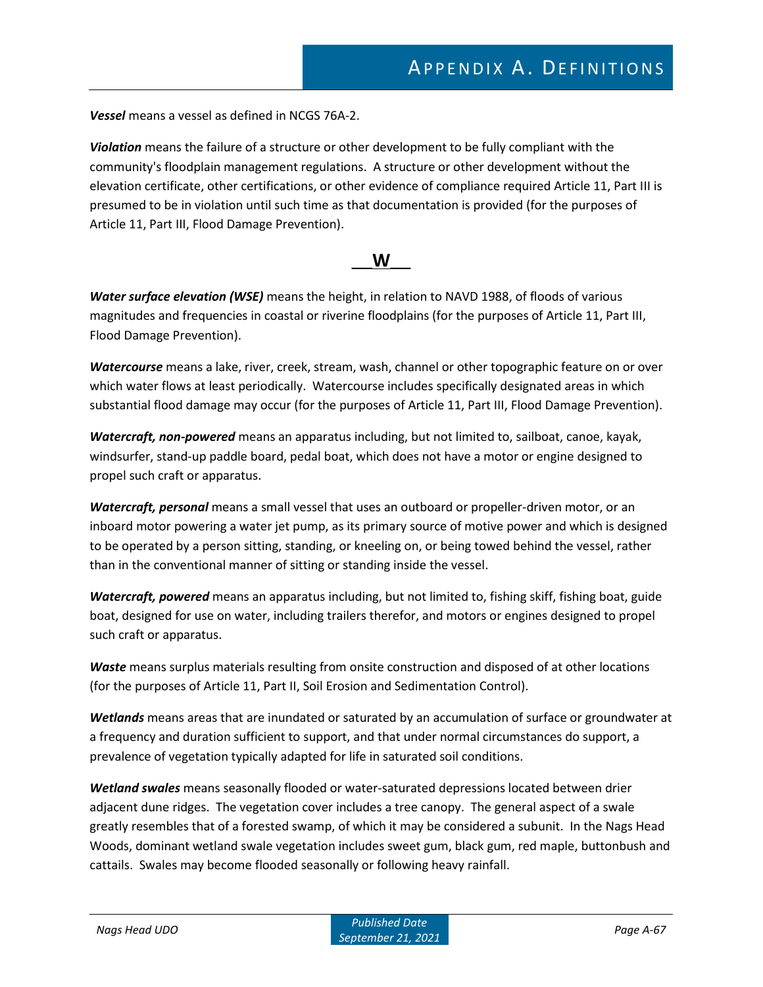*Vessel* means a vessel as defined in NCGS 76A-2.

*Violation* means the failure of a structure or other development to be fully compliant with the community's floodplain management regulations. A structure or other development without the elevation certificate, other certifications, or other evidence of compliance required Article 11, Part III is presumed to be in violation until such time as that documentation is provided (for the purposes of Article 11, Part III, Flood Damage Prevention).

#### **\_\_\_W\_\_\_**

*Water surface elevation (WSE)* means the height, in relation to NAVD 1988, of floods of various magnitudes and frequencies in coastal or riverine floodplains (for the purposes of Article 11, Part III, Flood Damage Prevention).

*Watercourse* means a lake, river, creek, stream, wash, channel or other topographic feature on or over which water flows at least periodically. Watercourse includes specifically designated areas in which substantial flood damage may occur (for the purposes of Article 11, Part III, Flood Damage Prevention).

*Watercraft, non-powered* means an apparatus including, but not limited to, sailboat, canoe, kayak, windsurfer, stand-up paddle board, pedal boat, which does not have a motor or engine designed to propel such craft or apparatus.

*Watercraft, personal* means a small vessel that uses an outboard or propeller-driven motor, or an inboard motor powering a water jet pump, as its primary source of motive power and which is designed to be operated by a person sitting, standing, or kneeling on, or being towed behind the vessel, rather than in the conventional manner of sitting or standing inside the vessel.

*Watercraft, powered* means an apparatus including, but not limited to, fishing skiff, fishing boat, guide boat, designed for use on water, including trailers therefor, and motors or engines designed to propel such craft or apparatus.

*Waste* means surplus materials resulting from onsite construction and disposed of at other locations (for the purposes of Article 11, Part II, Soil Erosion and Sedimentation Control).

*Wetlands* means areas that are inundated or saturated by an accumulation of surface or groundwater at a frequency and duration sufficient to support, and that under normal circumstances do support, a prevalence of vegetation typically adapted for life in saturated soil conditions.

*Wetland swales* means seasonally flooded or water-saturated depressions located between drier adjacent dune ridges. The vegetation cover includes a tree canopy. The general aspect of a swale greatly resembles that of a forested swamp, of which it may be considered a subunit. In the Nags Head Woods, dominant wetland swale vegetation includes sweet gum, black gum, red maple, buttonbush and cattails. Swales may become flooded seasonally or following heavy rainfall.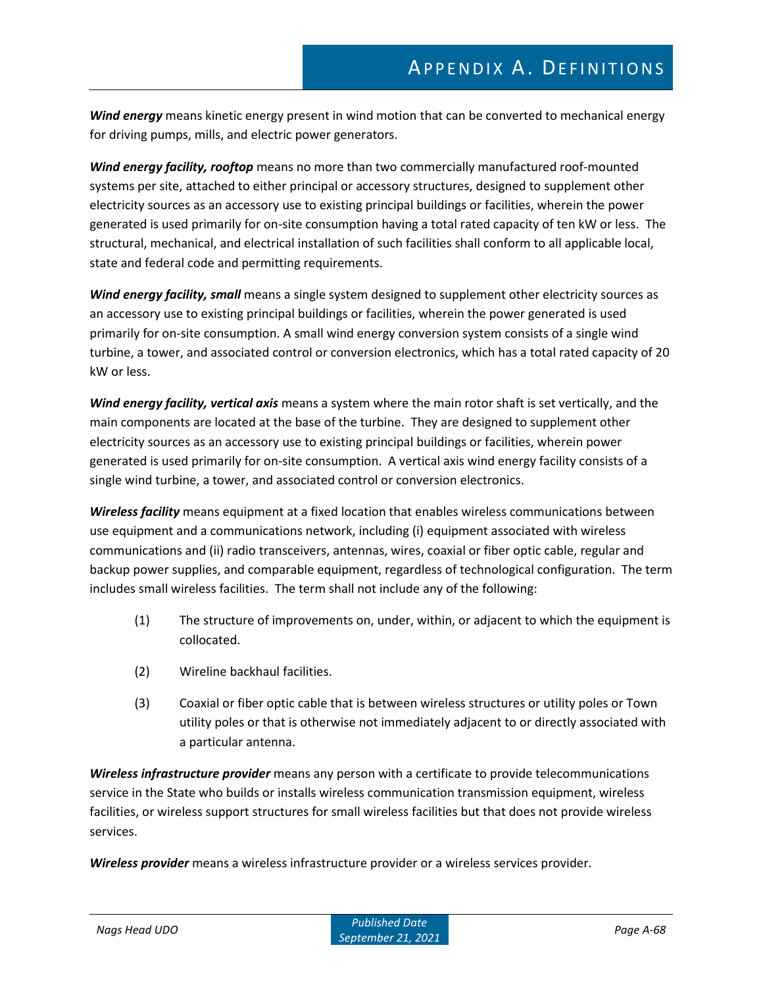*Wind energy* means kinetic energy present in wind motion that can be converted to mechanical energy for driving pumps, mills, and electric power generators.

*Wind energy facility, rooftop* means no more than two commercially manufactured roof-mounted systems per site, attached to either principal or accessory structures, designed to supplement other electricity sources as an accessory use to existing principal buildings or facilities, wherein the power generated is used primarily for on-site consumption having a total rated capacity of ten kW or less. The structural, mechanical, and electrical installation of such facilities shall conform to all applicable local, state and federal code and permitting requirements.

*Wind energy facility, small* means a single system designed to supplement other electricity sources as an accessory use to existing principal buildings or facilities, wherein the power generated is used primarily for on-site consumption. A small wind energy conversion system consists of a single wind turbine, a tower, and associated control or conversion electronics, which has a total rated capacity of 20 kW or less.

*Wind energy facility, vertical axis* means a system where the main rotor shaft is set vertically, and the main components are located at the base of the turbine. They are designed to supplement other electricity sources as an accessory use to existing principal buildings or facilities, wherein power generated is used primarily for on-site consumption. A vertical axis wind energy facility consists of a single wind turbine, a tower, and associated control or conversion electronics.

*Wireless facility* means equipment at a fixed location that enables wireless communications between use equipment and a communications network, including (i) equipment associated with wireless communications and (ii) radio transceivers, antennas, wires, coaxial or fiber optic cable, regular and backup power supplies, and comparable equipment, regardless of technological configuration. The term includes small wireless facilities. The term shall not include any of the following:

- (1) The structure of improvements on, under, within, or adjacent to which the equipment is collocated.
- (2) Wireline backhaul facilities.
- (3) Coaxial or fiber optic cable that is between wireless structures or utility poles or Town utility poles or that is otherwise not immediately adjacent to or directly associated with a particular antenna.

*Wireless infrastructure provider* means any person with a certificate to provide telecommunications service in the State who builds or installs wireless communication transmission equipment, wireless facilities, or wireless support structures for small wireless facilities but that does not provide wireless services.

*Wireless provider* means a wireless infrastructure provider or a wireless services provider.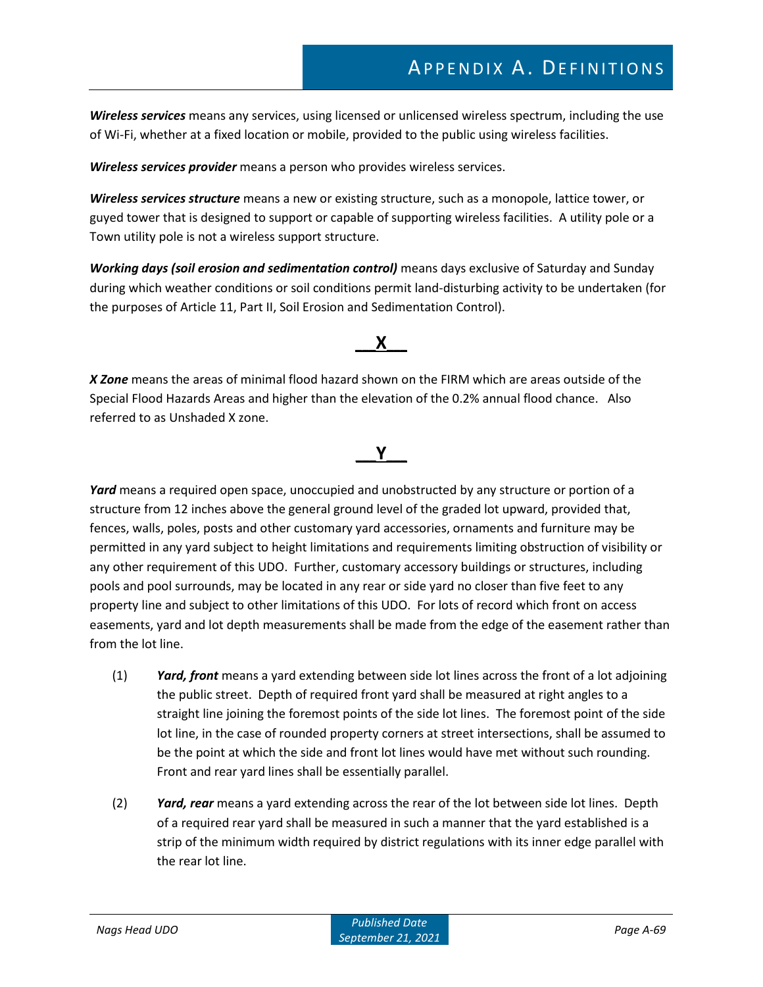*Wireless services* means any services, using licensed or unlicensed wireless spectrum, including the use of Wi-Fi, whether at a fixed location or mobile, provided to the public using wireless facilities.

*Wireless services provider* means a person who provides wireless services.

*Wireless services structure* means a new or existing structure, such as a monopole, lattice tower, or guyed tower that is designed to support or capable of supporting wireless facilities. A utility pole or a Town utility pole is not a wireless support structure.

*Working days (soil erosion and sedimentation control)* means days exclusive of Saturday and Sunday during which weather conditions or soil conditions permit land-disturbing activity to be undertaken (for the purposes of Article 11, Part II, Soil Erosion and Sedimentation Control).

### **\_\_\_X\_\_\_**

*X Zone* means the areas of minimal flood hazard shown on the FIRM which are areas outside of the Special Flood Hazards Areas and higher than the elevation of the 0.2% annual flood chance. Also referred to as Unshaded X zone.

# **\_\_\_Y\_\_\_**

*Yard* means a required open space, unoccupied and unobstructed by any structure or portion of a structure from 12 inches above the general ground level of the graded lot upward, provided that, fences, walls, poles, posts and other customary yard accessories, ornaments and furniture may be permitted in any yard subject to height limitations and requirements limiting obstruction of visibility or any other requirement of this UDO. Further, customary accessory buildings or structures, including pools and pool surrounds, may be located in any rear or side yard no closer than five feet to any property line and subject to other limitations of this UDO. For lots of record which front on access easements, yard and lot depth measurements shall be made from the edge of the easement rather than from the lot line.

- (1) *Yard, front* means a yard extending between side lot lines across the front of a lot adjoining the public street. Depth of required front yard shall be measured at right angles to a straight line joining the foremost points of the side lot lines. The foremost point of the side lot line, in the case of rounded property corners at street intersections, shall be assumed to be the point at which the side and front lot lines would have met without such rounding. Front and rear yard lines shall be essentially parallel.
- (2) *Yard, rear* means a yard extending across the rear of the lot between side lot lines. Depth of a required rear yard shall be measured in such a manner that the yard established is a strip of the minimum width required by district regulations with its inner edge parallel with the rear lot line.